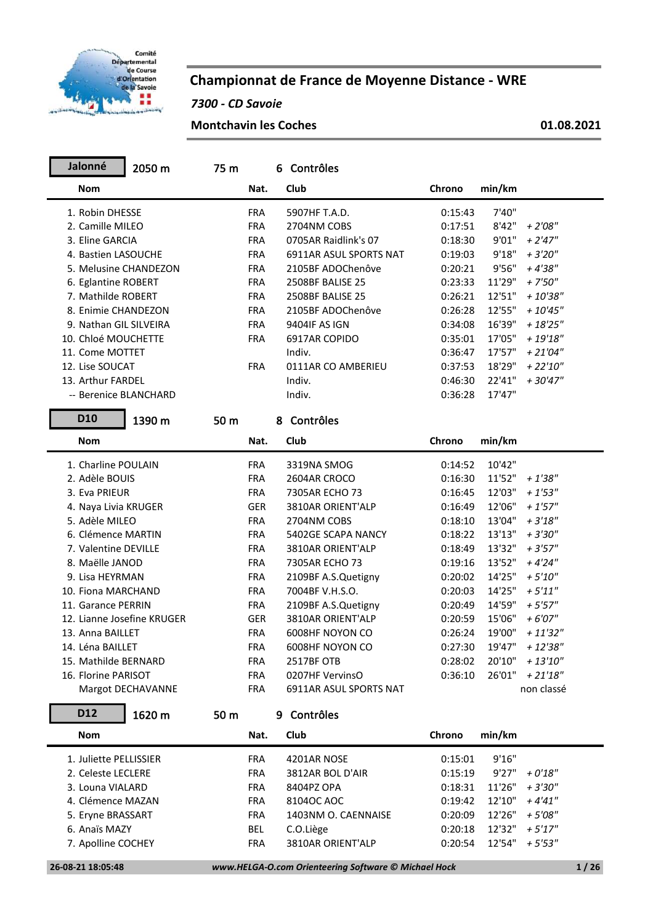

## **Championnat de France de Moyenne Distance - WRE**

*7300 - CD Savoie*

**Montchavin les Coches 01.08.2021**

| Jalonné                    | 2050 m            | 75 m |            | 6 Contrôles            |         |        |             |
|----------------------------|-------------------|------|------------|------------------------|---------|--------|-------------|
| <b>Nom</b>                 |                   |      | Nat.       | Club                   | Chrono  | min/km |             |
| 1. Robin DHESSE            |                   |      | <b>FRA</b> | 5907HF T.A.D.          | 0:15:43 | 7'40"  |             |
| 2. Camille MILEO           |                   |      | <b>FRA</b> | 2704NM COBS            | 0:17:51 | 8'42"  | $+2'08''$   |
| 3. Eline GARCIA            |                   |      | <b>FRA</b> | 0705AR Raidlink's 07   | 0:18:30 | 9'01"  | $+2'47''$   |
| 4. Bastien LASOUCHE        |                   |      | <b>FRA</b> | 6911AR ASUL SPORTS NAT | 0:19:03 | 9'18"  | $+3'20''$   |
| 5. Melusine CHANDEZON      |                   |      | <b>FRA</b> | 2105BF ADOChenôve      | 0:20:21 | 9'56"  | $+4'38"$    |
| 6. Eglantine ROBERT        |                   |      | <b>FRA</b> | 2508BF BALISE 25       | 0:23:33 | 11'29" | $+7'50''$   |
| 7. Mathilde ROBERT         |                   |      | <b>FRA</b> | 2508BF BALISE 25       | 0:26:21 | 12'51" | $+10'38"$   |
| 8. Enimie CHANDEZON        |                   |      | <b>FRA</b> | 2105BF ADOChenôve      | 0:26:28 | 12'55" | $+10'45''$  |
| 9. Nathan GIL SILVEIRA     |                   |      | <b>FRA</b> | 9404IF AS IGN          | 0:34:08 | 16'39" | $+18'25"$   |
| 10. Chloé MOUCHETTE        |                   |      | <b>FRA</b> | 6917AR COPIDO          | 0:35:01 | 17'05" | $+19'18"$   |
| 11. Come MOTTET            |                   |      |            | Indiv.                 | 0:36:47 | 17'57" | $+21'04''$  |
| 12. Lise SOUCAT            |                   |      | <b>FRA</b> | 0111AR CO AMBERIEU     | 0:37:53 | 18'29" | $+22'10''$  |
| 13. Arthur FARDEL          |                   |      |            | Indiv.                 | 0:46:30 | 22'41" |             |
| -- Berenice BLANCHARD      |                   |      |            |                        |         |        | + 30'47"    |
|                            |                   |      |            | Indiv.                 | 0:36:28 | 17'47" |             |
| <b>D10</b>                 | 1390 m            | 50 m |            | 8 Contrôles            |         |        |             |
| <b>Nom</b>                 |                   |      | Nat.       | Club                   | Chrono  | min/km |             |
| 1. Charline POULAIN        |                   |      | <b>FRA</b> | 3319NA SMOG            | 0:14:52 | 10'42" |             |
| 2. Adèle BOUIS             |                   |      | <b>FRA</b> | 2604AR CROCO           | 0:16:30 | 11'52" | $+1'38''$   |
| 3. Eva PRIEUR              |                   |      | <b>FRA</b> | 7305AR ECHO 73         | 0:16:45 | 12'03" | $+1'53''$   |
| 4. Naya Livia KRUGER       |                   |      | <b>GER</b> | 3810AR ORIENT'ALP      | 0:16:49 | 12'06" | $+1'57''$   |
| 5. Adèle MILEO             |                   |      | <b>FRA</b> | 2704NM COBS            | 0:18:10 | 13'04" | $+3'18''$   |
| 6. Clémence MARTIN         |                   |      | <b>FRA</b> | 5402GE SCAPA NANCY     | 0:18:22 | 13'13" | $+3'30''$   |
| 7. Valentine DEVILLE       |                   |      | <b>FRA</b> | 3810AR ORIENT'ALP      | 0:18:49 | 13'32" | $+3'57''$   |
| 8. Maëlle JANOD            |                   |      | <b>FRA</b> | 7305AR ECHO 73         | 0:19:16 | 13'52" | $+4'24"$    |
| 9. Lisa HEYRMAN            |                   |      | <b>FRA</b> | 2109BF A.S.Quetigny    | 0:20:02 | 14'25" | $+5'10''$   |
| 10. Fiona MARCHAND         |                   |      | <b>FRA</b> | 7004BF V.H.S.O.        | 0:20:03 | 14'25" | $+5'11''$   |
| 11. Garance PERRIN         |                   |      | <b>FRA</b> | 2109BF A.S.Quetigny    | 0:20:49 | 14'59" | $+5'57''$   |
| 12. Lianne Josefine KRUGER |                   |      | <b>GER</b> | 3810AR ORIENT'ALP      | 0:20:59 | 15'06" | $+6'07''$   |
| 13. Anna BAILLET           |                   |      | <b>FRA</b> | 6008HF NOYON CO        | 0:26:24 | 19'00" | $+11'32"$   |
| 14. Léna BAILLET           |                   |      | <b>FRA</b> | 6008HF NOYON CO        | 0:27:30 | 19'47" | $+12'38''$  |
| 15. Mathilde BERNARD       |                   |      | <b>FRA</b> | 2517BF OTB             | 0:28:02 | 20'10" | $+ 13'10''$ |
| 16. Florine PARISOT        |                   |      | <b>FRA</b> | 0207HF VervinsO        | 0:36:10 | 26'01" | $+21'18''$  |
|                            |                   |      |            |                        |         |        |             |
|                            | Margot DECHAVANNE |      | <b>FRA</b> | 6911AR ASUL SPORTS NAT |         |        | non classé  |
| D12                        | 1620 m            | 50 m |            | 9 Contrôles            |         |        |             |
| <b>Nom</b>                 |                   |      | Nat.       | Club                   | Chrono  | min/km |             |
| 1. Juliette PELLISSIER     |                   |      | <b>FRA</b> | 4201AR NOSE            | 0:15:01 | 9'16"  |             |
| 2. Celeste LECLERE         |                   |      | <b>FRA</b> | 3812AR BOL D'AIR       | 0:15:19 | 9'27"  | $+0'18"$    |
| 3. Louna VIALARD           |                   |      | <b>FRA</b> | 8404PZ OPA             | 0:18:31 | 11'26" | $+3'30''$   |
| 4. Clémence MAZAN          |                   |      | <b>FRA</b> | 8104OC AOC             | 0:19:42 | 12'10" | $+4'41''$   |
| 5. Eryne BRASSART          |                   |      | <b>FRA</b> | 1403NM O. CAENNAISE    | 0:20:09 | 12'26" | $+5'08''$   |
| 6. Anaïs MAZY              |                   |      | <b>BEL</b> | C.O.Liège              | 0:20:18 | 12'32" | $+5'17''$   |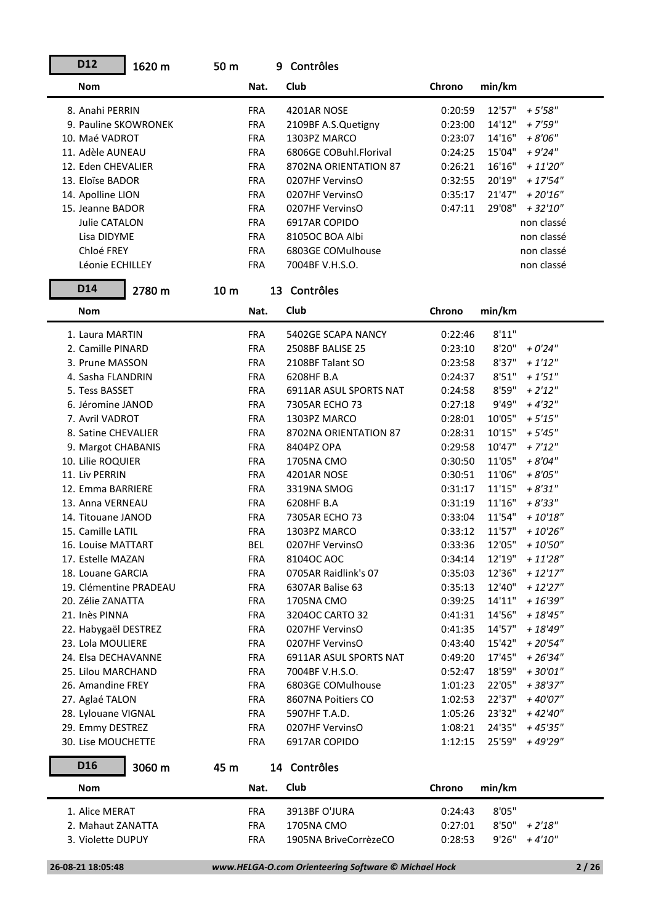| D12                    | 1620 m | 50 m            |            | 9 Contrôles            |         |        |                                    |
|------------------------|--------|-----------------|------------|------------------------|---------|--------|------------------------------------|
| <b>Nom</b>             |        |                 | Nat.       | Club                   | Chrono  | min/km |                                    |
| 8. Anahi PERRIN        |        |                 | <b>FRA</b> | 4201AR NOSE            | 0:20:59 | 12'57" | $+5'58''$                          |
| 9. Pauline SKOWRONEK   |        |                 | <b>FRA</b> | 2109BF A.S.Quetigny    | 0:23:00 | 14'12" | $+7'59''$                          |
| 10. Maé VADROT         |        |                 | <b>FRA</b> | 1303PZ MARCO           | 0:23:07 | 14'16" | $+8'06''$                          |
| 11. Adèle AUNEAU       |        |                 | <b>FRA</b> | 6806GE COBuhl.Florival | 0:24:25 | 15'04" | $+9'24"$                           |
| 12. Eden CHEVALIER     |        |                 | <b>FRA</b> | 8702NA ORIENTATION 87  | 0:26:21 | 16'16" | $+ 11'20''$                        |
| 13. Eloïse BADOR       |        |                 | <b>FRA</b> | 0207HF VervinsO        | 0:32:55 | 20'19" | $+17'54''$                         |
| 14. Apolline LION      |        |                 | <b>FRA</b> | 0207HF VervinsO        | 0:35:17 | 21'47" | $+20'16''$                         |
| 15. Jeanne BADOR       |        |                 | <b>FRA</b> | 0207HF VervinsO        | 0:47:11 | 29'08" | $+32'10''$                         |
| Julie CATALON          |        |                 | <b>FRA</b> | 6917AR COPIDO          |         |        | non classé                         |
| Lisa DIDYME            |        |                 | <b>FRA</b> | 8105OC BOA Albi        |         |        | non classé                         |
| Chloé FREY             |        |                 | <b>FRA</b> | 6803GE COMulhouse      |         |        | non classé                         |
| Léonie ECHILLEY        |        |                 | <b>FRA</b> | 7004BF V.H.S.O.        |         |        | non classé                         |
| D14                    | 2780 m | 10 <sub>m</sub> |            | 13 Contrôles           |         |        |                                    |
| <b>Nom</b>             |        |                 | Nat.       | Club                   | Chrono  | min/km |                                    |
| 1. Laura MARTIN        |        |                 | <b>FRA</b> | 5402GE SCAPA NANCY     | 0:22:46 | 8'11"  |                                    |
| 2. Camille PINARD      |        |                 | <b>FRA</b> | 2508BF BALISE 25       | 0:23:10 | 8'20"  | $+0'24"$                           |
| 3. Prune MASSON        |        |                 | <b>FRA</b> | 2108BF Talant SO       | 0:23:58 | 8'37"  | $+1'12''$                          |
| 4. Sasha FLANDRIN      |        |                 | <b>FRA</b> | 6208HF B.A             | 0:24:37 | 8'51"  | $+1'51''$                          |
| 5. Tess BASSET         |        |                 | <b>FRA</b> | 6911AR ASUL SPORTS NAT | 0:24:58 | 8'59"  | $+ 2'12''$                         |
| 6. Jéromine JANOD      |        |                 | <b>FRA</b> | 7305AR ECHO 73         | 0:27:18 | 9'49"  | $+4'32''$                          |
| 7. Avril VADROT        |        |                 | <b>FRA</b> | 1303PZ MARCO           | 0:28:01 | 10'05" | $+5'15''$                          |
| 8. Satine CHEVALIER    |        |                 | <b>FRA</b> | 8702NA ORIENTATION 87  | 0:28:31 | 10'15" | $+5'45''$                          |
| 9. Margot CHABANIS     |        |                 | <b>FRA</b> | 8404PZ OPA             | 0:29:58 | 10'47" | $+ 7'12''$                         |
| 10. Lilie ROQUIER      |        |                 | <b>FRA</b> | 1705NA CMO             | 0:30:50 | 11'05" | $+8'04"$                           |
| 11. Liv PERRIN         |        |                 | <b>FRA</b> | 4201AR NOSE            | 0:30:51 | 11'06" | $+8'05"$                           |
| 12. Emma BARRIERE      |        |                 | <b>FRA</b> | 3319NA SMOG            | 0:31:17 | 11'15" | $+8'31"$                           |
| 13. Anna VERNEAU       |        |                 | <b>FRA</b> | 6208HF B.A             | 0:31:19 | 11'16" | $+8'33"$                           |
| 14. Titouane JANOD     |        |                 | <b>FRA</b> | 7305AR ECHO 73         | 0:33:04 | 11'54" | $+$ $10^{\prime}18^{\prime\prime}$ |
| 15. Camille LATIL      |        |                 | <b>FRA</b> | 1303PZ MARCO           | 0:33:12 | 11'57" | $+10'26"$                          |
| 16. Louise MATTART     |        |                 | <b>BEL</b> | 0207HF VervinsO        | 0:33:36 | 12'05" | $+10'50"$                          |
| 17. Estelle MAZAN      |        |                 | <b>FRA</b> | 81040C AOC             | 0:34:14 | 12'19" | $+11'28''$                         |
| 18. Louane GARCIA      |        |                 | <b>FRA</b> | 0705AR Raidlink's 07   | 0:35:03 | 12'36" | $+12'17''$                         |
| 19. Clémentine PRADEAU |        |                 | <b>FRA</b> | 6307AR Balise 63       | 0:35:13 | 12'40" | $+12'27''$                         |
| 20. Zélie ZANATTA      |        |                 | <b>FRA</b> | 1705NA CMO             | 0:39:25 | 14'11" | $+16'39''$                         |
| 21. Inès PINNA         |        |                 | <b>FRA</b> | 32040C CARTO 32        | 0:41:31 | 14'56" | $+ 18'45''$                        |
| 22. Habygaël DESTREZ   |        |                 | <b>FRA</b> | 0207HF VervinsO        | 0:41:35 | 14'57" | $+ 18'49''$                        |
| 23. Lola MOULIERE      |        |                 | <b>FRA</b> | 0207HF VervinsO        | 0:43:40 | 15'42" | $+20'54"$                          |
| 24. Elsa DECHAVANNE    |        |                 | <b>FRA</b> | 6911AR ASUL SPORTS NAT | 0:49:20 | 17'45" | $+26'34"$                          |
| 25. Lilou MARCHAND     |        |                 | <b>FRA</b> | 7004BF V.H.S.O.        | 0:52:47 | 18'59" | $+30'01"$                          |
| 26. Amandine FREY      |        |                 | <b>FRA</b> | 6803GE COMulhouse      | 1:01:23 | 22'05" | $+38'37''$                         |
| 27. Aglaé TALON        |        |                 | <b>FRA</b> | 8607NA Poitiers CO     | 1:02:53 | 22'37" | + 40'07"                           |
| 28. Lylouane VIGNAL    |        |                 | <b>FRA</b> | 5907HF T.A.D.          | 1:05:26 | 23'32" | + 42'40"                           |
| 29. Emmy DESTREZ       |        |                 | <b>FRA</b> | 0207HF VervinsO        | 1:08:21 | 24'35" | + 45'35"                           |
| 30. Lise MOUCHETTE     |        |                 | <b>FRA</b> | 6917AR COPIDO          | 1:12:15 | 25'59" | + 49'29"                           |
| D <sub>16</sub>        | 3060 m | 45 m            |            | 14 Contrôles           |         |        |                                    |
| <b>Nom</b>             |        |                 | Nat.       | Club                   | Chrono  | min/km |                                    |
| 1. Alice MERAT         |        |                 | <b>FRA</b> | 3913BF O'JURA          | 0:24:43 | 8'05"  |                                    |
| 2. Mahaut ZANATTA      |        |                 | <b>FRA</b> | 1705NA CMO             | 0:27:01 | 8'50"  | $+2'18''$                          |
| 3. Violette DUPUY      |        |                 | <b>FRA</b> | 1905NA BriveCorrèzeCO  | 0:28:53 | 9'26"  | $+4'10''$                          |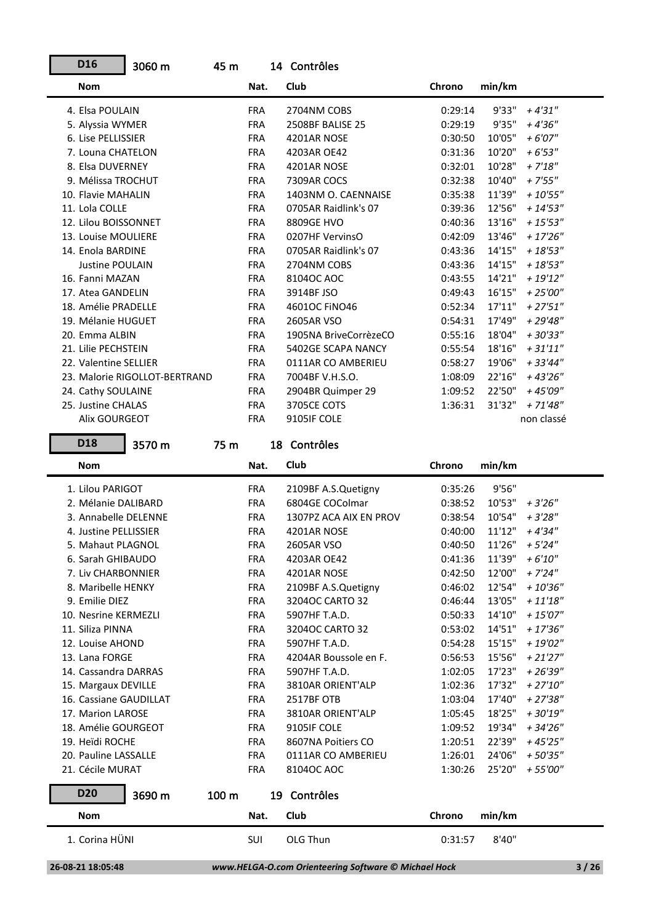| D <sub>16</sub>        | 3060 m                        | 45 m       | 14 Contrôles          |         |         |             |  |
|------------------------|-------------------------------|------------|-----------------------|---------|---------|-------------|--|
| <b>Nom</b>             |                               | Nat.       | Club                  | Chrono  | min/km  |             |  |
| 4. Elsa POULAIN        |                               | <b>FRA</b> | 2704NM COBS           | 0:29:14 | 9'33"   | $+4'31''$   |  |
| 5. Alyssia WYMER       |                               | <b>FRA</b> | 2508BF BALISE 25      | 0:29:19 | 9'35"   | $+4'36''$   |  |
| 6. Lise PELLISSIER     |                               | <b>FRA</b> | 4201AR NOSE           | 0:30:50 | 10'05"  | $+6'07''$   |  |
| 7. Louna CHATELON      |                               | <b>FRA</b> | 4203AR OE42           | 0:31:36 | 10'20"  | $+6'53''$   |  |
| 8. Elsa DUVERNEY       |                               | <b>FRA</b> | 4201AR NOSE           | 0:32:01 | 10'28"  | $+ 7'18''$  |  |
| 9. Mélissa TROCHUT     |                               | <b>FRA</b> | 7309AR COCS           | 0:32:38 | 10'40"  | $+7'55''$   |  |
| 10. Flavie MAHALIN     |                               | <b>FRA</b> | 1403NM O. CAENNAISE   | 0:35:38 | 11'39"  | $+10'55"$   |  |
| 11. Lola COLLE         |                               | <b>FRA</b> | 0705AR Raidlink's 07  | 0:39:36 | 12'56"  | $+ 14'53''$ |  |
| 12. Lilou BOISSONNET   |                               | <b>FRA</b> | 8809GE HVO            | 0:40:36 | 13'16"  | $+15'53''$  |  |
| 13. Louise MOULIERE    |                               | <b>FRA</b> | 0207HF VervinsO       | 0:42:09 | 13'46"  | $+17'26''$  |  |
| 14. Enola BARDINE      |                               | <b>FRA</b> | 0705AR Raidlink's 07  | 0:43:36 | 14'15"  | $+18'53"$   |  |
| <b>Justine POULAIN</b> |                               | <b>FRA</b> | 2704NM COBS           | 0:43:36 | 14'15"  | $+18'53"$   |  |
| 16. Fanni MAZAN        |                               | <b>FRA</b> | 81040C AOC            | 0:43:55 | 14'21"  | $+19'12"$   |  |
| 17. Atea GANDELIN      |                               | <b>FRA</b> | 3914BF JSO            | 0:49:43 | 16'15"  | $+25'00''$  |  |
| 18. Amélie PRADELLE    |                               | <b>FRA</b> | 46010C FINO46         | 0:52:34 | 17'11'' | $+27'51''$  |  |
| 19. Mélanie HUGUET     |                               | <b>FRA</b> | 2605AR VSO            | 0:54:31 | 17'49"  | $+29'48"$   |  |
| 20. Emma ALBIN         |                               | <b>FRA</b> | 1905NA BriveCorrèzeCO | 0:55:16 | 18'04"  | + 30'33"    |  |
| 21. Lilie PECHSTEIN    |                               | <b>FRA</b> | 5402GE SCAPA NANCY    | 0:55:54 | 18'16"  | $+31'11''$  |  |
| 22. Valentine SELLIER  |                               | <b>FRA</b> | 0111AR CO AMBERIEU    | 0:58:27 | 19'06"  | + 33'44"    |  |
|                        | 23. Malorie RIGOLLOT-BERTRAND | <b>FRA</b> | 7004BF V.H.S.O.       | 1:08:09 | 22'16"  | $+43'26''$  |  |
| 24. Cathy SOULAINE     |                               | <b>FRA</b> | 2904BR Quimper 29     | 1:09:52 | 22'50"  | + 45'09"    |  |
| 25. Justine CHALAS     |                               | <b>FRA</b> | 3705CE COTS           | 1:36:31 | 31'32"  | $+ 71'48''$ |  |
| Alix GOURGEOT          |                               | <b>FRA</b> | 9105IF COLE           |         |         | non classé  |  |
|                        |                               |            |                       |         |         |             |  |

**D18 Nom ChronoNat. Club Chrono** 3570 m 75 m Nat. Club **Chrono** min/km 18 Contrôles 1. Lilou PARIGOT FRA 2109BF A.S.Quetigny 0:35:26 9'56" 2. Mélanie DALIBARD FRA 6804GE COColmar 0:38:52 10'53" *+ 3'26"* 3. Annabelle DELENNE FRA 1307PZ ACA AIX EN PROV 0:38:54 10'54" *+ 3'28"* 4. Justine PELLISSIER FRA 4201AR NOSE 0:40:00 11'12" *+ 4'34"* 5. Mahaut PLAGNOL FRA 2605AR VSO 0:40:50 11'26" *+ 5'24"* 6. Sarah GHIBAUDO FRA 4203AR OE42 0:41:36 11'39" *+ 6'10"* 7. Liv CHARBONNIER FRA 4201AR NOSE 0:42:50 12'00" *+ 7'24"* 8. Maribelle HENKY FRA 2109BF A.S.Quetigny 0:46:02 12'54" *+ 10'36"* 9. Emilie DIEZ FRA 3204OC CARTO 32 0:46:44 13'05" *+ 11'18"* 10. Nesrine KERMEZLI FRA 5907HF T.A.D. 0:50:33 14'10" *+ 15'07"* 11. Siliza PINNA FRA 3204OC CARTO 32 0:53:02 14'51" *+ 17'36"* 12. Louise AHOND FRA 5907HF T.A.D. 0:54:28 15'15" *+ 19'02"* 13. Lana FORGE FRA 4204AR Boussole en F. 0:56:53 15'56" *+ 21'27"* 14. Cassandra DARRAS FRA 5907HF T.A.D. 1:02:05 17'23" *+ 26'39"* 15. Margaux DEVILLE FRA 3810AR ORIENT'ALP 1:02:36 17'32" *+ 27'10"* 16. Cassiane GAUDILLAT FRA 2517BF OTB 1:03:04 17'40" *+ 27'38"* 17. Marion LAROSE FRA 3810AR ORIENT'ALP 1:05:45 18'25" *+ 30'19"* 18. Amélie GOURGEOT FRA 9105IF COLE 1:09:52 19'34" *+ 34'26"* 19. Heïdi ROCHE FRA 8607NA Poitiers CO 1:20:51 22'39" *+ 45'25"* 20. Pauline LASSALLE FRA 0111AR CO AMBERIEU 1:26:01 24'06" *+ 50'35"* 21. Cécile MURAT FRA 8104OC AOC 1:30:26 25'20" *+ 55'00"* **D20 Nom ChronoNat. Club Chrono** 3690 m 100 m Nat. Club **Chrono** min/km 19 Contrôles 1. Corina HÜNI SUI OLG Thun 0:31:57 8'40"

 **<sup>26-08-21 18:05:48</sup>** *www.HELGA-O.com Orienteering Software © Michael Hock* **3 / 26**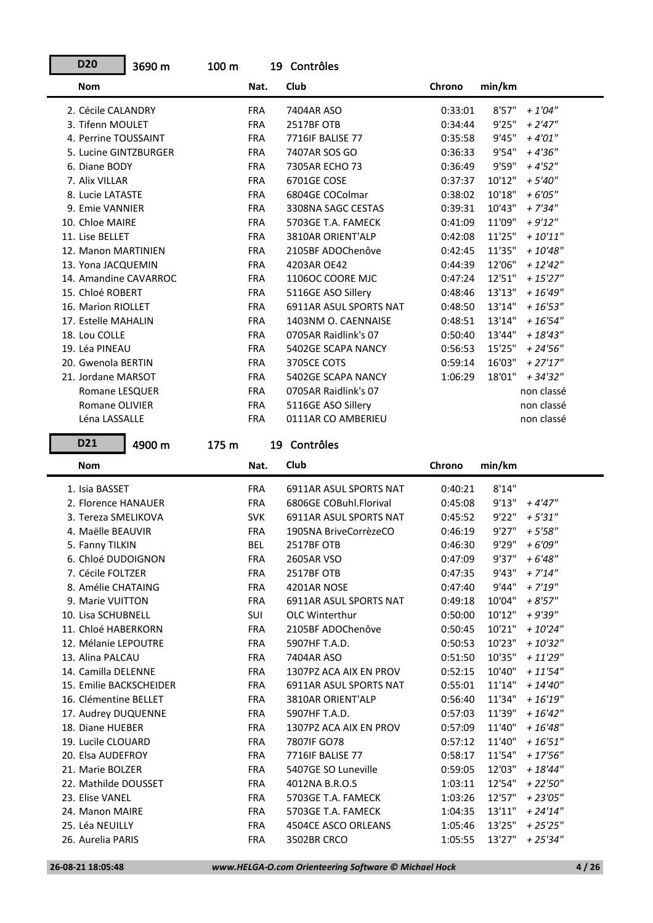| <b>D20</b>              | 3690 m | 100 <sub>m</sub> |            | 19 Contrôles           |         |        |             |
|-------------------------|--------|------------------|------------|------------------------|---------|--------|-------------|
| <b>Nom</b>              |        |                  | Nat.       | Club                   | Chrono  | min/km |             |
| 2. Cécile CALANDRY      |        |                  | <b>FRA</b> | 7404AR ASO             | 0:33:01 | 8'57'' | $+ 1'04''$  |
| 3. Tifenn MOULET        |        |                  | <b>FRA</b> | 2517BF OTB             | 0:34:44 | 9'25"  | $+ 2'47''$  |
| 4. Perrine TOUSSAINT    |        |                  | <b>FRA</b> | 7716IF BALISE 77       | 0:35:58 | 9'45"  | $+4'01''$   |
| 5. Lucine GINTZBURGER   |        |                  | <b>FRA</b> | 7407AR SOS GO          | 0:36:33 | 9'54"  | $+4'36''$   |
| 6. Diane BODY           |        |                  | <b>FRA</b> | 7305AR ECHO 73         | 0:36:49 | 9'59"  | $+4'52''$   |
| 7. Alix VILLAR          |        |                  | <b>FRA</b> | 6701GE COSE            | 0:37:37 | 10'12" | $+5'40''$   |
| 8. Lucie LATASTE        |        |                  | <b>FRA</b> | 6804GE COColmar        | 0:38:02 | 10'18" | $+6'05''$   |
| 9. Emie VANNIER         |        |                  | <b>FRA</b> | 3308NA SAGC CESTAS     | 0:39:31 | 10'43" | $+ 7'34''$  |
| 10. Chloe MAIRE         |        |                  | <b>FRA</b> | 5703GE T.A. FAMECK     | 0:41:09 | 11'09" | $+9'12"$    |
| 11. Lise BELLET         |        |                  | <b>FRA</b> | 3810AR ORIENT'ALP      | 0:42:08 | 11'25" | $+10'11"$   |
| 12. Manon MARTINIEN     |        |                  | <b>FRA</b> | 2105BF ADOChenôve      | 0:42:45 | 11'35" | $+10'48''$  |
| 13. Yona JACQUEMIN      |        |                  | <b>FRA</b> | 4203AR OE42            | 0:44:39 | 12'06" | $+ 12'42''$ |
| 14. Amandine CAVARROC   |        |                  | <b>FRA</b> | 1106OC COORE MJC       | 0:47:24 | 12'51" | $+15'27''$  |
| 15. Chloé ROBERT        |        |                  | <b>FRA</b> | 5116GE ASO Sillery     | 0:48:46 | 13'13" | $+16'49''$  |
| 16. Marion RIOLLET      |        |                  | <b>FRA</b> | 6911AR ASUL SPORTS NAT | 0:48:50 | 13'14" | $+16'53''$  |
| 17. Estelle MAHALIN     |        |                  | <b>FRA</b> | 1403NM O. CAENNAISE    | 0:48:51 | 13'14" | $+ 16'54''$ |
| 18. Lou COLLE           |        |                  | <b>FRA</b> | 0705AR Raidlink's 07   | 0:50:40 | 13'44" | $+ 18'43''$ |
| 19. Léa PINEAU          |        |                  | <b>FRA</b> | 5402GE SCAPA NANCY     | 0:56:53 | 15'25" | $+ 24'56''$ |
| 20. Gwenola BERTIN      |        |                  | <b>FRA</b> | 3705CE COTS            | 0:59:14 | 16'03" | $+27'17''$  |
| 21. Jordane MARSOT      |        |                  | <b>FRA</b> | 5402GE SCAPA NANCY     | 1:06:29 | 18'01" | $+34'32''$  |
| Romane LESQUER          |        |                  | <b>FRA</b> | 0705AR Raidlink's 07   |         |        | non classé  |
| Romane OLIVIER          |        |                  | <b>FRA</b> | 5116GE ASO Sillery     |         |        | non classé  |
| Léna LASSALLE           |        |                  | <b>FRA</b> | 0111AR CO AMBERIEU     |         |        | non classé  |
|                         |        |                  |            |                        |         |        |             |
| D21                     | 4900 m | 175 m            |            | 19 Contrôles           |         |        |             |
|                         |        |                  |            |                        |         |        |             |
| <b>Nom</b>              |        |                  | Nat.       | Club                   | Chrono  | min/km |             |
| 1. Isia BASSET          |        |                  | <b>FRA</b> | 6911AR ASUL SPORTS NAT | 0:40:21 | 8'14"  |             |
| 2. Florence HANAUER     |        |                  | <b>FRA</b> | 6806GE COBuhl.Florival | 0:45:08 | 9'13"  | $+4'47''$   |
| 3. Tereza SMELIKOVA     |        |                  | <b>SVK</b> | 6911AR ASUL SPORTS NAT | 0:45:52 | 9'22"  | $+5'31"$    |
| 4. Maëlle BEAUVIR       |        |                  | <b>FRA</b> | 1905NA BriveCorrèzeCO  | 0:46:19 | 9'27"  | $+5'58''$   |
| 5. Fanny TILKIN         |        |                  | <b>BEL</b> | 2517BF OTB             | 0:46:30 | 9'29"  | $+6'09''$   |
| 6. Chloé DUDOIGNON      |        |                  | <b>FRA</b> | 2605AR VSO             | 0:47:09 | 9'37"  | $+6'48''$   |
| 7. Cécile FOLTZER       |        |                  | <b>FRA</b> | 2517BF OTB             | 0:47:35 | 9'43"  | $+ 7'14''$  |
| 8. Amélie CHATAING      |        |                  | <b>FRA</b> | 4201AR NOSE            | 0:47:40 | 9'44"  | $+7'19''$   |
| 9. Marie VUITTON        |        |                  | <b>FRA</b> | 6911AR ASUL SPORTS NAT | 0:49:18 | 10'04" | $+8'57"$    |
| 10. Lisa SCHUBNELL      |        |                  | <b>SUI</b> | <b>OLC Winterthur</b>  | 0:50:00 | 10'12" | + 9'39"     |
| 11. Chloé HABERKORN     |        |                  | <b>FRA</b> | 2105BF ADOChenôve      | 0:50:45 | 10'21" | $+10'24"$   |
| 12. Mélanie LEPOUTRE    |        |                  | FRA        | 5907HF T.A.D.          | 0:50:53 | 10'23" | $+10'32"$   |
| 13. Alina PALCAU        |        |                  | FRA        | 7404AR ASO             | 0:51:50 | 10'35" | + 11'29"    |
| 14. Camilla DELENNE     |        |                  | FRA        | 1307PZ ACA AIX EN PROV | 0:52:15 | 10'40" | $+11'54"$   |
| 15. Emilie BACKSCHEIDER |        |                  | <b>FRA</b> | 6911AR ASUL SPORTS NAT | 0:55:01 | 11'14" | $+ 14'40''$ |
| 16. Clémentine BELLET   |        |                  | <b>FRA</b> | 3810AR ORIENT'ALP      | 0:56:40 | 11'34" | $+16'19''$  |
| 17. Audrey DUQUENNE     |        |                  | FRA        | 5907HF T.A.D.          | 0:57:03 | 11'39" | $+16'42''$  |
| 18. Diane HUEBER        |        |                  | FRA        | 1307PZ ACA AIX EN PROV | 0:57:09 | 11'40" | $+16'48''$  |
| 19. Lucile CLOUARD      |        |                  | <b>FRA</b> | 7807IF GO78            | 0:57:12 | 11'40" | $+16'51"$   |
| 20. Elsa AUDEFROY       |        |                  | FRA        | 7716IF BALISE 77       | 0:58:17 | 11'54" | $+17'56''$  |
| 21. Marie BOLZER        |        |                  | FRA        | 5407GE SO Luneville    | 0:59:05 | 12'03" | $+18'44"$   |
| 22. Mathilde DOUSSET    |        |                  | <b>FRA</b> | 4012NA B.R.O.S         | 1:03:11 | 12'54" | $+22'50''$  |
| 23. Elise VANEL         |        |                  | <b>FRA</b> | 5703GE T.A. FAMECK     | 1:03:26 | 12'57" | $+23'05''$  |
| 24. Manon MAIRE         |        |                  | FRA        | 5703GE T.A. FAMECK     | 1:04:35 | 13'11" | $+ 24'14''$ |

26. Aurelia PARIS FRA 3502BR CRCO 1:05:55 13'27" *+ 25'34"*

**D20**

r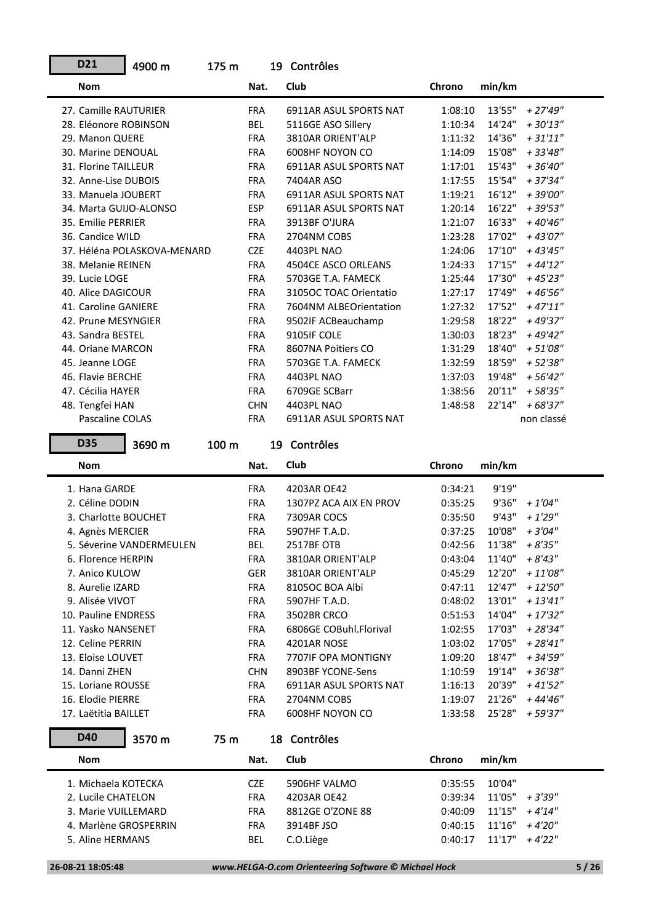| D21                    | 4900 m                      | 175 m |            | 19 Contrôles                  |         |        |            |
|------------------------|-----------------------------|-------|------------|-------------------------------|---------|--------|------------|
| <b>Nom</b>             |                             |       | Nat.       | Club                          | Chrono  | min/km |            |
| 27. Camille RAUTURIER  |                             |       | <b>FRA</b> | <b>6911AR ASUL SPORTS NAT</b> | 1:08:10 | 13'55" | $+27'49''$ |
| 28. Eléonore ROBINSON  |                             |       | <b>BEL</b> | 5116GE ASO Sillery            | 1:10:34 | 14'24" | $+30'13''$ |
| 29. Manon QUERE        |                             |       | <b>FRA</b> | 3810AR ORIENT'ALP             | 1:11:32 | 14'36" | $+31'11''$ |
| 30. Marine DENOUAL     |                             |       | <b>FRA</b> | 6008HF NOYON CO               | 1:14:09 | 15'08" | $+33'48''$ |
| 31. Florine TAILLEUR   |                             |       | <b>FRA</b> | <b>6911AR ASUL SPORTS NAT</b> | 1:17:01 | 15'43" | $+36'40''$ |
| 32. Anne-Lise DUBOIS   |                             |       | <b>FRA</b> | 7404AR ASO                    | 1:17:55 | 15'54" | $+37'34''$ |
| 33. Manuela JOUBERT    |                             |       | <b>FRA</b> | <b>6911AR ASUL SPORTS NAT</b> | 1:19:21 | 16'12" | + 39'00"   |
| 34. Marta GUIJO-ALONSO |                             |       | <b>ESP</b> | <b>6911AR ASUL SPORTS NAT</b> | 1:20:14 | 16'22" | $+39'53"$  |
| 35. Emilie PERRIER     |                             |       | <b>FRA</b> | 3913BF O'JURA                 | 1:21:07 | 16'33" | $+40'46"$  |
| 36. Candice WILD       |                             |       | <b>FRA</b> | 2704NM COBS                   | 1:23:28 | 17'02" | $+43'07''$ |
|                        | 37. Héléna POLASKOVA-MENARD |       | <b>CZE</b> | 4403PL NAO                    | 1:24:06 | 17'10" | $+43'45''$ |
| 38. Melanie REINEN     |                             |       | <b>FRA</b> | 4504CE ASCO ORLEANS           | 1:24:33 | 17'15" | $+44'12"$  |
| 39. Lucie LOGE         |                             |       | <b>FRA</b> | 5703GE T.A. FAMECK            | 1:25:44 | 17'30" | $+45'23''$ |
| 40. Alice DAGICOUR     |                             |       | <b>FRA</b> | 31050C TOAC Orientatio        | 1:27:17 | 17'49" | $+46'56''$ |
| 41. Caroline GANIERE   |                             |       | <b>FRA</b> | 7604NM ALBEOrientation        | 1:27:32 | 17'52" | $+47'11''$ |
| 42. Prune MESYNGIER    |                             |       | <b>FRA</b> | 9502IF ACBeauchamp            | 1:29:58 | 18'22" | + 49'37"   |
| 43. Sandra BESTEL      |                             |       | <b>FRA</b> | 9105IF COLE                   | 1:30:03 | 18'23" | $+49'42"$  |
| 44. Oriane MARCON      |                             |       | <b>FRA</b> | 8607NA Poitiers CO            | 1:31:29 | 18'40" | $+51'08"$  |
| 45. Jeanne LOGE        |                             |       | <b>FRA</b> | 5703GE T.A. FAMECK            | 1:32:59 | 18'59" | $+52'38''$ |
| 46. Flavie BERCHE      |                             |       | <b>FRA</b> | 4403PL NAO                    | 1:37:03 | 19'48" | $+56'42''$ |
| 47. Cécilia HAYER      |                             |       | <b>FRA</b> | 6709GE SCBarr                 | 1:38:56 | 20'11" | $+58'35"$  |
| 48. Tengfei HAN        |                             |       | <b>CHN</b> | 4403PL NAO                    | 1:48:58 | 22'14" | $+68'37''$ |
| <b>Pascaline COLAS</b> |                             |       | <b>FRA</b> | <b>6911AR ASUL SPORTS NAT</b> |         |        | non classé |
|                        |                             |       |            |                               |         |        |            |

3690 m 100 m 19 Contrôles

| Nat.       | Club                   | Chrono | min/km |                                                                                                                                                                                         |
|------------|------------------------|--------|--------|-----------------------------------------------------------------------------------------------------------------------------------------------------------------------------------------|
| <b>FRA</b> | 4203AR OE42            |        | 9'19"  |                                                                                                                                                                                         |
| <b>FRA</b> | 1307PZ ACA AIX EN PROV |        | 9'36"  | $+1'04''$                                                                                                                                                                               |
| <b>FRA</b> | 7309AR COCS            |        | 9'43"  | $+1'29''$                                                                                                                                                                               |
| <b>FRA</b> | 5907HF T.A.D.          |        | 10'08" | $+3'04''$                                                                                                                                                                               |
| BEL        | 2517BF OTB             |        | 11'38" | $+8'35"$                                                                                                                                                                                |
| <b>FRA</b> | 3810AR ORIENT'ALP      |        | 11'40" | $+8'43''$                                                                                                                                                                               |
| <b>GER</b> | 3810AR ORIENT'ALP      |        | 12'20" | $+11'08''$                                                                                                                                                                              |
| <b>FRA</b> | 8105OC BOA Albi        |        | 12'47" | $+12'50''$                                                                                                                                                                              |
| <b>FRA</b> | 5907HF T.A.D.          |        | 13'01" | $+13'41''$                                                                                                                                                                              |
| <b>FRA</b> | 3502BR CRCO            |        | 14'04" | $+17'32"$                                                                                                                                                                               |
| <b>FRA</b> | 6806GE COBuhl.Florival |        | 17'03" | $+28'34"$                                                                                                                                                                               |
| <b>FRA</b> | 4201AR NOSE            |        | 17'05" | $+28'41''$                                                                                                                                                                              |
| <b>FRA</b> | 7707IF OPA MONTIGNY    |        | 18'47" | + 34'59"                                                                                                                                                                                |
| <b>CHN</b> | 8903BF YCONE-Sens      |        | 19'14" | $+36'38"$                                                                                                                                                                               |
| <b>FRA</b> | 6911AR ASUL SPORTS NAT |        | 20'39" | $+41'52"$                                                                                                                                                                               |
| <b>FRA</b> | 2704NM COBS            |        | 21'26" | + 44'46"                                                                                                                                                                                |
| <b>FRA</b> | 6008HF NOYON CO        |        | 25'28" | $+59'37"$                                                                                                                                                                               |
|            |                        |        |        | 0:34:21<br>0:35:25<br>0:35:50<br>0:37:25<br>0:42:56<br>0:43:04<br>0:45:29<br>0:47:11<br>0:48:02<br>0:51:53<br>1:02:55<br>1:03:02<br>1:09:20<br>1:10:59<br>1:16:13<br>1:19:07<br>1:33:58 |

| D40                   | 3570 m | 75 m |            | 18 Contrôles     |         |        |           |
|-----------------------|--------|------|------------|------------------|---------|--------|-----------|
| <b>Nom</b>            |        |      | Nat.       | Club             | Chrono  | min/km |           |
| 1. Michaela KOTECKA   |        |      | CZE        | 5906HF VALMO     | 0:35:55 | 10'04" |           |
| 2. Lucile CHATELON    |        |      | <b>FRA</b> | 4203AR OE42      | 0:39:34 | 11'05" | $+3'39''$ |
| 3. Marie VUIILLEMARD  |        |      | <b>FRA</b> | 8812GE O'ZONE 88 | 0:40:09 | 11'15" | $+4'14"$  |
| 4. Marlène GROSPERRIN |        |      | <b>FRA</b> | 3914BF JSO       | 0:40:15 | 11'16" | + 4'20"   |
| 5. Aline HERMANS      |        |      | BEL        | C.O.Liège        | 0:40:17 | 11'17" | $+4'22"$  |
|                       |        |      |            |                  |         |        |           |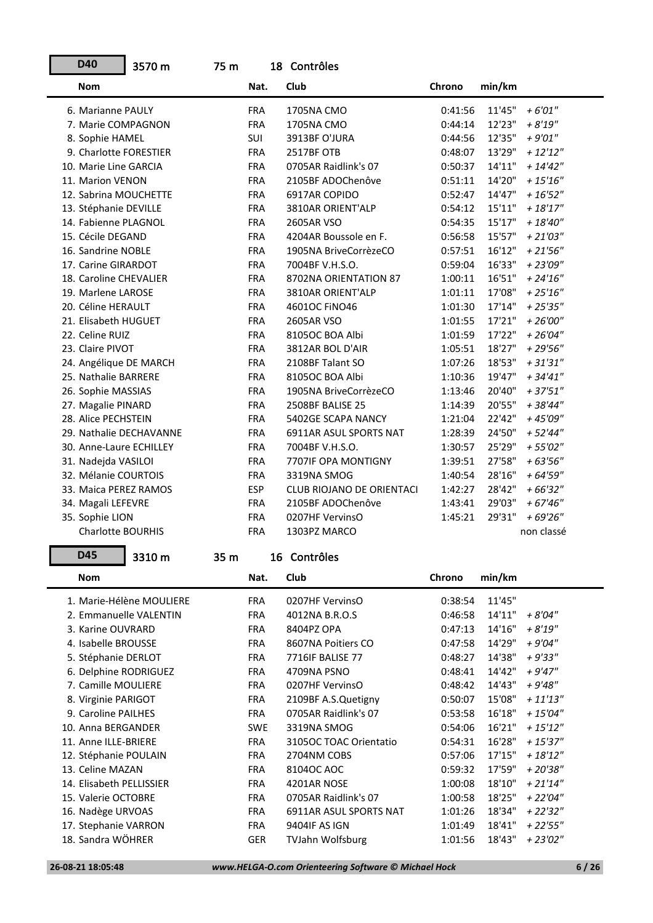| D40                      | 3570 m | 75 m |            | 18 Contrôles                     |         |        |             |
|--------------------------|--------|------|------------|----------------------------------|---------|--------|-------------|
| <b>Nom</b>               |        |      | Nat.       | Club                             | Chrono  | min/km |             |
| 6. Marianne PAULY        |        |      | <b>FRA</b> | 1705NA CMO                       | 0:41:56 | 11'45" | $+6'01''$   |
| 7. Marie COMPAGNON       |        |      | <b>FRA</b> | 1705NA CMO                       | 0:44:14 | 12'23" | $+8'19''$   |
| 8. Sophie HAMEL          |        |      | <b>SUI</b> | 3913BF O'JURA                    | 0:44:56 | 12'35" | $+9'01"$    |
| 9. Charlotte FORESTIER   |        |      | <b>FRA</b> | 2517BF OTB                       | 0:48:07 | 13'29" | $+ 12'12''$ |
| 10. Marie Line GARCIA    |        |      | <b>FRA</b> | 0705AR Raidlink's 07             | 0:50:37 | 14'11" | $+ 14'42''$ |
| 11. Marion VENON         |        |      | <b>FRA</b> | 2105BF ADOChenôve                | 0:51:11 | 14'20" | $+15'16''$  |
| 12. Sabrina MOUCHETTE    |        |      | <b>FRA</b> | 6917AR COPIDO                    | 0:52:47 | 14'47" | $+16'52''$  |
| 13. Stéphanie DEVILLE    |        |      | <b>FRA</b> | 3810AR ORIENT'ALP                | 0:54:12 | 15'11" | $+ 18'17''$ |
| 14. Fabienne PLAGNOL     |        |      | <b>FRA</b> | 2605AR VSO                       | 0:54:35 | 15'17" | $+18'40''$  |
| 15. Cécile DEGAND        |        |      | <b>FRA</b> | 4204AR Boussole en F.            | 0:56:58 | 15'57" | $+21'03''$  |
| 16. Sandrine NOBLE       |        |      | <b>FRA</b> | 1905NA BriveCorrèzeCO            | 0:57:51 | 16'12" | $+21'56''$  |
| 17. Carine GIRARDOT      |        |      | <b>FRA</b> | 7004BF V.H.S.O.                  | 0:59:04 | 16'33" | $+23'09''$  |
| 18. Caroline CHEVALIER   |        |      | <b>FRA</b> | 8702NA ORIENTATION 87            | 1:00:11 | 16'51" | $+ 24'16''$ |
| 19. Marlene LAROSE       |        |      | <b>FRA</b> | 3810AR ORIENT'ALP                | 1:01:11 | 17'08" | $+25'16''$  |
| 20. Céline HERAULT       |        |      | <b>FRA</b> | 46010C FINO46                    | 1:01:30 | 17'14" | $+25'35''$  |
| 21. Elisabeth HUGUET     |        |      | <b>FRA</b> | 2605AR VSO                       | 1:01:55 | 17'21" | $+26'00''$  |
| 22. Celine RUIZ          |        |      | <b>FRA</b> | 8105OC BOA Albi                  | 1:01:59 | 17'22" | $+26'04"$   |
| 23. Claire PIVOT         |        |      | <b>FRA</b> | 3812AR BOL D'AIR                 | 1:05:51 | 18'27" | $+29'56''$  |
| 24. Angélique DE MARCH   |        |      | <b>FRA</b> | 2108BF Talant SO                 | 1:07:26 | 18'53" | $+31'31''$  |
| 25. Nathalie BARRERE     |        |      | <b>FRA</b> | 8105OC BOA Albi                  | 1:10:36 | 19'47" | $+34'41''$  |
| 26. Sophie MASSIAS       |        |      | <b>FRA</b> | 1905NA BriveCorrèzeCO            | 1:13:46 | 20'40" | $+37'51"$   |
| 27. Magalie PINARD       |        |      | <b>FRA</b> | <b>2508BF BALISE 25</b>          | 1:14:39 | 20'55" | $+38'44"$   |
| 28. Alice PECHSTEIN      |        |      | <b>FRA</b> | 5402GE SCAPA NANCY               | 1:21:04 | 22'42" | +45'09"     |
| 29. Nathalie DECHAVANNE  |        |      | <b>FRA</b> | 6911AR ASUL SPORTS NAT           | 1:28:39 | 24'50" | $+52'44''$  |
| 30. Anne-Laure ECHILLEY  |        |      | <b>FRA</b> | 7004BF V.H.S.O.                  | 1:30:57 | 25'29" | $+55'02''$  |
| 31. Nadejda VASILOI      |        |      | <b>FRA</b> | 7707IF OPA MONTIGNY              | 1:39:51 | 27'58" | $+63'56''$  |
| 32. Mélanie COURTOIS     |        |      | <b>FRA</b> | 3319NA SMOG                      | 1:40:54 | 28'16" | $+64'59''$  |
| 33. Maica PEREZ RAMOS    |        |      | <b>ESP</b> | <b>CLUB RIOJANO DE ORIENTACI</b> | 1:42:27 | 28'42" | $+66'32"$   |
| 34. Magali LEFEVRE       |        |      | <b>FRA</b> | 2105BF ADOChenôve                | 1:43:41 | 29'03" | $+67'46''$  |
| 35. Sophie LION          |        |      | <b>FRA</b> | 0207HF VervinsO                  | 1:45:21 | 29'31" | $+69'26"$   |
| <b>Charlotte BOURHIS</b> |        |      | <b>FRA</b> | 1303PZ MARCO                     |         |        | non classé  |

| <b>Nom</b>               | Nat.       | Club                          | Chrono  | min/km |            |
|--------------------------|------------|-------------------------------|---------|--------|------------|
| 1. Marie-Hélène MOULIERE | <b>FRA</b> | 0207HF VervinsO               | 0:38:54 | 11'45" |            |
| 2. Emmanuelle VALENTIN   | <b>FRA</b> | 4012NA B.R.O.S                | 0:46:58 | 14'11" | + 8'04"    |
| 3. Karine OUVRARD        | <b>FRA</b> | 8404PZ OPA                    | 0:47:13 | 14'16" | $+8'19''$  |
| 4. Isabelle BROUSSE      | <b>FRA</b> | 8607NA Poitiers CO            | 0:47:58 | 14'29" | $+9'04"$   |
| 5. Stéphanie DERLOT      | <b>FRA</b> | <b>7716IF BALISE 77</b>       | 0:48:27 | 14'38" | $+9'33"$   |
| 6. Delphine RODRIGUEZ    | <b>FRA</b> | 4709NA PSNO                   | 0:48:41 | 14'42" | $+9'47''$  |
| 7. Camille MOULIERE      | <b>FRA</b> | 0207HF VervinsO               | 0:48:42 | 14'43" | $+9'48''$  |
| 8. Virginie PARIGOT      | <b>FRA</b> | 2109BF A.S.Quetigny           | 0:50:07 | 15'08" | $+11'13''$ |
| 9. Caroline PAILHES      | <b>FRA</b> | 0705AR Raidlink's 07          | 0:53:58 | 16'18" | $+15'04''$ |
| 10. Anna BERGANDER       | <b>SWE</b> | 3319NA SMOG                   | 0:54:06 | 16'21" | $+15'12''$ |
| 11. Anne ILLE-BRIERE     | <b>FRA</b> | 31050C TOAC Orientatio        | 0:54:31 | 16'28" | $+15'37''$ |
| 12. Stéphanie POULAIN    | <b>FRA</b> | 2704NM COBS                   | 0:57:06 | 17'15" | $+18'12"$  |
| 13. Celine MAZAN         | <b>FRA</b> | 81040C AOC                    | 0:59:32 | 17'59" | $+20'38"$  |
| 14. Elisabeth PELLISSIER | <b>FRA</b> | 4201AR NOSE                   | 1:00:08 | 18'10" | $+21'14"$  |
| 15. Valerie OCTOBRE      | <b>FRA</b> | 0705AR Raidlink's 07          | 1:00:58 | 18'25" | $+22'04"$  |
| 16. Nadège URVOAS        | <b>FRA</b> | <b>6911AR ASUL SPORTS NAT</b> | 1:01:26 | 18'34" | $+22'32"$  |
| 17. Stephanie VARRON     | <b>FRA</b> | 9404IF AS IGN                 | 1:01:49 | 18'41" | $+22'55''$ |
| 18. Sandra WÖHRER        | <b>GER</b> | <b>TVJahn Wolfsburg</b>       | 1:01:56 | 18'43" | $+23'02''$ |

16 Contrôles

**D45**

÷

3310 m 35 m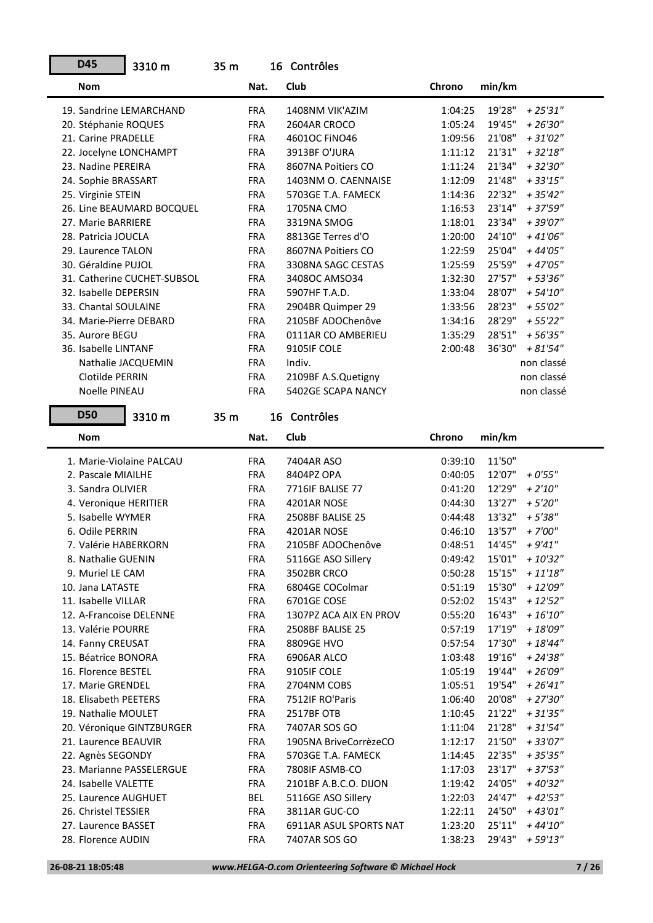| 19. Sandrine LEMARCHAND     | <b>FRA</b> | 1408NM VIK'AZIM         | 1:04:25 | 19'28"<br>$+25'31''$  |
|-----------------------------|------------|-------------------------|---------|-----------------------|
| 20. Stéphanie ROQUES        | <b>FRA</b> | 2604AR CROCO            | 1:05:24 | 19'45"<br>$+26'30''$  |
| 21. Carine PRADELLE         | <b>FRA</b> | 46010C FINO46           | 1:09:56 | 21'08"<br>$+31'02''$  |
| 22. Jocelyne LONCHAMPT      | <b>FRA</b> | 3913BF O'JURA           | 1:11:12 | 21'31"<br>$+32'18''$  |
| 23. Nadine PEREIRA          | <b>FRA</b> | 8607NA Poitiers CO      | 1:11:24 | 21'34"<br>$+32'30''$  |
| 24. Sophie BRASSART         | <b>FRA</b> | 1403NM O. CAENNAISE     | 1:12:09 | 21'48"<br>$+33'15''$  |
| 25. Virginie STEIN          | <b>FRA</b> | 5703GE T.A. FAMECK      | 1:14:36 | 22'32"<br>$+35'42''$  |
| 26. Line BEAUMARD BOCQUEL   | <b>FRA</b> | 1705NA CMO              | 1:16:53 | 23'14"<br>+ 37'59"    |
| 27. Marie BARRIERE          | <b>FRA</b> | 3319NA SMOG             | 1:18:01 | 23'34"<br>+39'07"     |
| 28. Patricia JOUCLA         | <b>FRA</b> | 8813GE Terres d'O       | 1:20:00 | 24'10"<br>$+41'06"$   |
| 29. Laurence TALON          | <b>FRA</b> | 8607NA Poitiers CO      | 1:22:59 | 25'04"<br>$+44'05"$   |
| 30. Géraldine PUJOL         | <b>FRA</b> | 3308NA SAGC CESTAS      | 1:25:59 | 25'59"<br>$+47'05"$   |
| 31. Catherine CUCHET-SUBSOL | <b>FRA</b> | 3408OC AMSO34           | 1:32:30 | 27'57"<br>$+53'36''$  |
|                             |            |                         |         | 28'07"                |
| 32. Isabelle DEPERSIN       | <b>FRA</b> | 5907HF T.A.D.           | 1:33:04 | $+ 54'10''$           |
| 33. Chantal SOULAINE        | <b>FRA</b> | 2904BR Quimper 29       | 1:33:56 | 28'23"<br>$+55'02"$   |
| 34. Marie-Pierre DEBARD     | <b>FRA</b> | 2105BF ADOChenôve       | 1:34:16 | 28'29"<br>$+55'22"$   |
| 35. Aurore BEGU             | <b>FRA</b> | 0111AR CO AMBERIEU      | 1:35:29 | 28'51"<br>$+56'35"$   |
| 36. Isabelle LINTANF        | <b>FRA</b> | 9105IF COLE             | 2:00:48 | 36'30"<br>$+81'54"$   |
| Nathalie JACQUEMIN          | <b>FRA</b> | Indiv.                  |         | non classé            |
| Clotilde PERRIN             | <b>FRA</b> | 2109BF A.S.Quetigny     |         | non classé            |
| Noelle PINEAU               | <b>FRA</b> | 5402GE SCAPA NANCY      |         | non classé            |
| <b>D50</b><br>3310 m        | 35 m       | 16 Contrôles            |         |                       |
|                             |            |                         |         |                       |
| <b>Nom</b>                  | Nat.       | Club                    | Chrono  | min/km                |
| 1. Marie-Violaine PALCAU    | <b>FRA</b> | 7404AR ASO              | 0:39:10 | 11'50"                |
| 2. Pascale MIAILHE          | <b>FRA</b> | 8404PZ OPA              | 0:40:05 | 12'07"<br>$+0'55"$    |
|                             |            |                         |         |                       |
|                             |            |                         |         |                       |
| 3. Sandra OLIVIER           | <b>FRA</b> | 7716IF BALISE 77        | 0:41:20 | 12'29"<br>$+ 2'10''$  |
| 4. Veronique HERITIER       | <b>FRA</b> | 4201AR NOSE             | 0:44:30 | 13'27"<br>$+5'20''$   |
| 5. Isabelle WYMER           | <b>FRA</b> | 2508BF BALISE 25        | 0:44:48 | 13'32"<br>$+5'38''$   |
| 6. Odile PERRIN             | <b>FRA</b> | 4201AR NOSE             | 0:46:10 | 13'57"<br>$+7'00''$   |
| 7. Valérie HABERKORN        | <b>FRA</b> | 2105BF ADOChenôve       | 0:48:51 | 14'45"<br>$+9'41''$   |
| 8. Nathalie GUENIN          | <b>FRA</b> | 5116GE ASO Sillery      | 0:49:42 | 15'01"<br>$+10'32"$   |
| 9. Muriel LE CAM            | <b>FRA</b> | 3502BR CRCO             | 0:50:28 | 15'15"<br>$+ 11'18''$ |
| 10. Jana LATASTE            | <b>FRA</b> | 6804GE COColmar         | 0:51:19 | 15'30"<br>$+12'09''$  |
| 11. Isabelle VILLAR         | <b>FRA</b> | 6701GE COSE             | 0:52:02 | 15'43"<br>$+12'52''$  |
| 12. A-Francoise DELENNE     | <b>FRA</b> | 1307PZ ACA AIX EN PROV  | 0:55:20 | 16'43"<br>$+ 16'10''$ |
| 13. Valérie POURRE          | <b>FRA</b> | <b>2508BF BALISE 25</b> | 0:57:19 | 17'19"<br>$+ 18'09''$ |
| 14. Fanny CREUSAT           | <b>FRA</b> | 8809GE HVO              | 0:57:54 | 17'30"<br>$+18'44"$   |
| 15. Béatrice BONORA         | <b>FRA</b> | 6906AR ALCO             | 1:03:48 | 19'16"<br>$+ 24'38''$ |
| 16. Florence BESTEL         | <b>FRA</b> | 9105IF COLE             | 1:05:19 | 19'44"<br>$+26'09''$  |
| 17. Marie GRENDEL           | <b>FRA</b> | 2704NM COBS             | 1:05:51 | 19'54"<br>$+26'41''$  |
| 18. Elisabeth PEETERS       | <b>FRA</b> | 7512IF RO'Paris         | 1:06:40 | 20'08"<br>$+27'30''$  |
| 19. Nathalie MOULET         | <b>FRA</b> | 2517BF OTB              | 1:10:45 | 21'22"<br>$+31'35''$  |
| 20. Véronique GINTZBURGER   | <b>FRA</b> | 7407AR SOS GO           | 1:11:04 | 21'28"<br>$+31'54"$   |
| 21. Laurence BEAUVIR        | <b>FRA</b> | 1905NA BriveCorrèzeCO   | 1:12:17 | 21'50"<br>+ 33'07"    |
| 22. Agnès SEGONDY           | <b>FRA</b> | 5703GE T.A. FAMECK      | 1:14:45 | 22'35"<br>$+35'35''$  |
| 23. Marianne PASSELERGUE    | <b>FRA</b> | 7808IF ASMB-CO          | 1:17:03 | 23'17"<br>$+37'53''$  |
| 24. Isabelle VALETTE        | FRA        | 2101BF A.B.C.O. DIJON   | 1:19:42 | 24'05"<br>+ 40'32"    |
| 25. Laurence AUGHUET        | BEL        | 5116GE ASO Sillery      | 1:22:03 | 24'47"<br>$+42'53''$  |
| 26. Christel TESSIER        | <b>FRA</b> | 3811AR GUC-CO           | 1:22:11 | 24'50"<br>$+43'01"$   |
| 27. Laurence BASSET         | <b>FRA</b> | 6911AR ASUL SPORTS NAT  | 1:23:20 | 25'11"<br>$+44'10''$  |
| 28. Florence AUDIN          | <b>FRA</b> | 7407AR SOS GO           | 1:38:23 | 29'43"<br>$+59'13''$  |

**Nom Chronoon Chronoon Chronoon Nat.** Club

16 Contrôles

Nat. Club **Chrono** min/km

3310 m 35 m

**D45**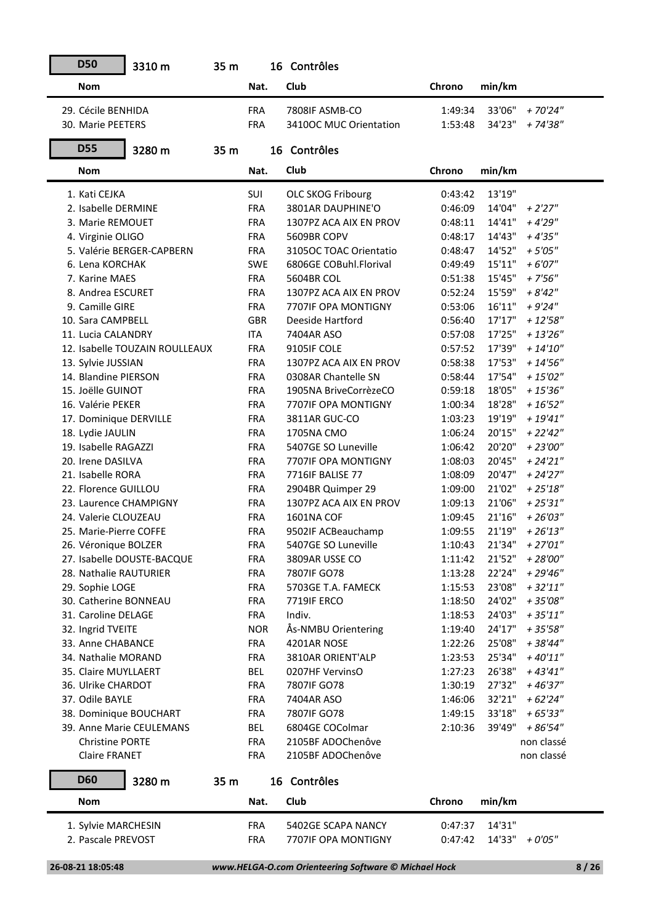| <b>D50</b>             | 3310 m                         | 35 m |            | 16 Contrôles             |         |        |                    |
|------------------------|--------------------------------|------|------------|--------------------------|---------|--------|--------------------|
| <b>Nom</b>             |                                |      | Nat.       | Club                     | Chrono  | min/km |                    |
| 29. Cécile BENHIDA     |                                |      | <b>FRA</b> | 7808IF ASMB-CO           | 1:49:34 | 33'06" | + 70'24"           |
| 30. Marie PEETERS      |                                |      | <b>FRA</b> | 3410OC MUC Orientation   | 1:53:48 | 34'23" | + 74'38"           |
| <b>D55</b>             | 3280 m                         | 35 m |            | 16 Contrôles             |         |        |                    |
| <b>Nom</b>             |                                |      | Nat.       | Club                     | Chrono  | min/km |                    |
| 1. Kati CEJKA          |                                |      | SUI        | <b>OLC SKOG Fribourg</b> | 0:43:42 | 13'19" |                    |
| 2. Isabelle DERMINE    |                                |      | <b>FRA</b> | 3801AR DAUPHINE'O        | 0:46:09 | 14'04" | $+2'27''$          |
| 3. Marie REMOUET       |                                |      | <b>FRA</b> | 1307PZ ACA AIX EN PROV   | 0:48:11 | 14'41" | $+4'29''$          |
| 4. Virginie OLIGO      |                                |      | <b>FRA</b> | 5609BR COPV              | 0:48:17 | 14'43" | $+4'35"$           |
|                        | 5. Valérie BERGER-CAPBERN      |      | <b>FRA</b> | 3105OC TOAC Orientatio   | 0:48:47 | 14'52" | $+5'05''$          |
| 6. Lena KORCHAK        |                                |      | <b>SWE</b> | 6806GE COBuhl.Florival   | 0:49:49 | 15'11" | $+6'07''$          |
| 7. Karine MAES         |                                |      | <b>FRA</b> | 5604BR COL               | 0:51:38 | 15'45" | $+7'56''$          |
| 8. Andrea ESCURET      |                                |      | <b>FRA</b> | 1307PZ ACA AIX EN PROV   | 0:52:24 | 15'59" | $+8'42''$          |
| 9. Camille GIRE        |                                |      | <b>FRA</b> | 7707IF OPA MONTIGNY      | 0:53:06 | 16'11" | $+9'24''$          |
| 10. Sara CAMPBELL      |                                |      | <b>GBR</b> | Deeside Hartford         | 0:56:40 | 17'17" | $+12'58''$         |
| 11. Lucia CALANDRY     |                                |      | <b>ITA</b> | 7404AR ASO               | 0:57:08 | 17'25" | $+13'26''$         |
|                        | 12. Isabelle TOUZAIN ROULLEAUX |      | <b>FRA</b> | 9105IF COLE              | 0:57:52 | 17'39" | $+ 14'10''$        |
| 13. Sylvie JUSSIAN     |                                |      | <b>FRA</b> | 1307PZ ACA AIX EN PROV   | 0:58:38 | 17'53" | $+ 14'56''$        |
| 14. Blandine PIERSON   |                                |      | <b>FRA</b> | 0308AR Chantelle SN      | 0:58:44 | 17'54" | $+15'02''$         |
| 15. Joëlle GUINOT      |                                |      | <b>FRA</b> | 1905NA BriveCorrèzeCO    | 0:59:18 | 18'05" | $+15'36''$         |
| 16. Valérie PEKER      |                                |      | <b>FRA</b> | 7707IF OPA MONTIGNY      | 1:00:34 | 18'28" | $+16'52"$          |
| 17. Dominique DERVILLE |                                |      | <b>FRA</b> | 3811AR GUC-CO            | 1:03:23 | 19'19" | $+19'41"$          |
| 18. Lydie JAULIN       |                                |      | <b>FRA</b> | 1705NA CMO               | 1:06:24 | 20'15" | + 22'42"           |
| 19. Isabelle RAGAZZI   |                                |      | <b>FRA</b> | 5407GE SO Luneville      | 1:06:42 | 20'20" | $+23'00''$         |
| 20. Irene DASILVA      |                                |      | <b>FRA</b> | 7707IF OPA MONTIGNY      | 1:08:03 | 20'45" | $+ 24'21''$        |
| 21. Isabelle RORA      |                                |      | <b>FRA</b> | 7716IF BALISE 77         | 1:08:09 | 20'47" | $+24'27''$         |
| 22. Florence GUILLOU   |                                |      | <b>FRA</b> | 2904BR Quimper 29        | 1:09:00 | 21'02" | $+25'18''$         |
| 23. Laurence CHAMPIGNY |                                |      | <b>FRA</b> | 1307PZ ACA AIX EN PROV   | 1:09:13 | 21'06" | $+25'31''$         |
| 24. Valerie CLOUZEAU   |                                |      | <b>FRA</b> | 1601NA COF               | 1:09:45 | 21'16" | $+26'03''$         |
| 25. Marie-Pierre COFFE |                                |      | <b>FRA</b> | 9502IF ACBeauchamp       | 1:09:55 | 21'19" | $+26'13''$         |
| 26. Véronique BOLZER   |                                |      | <b>FRA</b> | 5407GE SO Luneville      | 1:10:43 | 21'34" | $+27'01''$         |
|                        | 27. Isabelle DOUSTE-BACQUE     |      | <b>FRA</b> | 3809AR USSE CO           | 1:11:42 | 21'52" | + 28'00"           |
| 28. Nathalie RAUTURIER |                                |      | <b>FRA</b> | 7807IF GO78              | 1:13:28 | 22'24" | $+29'46''$         |
| 29. Sophie LOGE        |                                |      | <b>FRA</b> | 5703GE T.A. FAMECK       | 1:15:53 | 23'08" | $+32'11''$         |
| 30. Catherine BONNEAU  |                                |      | <b>FRA</b> | <b>7719IF ERCO</b>       | 1:18:50 | 24'02" | $+35'08''$         |
| 31. Caroline DELAGE    |                                |      | <b>FRA</b> | Indiv.                   | 1:18:53 | 24'03" | $+35'11''$         |
| 32. Ingrid TVEITE      |                                |      | <b>NOR</b> | Ås-NMBU Orientering      | 1:19:40 | 24'17" | $+35'58"$          |
| 33. Anne CHABANCE      |                                |      | <b>FRA</b> | 4201AR NOSE              | 1:22:26 | 25'08" | + 38'44"           |
| 34. Nathalie MORAND    |                                |      | <b>FRA</b> | 3810AR ORIENT'ALP        | 1:23:53 | 25'34" | $+40'11"$          |
| 35. Claire MUYLLAERT   |                                |      | <b>BEL</b> | 0207HF VervinsO          | 1:27:23 | 26'38" | $+43'41''$         |
| 36. Ulrike CHARDOT     |                                |      | <b>FRA</b> | 7807IF GO78              | 1:30:19 | 27'32" | $+46'37''$         |
| 37. Odile BAYLE        |                                |      | <b>FRA</b> | 7404AR ASO               | 1:46:06 | 32'21" | $+62'24"$          |
| 38. Dominique BOUCHART |                                |      | <b>FRA</b> | 7807IF GO78              | 1:49:15 | 33'18" | + 65'33"           |
|                        | 39. Anne Marie CEULEMANS       |      | BEL        | 6804GE COColmar          | 2:10:36 | 39'49" | $+86'54"$          |
| <b>Christine PORTE</b> |                                |      | <b>FRA</b> | 2105BF ADOChenôve        |         |        | non classé         |
| <b>Claire FRANET</b>   |                                |      | <b>FRA</b> | 2105BF ADOChenôve        |         |        | non classé         |
| <b>D60</b>             | 3280 m                         | 35 m |            | 16 Contrôles             |         |        |                    |
| <b>Nom</b>             |                                |      | Nat.       | Club                     | Chrono  | min/km |                    |
| 1. Sylvie MARCHESIN    |                                |      | <b>FRA</b> | 5402GE SCAPA NANCY       | 0:47:37 | 14'31" |                    |
| 2. Pascale PREVOST     |                                |      | <b>FRA</b> | 7707IF OPA MONTIGNY      | 0:47:42 |        | $14'33'' + 0'05''$ |
|                        |                                |      |            |                          |         |        |                    |

 **<sup>26-08-21 18:05:48</sup>** *www.HELGA-O.com Orienteering Software © Michael Hock* **8 / 26**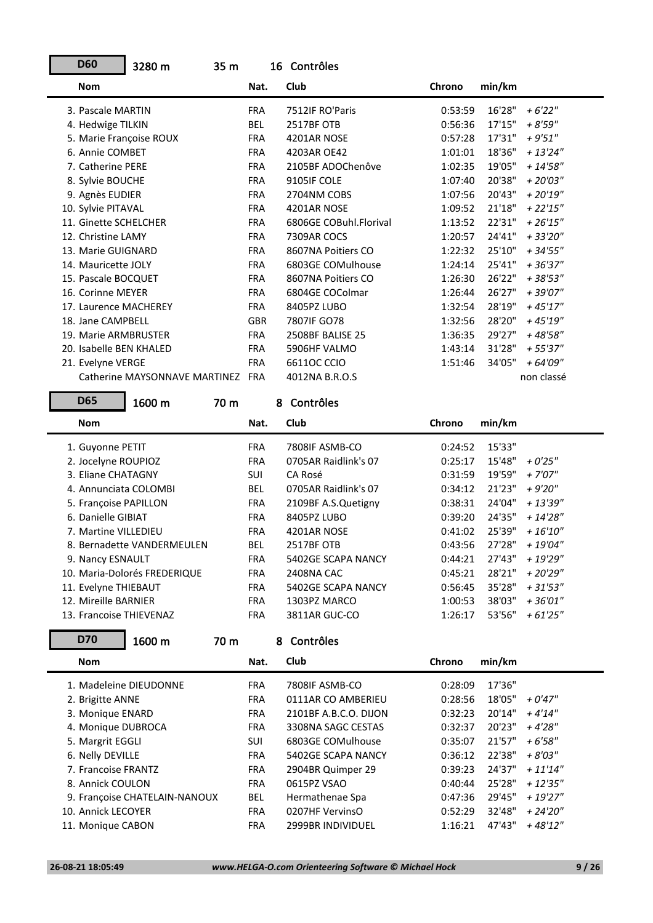| <b>D60</b>              | 3280 m                        | 35 <sub>m</sub> |            | 16 Contrôles           |         |        |             |
|-------------------------|-------------------------------|-----------------|------------|------------------------|---------|--------|-------------|
| <b>Nom</b>              |                               |                 | Nat.       | Club                   | Chrono  | min/km |             |
| 3. Pascale MARTIN       |                               |                 | <b>FRA</b> | 7512IF RO'Paris        | 0:53:59 | 16'28" | $+6'22"$    |
| 4. Hedwige TILKIN       |                               |                 | BEL        | 2517BF OTB             | 0:56:36 | 17'15" | $+8'59''$   |
| 5. Marie Françoise ROUX |                               |                 | <b>FRA</b> | 4201AR NOSE            | 0:57:28 | 17'31" | $+9'51"$    |
| 6. Annie COMBET         |                               |                 | <b>FRA</b> | 4203AR OE42            | 1:01:01 | 18'36" | $+13'24''$  |
| 7. Catherine PERE       |                               |                 | <b>FRA</b> | 2105BF ADOChenôve      | 1:02:35 | 19'05" | $+ 14'58''$ |
| 8. Sylvie BOUCHE        |                               |                 | <b>FRA</b> | 9105IF COLE            | 1:07:40 | 20'38" | $+20'03"$   |
| 9. Agnès EUDIER         |                               |                 | <b>FRA</b> | 2704NM COBS            | 1:07:56 | 20'43" | $+20'19''$  |
| 10. Sylvie PITAVAL      |                               |                 | <b>FRA</b> | 4201AR NOSE            | 1:09:52 | 21'18" | $+22'15''$  |
| 11. Ginette SCHELCHER   |                               |                 | <b>FRA</b> | 6806GE COBuhl.Florival | 1:13:52 | 22'31" | $+26'15"$   |
| 12. Christine LAMY      |                               |                 | <b>FRA</b> | 7309AR COCS            | 1:20:57 | 24'41" | + 33'20"    |
| 13. Marie GUIGNARD      |                               |                 | <b>FRA</b> | 8607NA Poitiers CO     | 1:22:32 | 25'10" | $+34'55"$   |
| 14. Mauricette JOLY     |                               |                 | <b>FRA</b> | 6803GE COMulhouse      | 1:24:14 | 25'41" | $+36'37"$   |
| 15. Pascale BOCQUET     |                               |                 | <b>FRA</b> | 8607NA Poitiers CO     | 1:26:30 | 26'22" | $+38'53''$  |
| 16. Corinne MEYER       |                               |                 | <b>FRA</b> | 6804GE COColmar        | 1:26:44 | 26'27" | + 39'07"    |
| 17. Laurence MACHEREY   |                               |                 | <b>FRA</b> | 8405PZ LUBO            | 1:32:54 | 28'19" | $+45'17''$  |
| 18. Jane CAMPBELL       |                               |                 | <b>GBR</b> | 7807IF GO78            | 1:32:56 | 28'20" | + 45'19"    |
| 19. Marie ARMBRUSTER    |                               |                 | <b>FRA</b> | 2508BF BALISE 25       | 1:36:35 | 29'27" | +48'58"     |
| 20. Isabelle BEN KHALED |                               |                 | <b>FRA</b> | 5906HF VALMO           | 1:43:14 | 31'28" | + 55'37"    |
| 21. Evelyne VERGE       |                               |                 | <b>FRA</b> | 66110C CCIO            | 1:51:46 | 34'05" | + 64'09"    |
|                         | Catherine MAYSONNAVE MARTINEZ |                 | <b>FRA</b> | 4012NA B.R.O.S         |         |        | non classé  |
|                         |                               |                 |            |                        |         |        |             |

| <b>D65</b>              | 1600 m                       | 70 m |            | 8 | Contrôles            |               |        |             |
|-------------------------|------------------------------|------|------------|---|----------------------|---------------|--------|-------------|
| <b>Nom</b>              |                              |      | Nat.       |   | <b>Club</b>          | <b>Chrono</b> | min/km |             |
| 1. Guyonne PETIT        |                              |      | <b>FRA</b> |   | 7808IF ASMB-CO       | 0:24:52       | 15'33" |             |
| 2. Jocelyne ROUPIOZ     |                              |      | <b>FRA</b> |   | 0705AR Raidlink's 07 | 0:25:17       | 15'48" | $+0'25''$   |
| 3. Eliane CHATAGNY      |                              |      | <b>SUI</b> |   | CA Rosé              | 0:31:59       | 19'59" | $+7'07''$   |
| 4. Annunciata COLOMBI   |                              |      | <b>BEL</b> |   | 0705AR Raidlink's 07 | 0:34:12       | 21'23" | $+9'20''$   |
| 5. Françoise PAPILLON   |                              |      | <b>FRA</b> |   | 2109BF A.S.Quetigny  | 0:38:31       | 24'04" | $+13'39''$  |
| 6. Danielle GIBIAT      |                              |      | <b>FRA</b> |   | 8405PZ LUBO          | 0:39:20       | 24'35" | $+ 14'28''$ |
| 7. Martine VILLEDIEU    |                              |      | <b>FRA</b> |   | 4201AR NOSE          | 0:41:02       | 25'39" | $+16'10''$  |
|                         | 8. Bernadette VANDERMEULEN   |      | <b>BEL</b> |   | <b>2517BF OTB</b>    | 0:43:56       | 27'28" | $+19'04"$   |
| 9. Nancy ESNAULT        |                              |      | <b>FRA</b> |   | 5402GE SCAPA NANCY   | 0:44:21       | 27'43" | + 19'29"    |
|                         | 10. Maria-Dolorés FREDERIQUE |      | <b>FRA</b> |   | 2408NA CAC           | 0:45:21       | 28'21" | $+20'29''$  |
| 11. Evelyne THIEBAUT    |                              |      | <b>FRA</b> |   | 5402GE SCAPA NANCY   | 0:56:45       | 35'28" | $+31'53"$   |
| 12. Mireille BARNIER    |                              |      | <b>FRA</b> |   | 1303PZ MARCO         | 1:00:53       | 38'03" | $+36'01"$   |
| 13. Francoise THIEVENAZ |                              |      | <b>FRA</b> |   | 3811AR GUC-CO        | 1:26:17       | 53'56" | $+61'25"$   |

| <b>D70</b>             | 1600 m                        | 70 m |            | 8. | Contrôles             |         |        |            |
|------------------------|-------------------------------|------|------------|----|-----------------------|---------|--------|------------|
| <b>Nom</b>             |                               |      | Nat.       |    | Club                  | Chrono  | min/km |            |
| 1. Madeleine DIEUDONNE |                               |      | <b>FRA</b> |    | 7808IF ASMB-CO        | 0:28:09 | 17'36" |            |
| 2. Brigitte ANNE       |                               |      | <b>FRA</b> |    | 0111AR CO AMBERIEU    | 0:28:56 | 18'05" | $+0'47''$  |
| 3. Monique ENARD       |                               |      | <b>FRA</b> |    | 2101BF A.B.C.O. DIJON | 0:32:23 | 20'14" | $+4'14''$  |
| 4. Monique DUBROCA     |                               |      | <b>FRA</b> |    | 3308NA SAGC CESTAS    | 0:32:37 | 20'23" | $+4'28''$  |
| 5. Margrit EGGLI       |                               |      | <b>SUI</b> |    | 6803GE COMulhouse     | 0:35:07 | 21'57" | $+6'58''$  |
| 6. Nelly DEVILLE       |                               |      | <b>FRA</b> |    | 5402GE SCAPA NANCY    | 0:36:12 | 22'38" | $+8'03''$  |
| 7. Francoise FRANTZ    |                               |      | <b>FRA</b> |    | 2904BR Quimper 29     | 0:39:23 | 24'37" | $+11'14"$  |
| 8. Annick COULON       |                               |      | <b>FRA</b> |    | 0615PZ VSAO           | 0:40:44 | 25'28" | $+12'35''$ |
|                        | 9. Françoise CHATELAIN-NANOUX |      | <b>BEL</b> |    | Hermathenae Spa       | 0:47:36 | 29'45" | $+19'27''$ |
| 10. Annick LECOYER     |                               |      | <b>FRA</b> |    | 0207HF VervinsO       | 0:52:29 | 32'48" | $+24'20''$ |
| 11. Monique CABON      |                               |      | <b>FRA</b> |    | 2999BR INDIVIDUEL     | 1:16:21 | 47'43" | $+48'12"$  |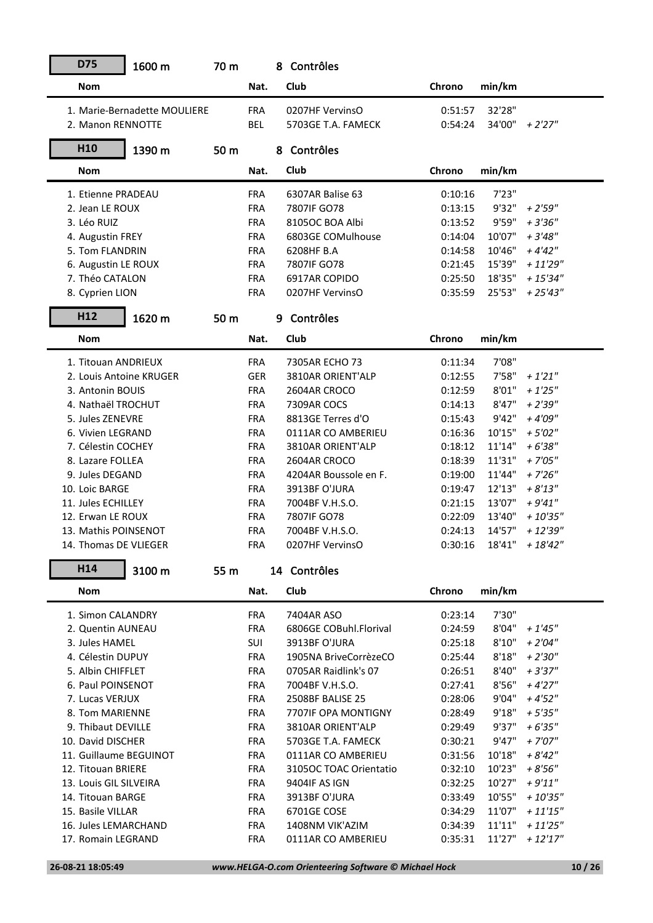| <b>D75</b><br>1600 m         | 70 m |            | 8 Contrôles                     |                    |                |                        |
|------------------------------|------|------------|---------------------------------|--------------------|----------------|------------------------|
| <b>Nom</b>                   |      | Nat.       | Club                            | Chrono             | min/km         |                        |
| 1. Marie-Bernadette MOULIERE |      | <b>FRA</b> | 0207HF VervinsO                 | 0:51:57            | 32'28"         |                        |
| 2. Manon RENNOTTE            |      | <b>BEL</b> | 5703GE T.A. FAMECK              | 0:54:24            | 34'00"         | + 2'27"                |
| H <sub>10</sub><br>1390 m    | 50 m |            | 8 Contrôles                     |                    |                |                        |
| <b>Nom</b>                   |      | Nat.       | Club                            | Chrono             | min/km         |                        |
| 1. Etienne PRADEAU           |      |            |                                 |                    |                |                        |
| 2. Jean LE ROUX              |      | <b>FRA</b> | 6307AR Balise 63<br>7807IF GO78 | 0:10:16<br>0:13:15 | 7'23"<br>9'32" |                        |
| 3. Léo RUIZ                  |      | <b>FRA</b> | 8105OC BOA Albi                 |                    | 9'59"          | $+2'59''$<br>$+3'36''$ |
|                              |      | <b>FRA</b> |                                 | 0:13:52            | 10'07"         | $+3'48''$              |
| 4. Augustin FREY             |      | <b>FRA</b> | 6803GE COMulhouse               | 0:14:04            |                |                        |
| 5. Tom FLANDRIN              |      | <b>FRA</b> | 6208HF B.A                      | 0:14:58            | 10'46"         | $+4'42''$              |
| 6. Augustin LE ROUX          |      | <b>FRA</b> | 7807IF GO78                     | 0:21:45            | 15'39"         | $+11'29''$             |
| 7. Théo CATALON              |      | <b>FRA</b> | 6917AR COPIDO                   | 0:25:50            | 18'35"         | $+ 15'34''$            |
| 8. Cyprien LION              |      | <b>FRA</b> | 0207HF VervinsO                 | 0:35:59            | 25'53"         | $+25'43''$             |
| H12<br>1620 m                | 50 m |            | 9 Contrôles                     |                    |                |                        |
| <b>Nom</b>                   |      | Nat.       | Club                            | Chrono             | min/km         |                        |
| 1. Titouan ANDRIEUX          |      | <b>FRA</b> | 7305AR ECHO 73                  | 0:11:34            | 7'08"          |                        |
| 2. Louis Antoine KRUGER      |      | <b>GER</b> | 3810AR ORIENT'ALP               | 0:12:55            | 7'58"          | $+1'21''$              |
| 3. Antonin BOUIS             |      | <b>FRA</b> | 2604AR CROCO                    | 0:12:59            | 8'01"          | $+1'25''$              |
| 4. Nathaël TROCHUT           |      | <b>FRA</b> | 7309AR COCS                     | 0:14:13            | 8'47''         | $+2'39''$              |
| 5. Jules ZENEVRE             |      | <b>FRA</b> | 8813GE Terres d'O               | 0:15:43            | 9'42"          | $+4'09''$              |
| 6. Vivien LEGRAND            |      | <b>FRA</b> | 0111AR CO AMBERIEU              | 0:16:36            | 10'15"         | $+5'02''$              |
| 7. Célestin COCHEY           |      | <b>FRA</b> | 3810AR ORIENT'ALP               | 0:18:12            | 11'14"         | $+6'38''$              |
| 8. Lazare FOLLEA             |      | <b>FRA</b> | 2604AR CROCO                    | 0:18:39            | 11'31"         | $+7'05''$              |
| 9. Jules DEGAND              |      | <b>FRA</b> | 4204AR Boussole en F.           | 0:19:00            | 11'44"         | $+7'26''$              |
| 10. Loic BARGE               |      | <b>FRA</b> | 3913BF O'JURA                   | 0:19:47            | 12'13"         | $+8'13''$              |
| 11. Jules ECHILLEY           |      | <b>FRA</b> | 7004BF V.H.S.O.                 | 0:21:15            | 13'07"         | $+9'41''$              |
| 12. Erwan LE ROUX            |      | <b>FRA</b> | 7807IF GO78                     | 0:22:09            | 13'40"         | $+10'35"$              |
| 13. Mathis POINSENOT         |      | <b>FRA</b> | 7004BF V.H.S.O.                 | 0:24:13            | 14'57"         | $+12'39''$             |
| 14. Thomas DE VLIEGER        |      | <b>FRA</b> | 0207HF VervinsO                 | 0:30:16            | 18'41"         | $+18'42''$             |
| H <sub>14</sub><br>3100 m    | 55 m |            | 14 Contrôles                    |                    |                |                        |
|                              |      |            | Club                            |                    |                |                        |
| <b>Nom</b>                   |      | Nat.       |                                 | Chrono             | min/km         |                        |
| 1. Simon CALANDRY            |      | <b>FRA</b> | 7404AR ASO                      | 0:23:14            | 7'30"          |                        |
| 2. Quentin AUNEAU            |      | <b>FRA</b> | 6806GE COBuhl.Florival          | 0:24:59            | 8'04"          | $+1'45''$              |
| 3. Jules HAMEL               |      | SUI        | 3913BF O'JURA                   | 0:25:18            | 8'10''         | $+ 2'04''$             |
| 4. Célestin DUPUY            |      | <b>FRA</b> | 1905NA BriveCorrèzeCO           | 0:25:44            | 8'18"          | $+2'30''$              |
| 5. Albin CHIFFLET            |      | <b>FRA</b> | 0705AR Raidlink's 07            | 0:26:51            | 8'40''         | $+3'37"$               |
| 6. Paul POINSENOT            |      | <b>FRA</b> | 7004BF V.H.S.O.                 | 0:27:41            | 8'56"          | $+4'27''$              |
| 7. Lucas VERJUX              |      | <b>FRA</b> | 2508BF BALISE 25                | 0:28:06            | 9'04"          | $+4'52"$               |
| 8. Tom MARIENNE              |      | <b>FRA</b> | 7707IF OPA MONTIGNY             | 0:28:49            | 9'18"          | $+5'35"$               |
| 9. Thibaut DEVILLE           |      | <b>FRA</b> | 3810AR ORIENT'ALP               | 0:29:49            | 9'37"          | $+6'35"$               |
| 10. David DISCHER            |      | <b>FRA</b> | 5703GE T.A. FAMECK              | 0:30:21            | 9'47"          | $+7'07''$              |
| 11. Guillaume BEGUINOT       |      | <b>FRA</b> | 0111AR CO AMBERIEU              | 0:31:56            | 10'18"         | $+8'42''$              |
| 12. Titouan BRIERE           |      | <b>FRA</b> | 3105OC TOAC Orientatio          | 0:32:10            | 10'23"         | $+8'56''$              |
| 13. Louis GIL SILVEIRA       |      | FRA        | 9404IF AS IGN                   | 0:32:25            | 10'27"         | $+9'11"$               |
| 14. Titouan BARGE            |      | <b>FRA</b> | 3913BF O'JURA                   | 0:33:49            | 10'55"         | $+10'35"$              |
| 15. Basile VILLAR            |      | <b>FRA</b> | 6701GE COSE                     | 0:34:29            | 11'07"         | $+11'15"$              |
| 16. Jules LEMARCHAND         |      | <b>FRA</b> | 1408NM VIK'AZIM                 | 0:34:39            | 11'11''        | $+11'25"$              |
| 17. Romain LEGRAND           |      | FRA        | 0111AR CO AMBERIEU              | 0:35:31            | 11'27"         | $+12'17''$             |
|                              |      |            |                                 |                    |                |                        |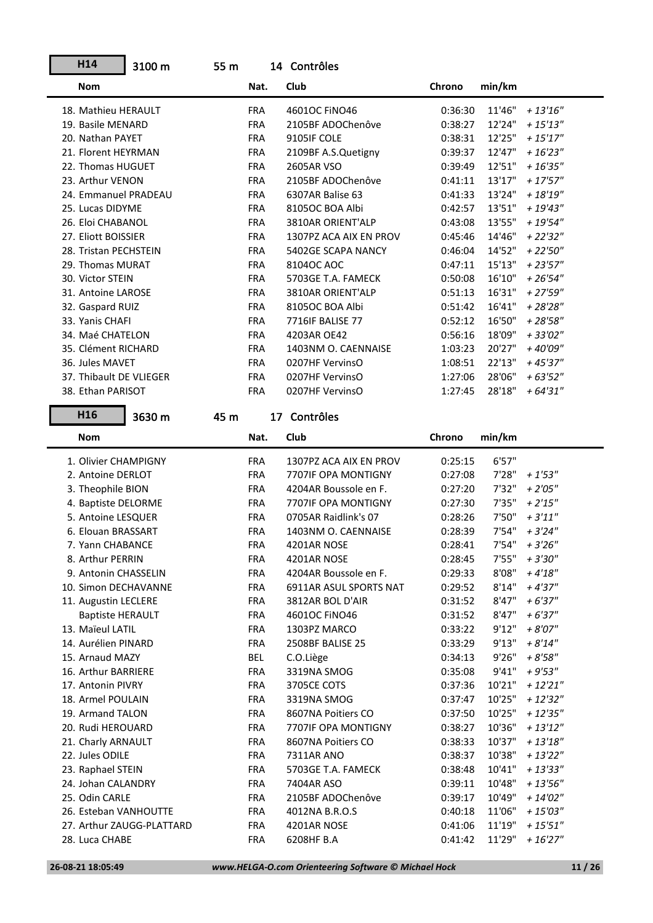| H <sub>14</sub>         | 3100 m                    | 55 m |            | 14 Contrôles           |         |        |             |
|-------------------------|---------------------------|------|------------|------------------------|---------|--------|-------------|
| <b>Nom</b>              |                           |      | Nat.       | Club                   | Chrono  | min/km |             |
| 18. Mathieu HERAULT     |                           |      | <b>FRA</b> | 46010C FINO46          | 0:36:30 | 11'46" | $+13'16''$  |
| 19. Basile MENARD       |                           |      | <b>FRA</b> | 2105BF ADOChenôve      | 0:38:27 | 12'24" | $+ 15'13''$ |
| 20. Nathan PAYET        |                           |      | <b>FRA</b> | 9105IF COLE            | 0:38:31 | 12'25" | $+15'17''$  |
| 21. Florent HEYRMAN     |                           |      | <b>FRA</b> | 2109BF A.S.Quetigny    | 0:39:37 | 12'47" | $+16'23''$  |
| 22. Thomas HUGUET       |                           |      | <b>FRA</b> | 2605AR VSO             | 0:39:49 | 12'51" | $+16'35"$   |
| 23. Arthur VENON        |                           |      | <b>FRA</b> | 2105BF ADOChenôve      | 0:41:11 | 13'17" | $+17'57''$  |
| 24. Emmanuel PRADEAU    |                           |      | <b>FRA</b> | 6307AR Balise 63       | 0:41:33 | 13'24" | $+18'19''$  |
| 25. Lucas DIDYME        |                           |      | <b>FRA</b> | 8105OC BOA Albi        | 0:42:57 | 13'51" | $+19'43''$  |
| 26. Eloi CHABANOL       |                           |      | <b>FRA</b> | 3810AR ORIENT'ALP      | 0:43:08 | 13'55" | $+ 19'54''$ |
| 27. Eliott BOISSIER     |                           |      | <b>FRA</b> | 1307PZ ACA AIX EN PROV | 0:45:46 | 14'46" | $+22'32"$   |
| 28. Tristan PECHSTEIN   |                           |      | <b>FRA</b> | 5402GE SCAPA NANCY     | 0:46:04 | 14'52" | $+22'50''$  |
| 29. Thomas MURAT        |                           |      | <b>FRA</b> | 8104OC AOC             | 0:47:11 | 15'13" | $+23'57''$  |
| 30. Victor STEIN        |                           |      | <b>FRA</b> | 5703GE T.A. FAMECK     | 0:50:08 | 16'10" | $+26'54"$   |
| 31. Antoine LAROSE      |                           |      | <b>FRA</b> | 3810AR ORIENT'ALP      | 0:51:13 | 16'31" | $+27'59''$  |
| 32. Gaspard RUIZ        |                           |      | <b>FRA</b> | 8105OC BOA Albi        | 0:51:42 | 16'41" | $+28'28"$   |
| 33. Yanis CHAFI         |                           |      | <b>FRA</b> | 7716IF BALISE 77       | 0:52:12 | 16'50" | $+28'58"$   |
| 34. Maé CHATELON        |                           |      | <b>FRA</b> | 4203AR OE42            | 0:56:16 | 18'09" | $+33'02''$  |
| 35. Clément RICHARD     |                           |      | <b>FRA</b> | 1403NM O. CAENNAISE    | 1:03:23 | 20'27" | +40'09"     |
| 36. Jules MAVET         |                           |      | <b>FRA</b> | 0207HF VervinsO        | 1:08:51 | 22'13" | $+45'37''$  |
| 37. Thibault DE VLIEGER |                           |      | <b>FRA</b> | 0207HF VervinsO        | 1:27:06 | 28'06" | $+63'52''$  |
| 38. Ethan PARISOT       |                           |      | <b>FRA</b> | 0207HF VervinsO        | 1:27:45 | 28'18" | $+64'31"$   |
| H <sub>16</sub>         | 3630 m                    | 45 m |            | 17 Contrôles           |         |        |             |
| <b>Nom</b>              |                           |      | Nat.       | Club                   | Chrono  | min/km |             |
|                         |                           |      |            |                        |         |        |             |
| 1. Olivier CHAMPIGNY    |                           |      | <b>FRA</b> | 1307PZ ACA AIX EN PROV | 0:25:15 | 6'57"  |             |
| 2. Antoine DERLOT       |                           |      | <b>FRA</b> | 7707IF OPA MONTIGNY    | 0:27:08 | 7'28"  | $+1'53''$   |
| 3. Theophile BION       |                           |      | <b>FRA</b> | 4204AR Boussole en F.  | 0:27:20 | 7'32"  | $+2'05''$   |
| 4. Baptiste DELORME     |                           |      | <b>FRA</b> | 7707IF OPA MONTIGNY    | 0:27:30 | 7'35"  | $+2'15''$   |
| 5. Antoine LESQUER      |                           |      | <b>FRA</b> | 0705AR Raidlink's 07   | 0:28:26 | 7'50"  | $+3'11''$   |
| 6. Elouan BRASSART      |                           |      | <b>FRA</b> | 1403NM O. CAENNAISE    | 0:28:39 | 7'54"  | $+3'24''$   |
| 7. Yann CHABANCE        |                           |      | <b>FRA</b> | 4201AR NOSE            | 0:28:41 | 7'54"  | $+3'26''$   |
| 8. Arthur PERRIN        |                           |      | <b>FRA</b> | 4201AR NOSE            | 0:28:45 | 7'55"  | + 3'30"     |
| 9. Antonin CHASSELIN    |                           |      | <b>FRA</b> | 4204AR Boussole en F.  | 0:29:33 | 8'08"  | $+4'18''$   |
| 10. Simon DECHAVANNE    |                           |      | <b>FRA</b> | 6911AR ASUL SPORTS NAT | 0:29:52 | 8'14"  | $+4'37''$   |
| 11. Augustin LECLERE    |                           |      | <b>FRA</b> | 3812AR BOL D'AIR       | 0:31:52 | 8'47"  | $+6'37"$    |
| <b>Baptiste HERAULT</b> |                           |      | <b>FRA</b> | 46010C FINO46          | 0:31:52 | 8'47"  | $+6'37"$    |
| 13. Maïeul LATIL        |                           |      | <b>FRA</b> | 1303PZ MARCO           | 0:33:22 | 9'12"  | $+8'07"$    |
| 14. Aurélien PINARD     |                           |      | <b>FRA</b> | 2508BF BALISE 25       | 0:33:29 | 9'13"  | $+8'14"$    |
| 15. Arnaud MAZY         |                           |      | BEL        | C.O.Liège              | 0:34:13 | 9'26"  | $+8'58"$    |
| 16. Arthur BARRIERE     |                           |      | <b>FRA</b> | 3319NA SMOG            | 0:35:08 | 9'41"  | $+9'53"$    |
| 17. Antonin PIVRY       |                           |      | <b>FRA</b> | 3705CE COTS            | 0:37:36 | 10'21" | $+ 12'21''$ |
| 18. Armel POULAIN       |                           |      | <b>FRA</b> | 3319NA SMOG            | 0:37:47 | 10'25" | $+12'32"$   |
| 19. Armand TALON        |                           |      | <b>FRA</b> | 8607NA Poitiers CO     | 0:37:50 | 10'25" | $+ 12'35''$ |
| 20. Rudi HEROUARD       |                           |      | <b>FRA</b> | 7707IF OPA MONTIGNY    | 0:38:27 | 10'36" | $+13'12"$   |
| 21. Charly ARNAULT      |                           |      | <b>FRA</b> | 8607NA Poitiers CO     | 0:38:33 | 10'37" | $+13'18"$   |
| 22. Jules ODILE         |                           |      | <b>FRA</b> | 7311AR ANO             | 0:38:37 | 10'38" | $+13'22"$   |
| 23. Raphael STEIN       |                           |      | <b>FRA</b> | 5703GE T.A. FAMECK     | 0:38:48 | 10'41" | $+13'33"$   |
| 24. Johan CALANDRY      |                           |      | <b>FRA</b> | 7404AR ASO             | 0:39:11 | 10'48" | + 13'56"    |
| 25. Odin CARLE          |                           |      | <b>FRA</b> | 2105BF ADOChenôve      | 0:39:17 | 10'49" | $+ 14'02''$ |
| 26. Esteban VANHOUTTE   |                           |      | <b>FRA</b> | 4012NA B.R.O.S         | 0:40:18 | 11'06" | $+15'03''$  |
|                         | 27. Arthur ZAUGG-PLATTARD |      | <b>FRA</b> | 4201AR NOSE            | 0:41:06 | 11'19" | $+15'51"$   |

**H14**

n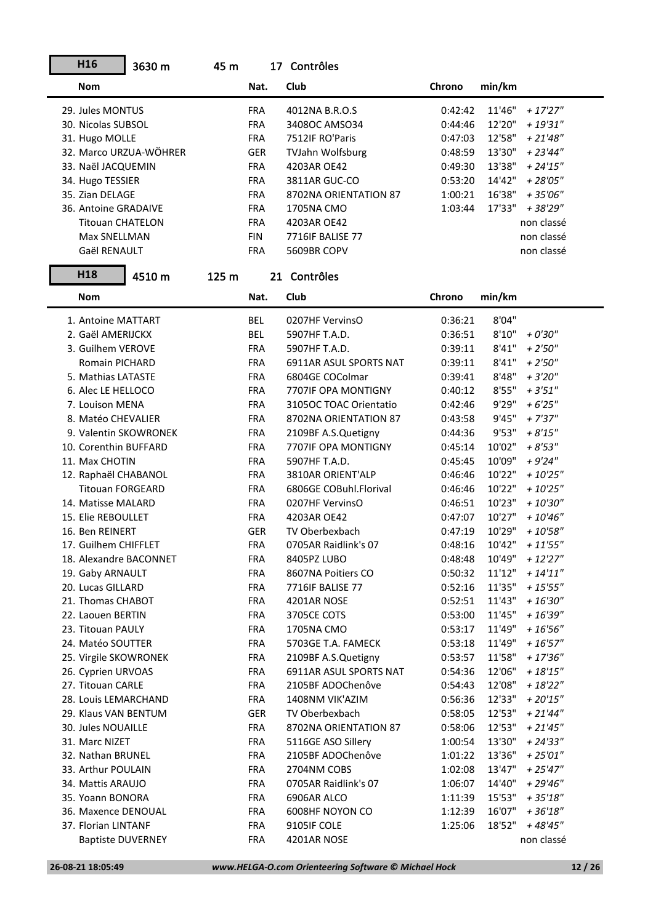| H16                     | 3630 m                   | 45 m  |            | 17 Contrôles            |         |        |             |
|-------------------------|--------------------------|-------|------------|-------------------------|---------|--------|-------------|
| Nom                     |                          |       | Nat.       | Club                    | Chrono  | min/km |             |
| 29. Jules MONTUS        |                          |       | <b>FRA</b> | 4012NA B.R.O.S          | 0:42:42 | 11'46" | $+17'27''$  |
| 30. Nicolas SUBSOL      |                          |       | <b>FRA</b> | 3408OC AMSO34           | 0:44:46 | 12'20" | $+19'31"$   |
| 31. Hugo MOLLE          |                          |       | <b>FRA</b> | 7512IF RO'Paris         | 0:47:03 | 12'58" | $+21'48''$  |
|                         | 32. Marco URZUA-WÖHRER   |       | GER        | <b>TVJahn Wolfsburg</b> | 0:48:59 | 13'30" | $+23'44''$  |
| 33. Naël JACQUEMIN      |                          |       | <b>FRA</b> | 4203AR OE42             | 0:49:30 | 13'38" | $+ 24'15''$ |
| 34. Hugo TESSIER        |                          |       | <b>FRA</b> | 3811AR GUC-CO           | 0:53:20 | 14'42" | $+28'05"$   |
| 35. Zian DELAGE         |                          |       | <b>FRA</b> | 8702NA ORIENTATION 87   | 1:00:21 | 16'38" | $+35'06''$  |
| 36. Antoine GRADAIVE    |                          |       | <b>FRA</b> | 1705NA CMO              | 1:03:44 | 17'33" | + 38'29"    |
| <b>Titouan CHATELON</b> |                          |       | <b>FRA</b> | 4203AR OE42             |         |        | non classé  |
| Max SNELLMAN            |                          |       | <b>FIN</b> | 7716IF BALISE 77        |         |        | non classé  |
| Gaël RENAULT            |                          |       | <b>FRA</b> | 5609BR COPV             |         |        | non classé  |
| H <sub>18</sub>         | 4510 m                   | 125 m |            | 21 Contrôles            |         |        |             |
| <b>Nom</b>              |                          |       | Nat.       | Club                    | Chrono  | min/km |             |
| 1. Antoine MATTART      |                          |       | BEL        | 0207HF VervinsO         | 0:36:21 | 8'04"  |             |
| 2. Gaël AMERIJCKX       |                          |       | <b>BEL</b> | 5907HF T.A.D.           | 0:36:51 | 8'10'' | $+0'30''$   |
| 3. Guilhem VEROVE       |                          |       | <b>FRA</b> | 5907HF T.A.D.           | 0:39:11 | 8'41"  | $+2'50''$   |
| Romain PICHARD          |                          |       | <b>FRA</b> | 6911AR ASUL SPORTS NAT  | 0:39:11 | 8'41"  | $+2'50''$   |
| 5. Mathias LATASTE      |                          |       | <b>FRA</b> | 6804GE COColmar         | 0:39:41 | 8'48"  | $+3'20''$   |
| 6. Alec LE HELLOCO      |                          |       | <b>FRA</b> | 7707IF OPA MONTIGNY     | 0:40:12 | 8'55"  | $+3'51''$   |
| 7. Louison MENA         |                          |       | <b>FRA</b> | 3105OC TOAC Orientatio  | 0:42:46 | 9'29"  | $+6'25''$   |
| 8. Matéo CHEVALIER      |                          |       | <b>FRA</b> | 8702NA ORIENTATION 87   | 0:43:58 | 9'45"  | $+7'37''$   |
| 9. Valentin SKOWRONEK   |                          |       | <b>FRA</b> | 2109BF A.S.Quetigny     | 0:44:36 | 9'53"  | $+8'15''$   |
| 10. Corenthin BUFFARD   |                          |       | <b>FRA</b> | 7707IF OPA MONTIGNY     | 0:45:14 | 10'02" | $+8'53''$   |
| 11. Max CHOTIN          |                          |       | <b>FRA</b> | 5907HF T.A.D.           | 0:45:45 | 10'09" | $+9'24"$    |
| 12. Raphaël CHABANOL    |                          |       | <b>FRA</b> | 3810AR ORIENT'ALP       | 0:46:46 | 10'22" | $+10'25"$   |
| <b>Titouan FORGEARD</b> |                          |       | <b>FRA</b> | 6806GE COBuhl.Florival  | 0:46:46 | 10'22" | $+10'25"$   |
| 14. Matisse MALARD      |                          |       | <b>FRA</b> | 0207HF VervinsO         | 0:46:51 | 10'23" | $+10'30''$  |
| 15. Elie REBOULLET      |                          |       | <b>FRA</b> | 4203AR OE42             | 0:47:07 | 10'27" | $+10'46''$  |
| 16. Ben REINERT         |                          |       | <b>GER</b> | TV Oberbexbach          | 0:47:19 | 10'29" | $+10'58"$   |
| 17. Guilhem CHIFFLET    |                          |       | <b>FRA</b> | 0705AR Raidlink's 07    | 0:48:16 | 10'42" | $+11'55"$   |
| 18. Alexandre BACONNET  |                          |       | <b>FRA</b> | 8405PZ LUBO             | 0:48:48 | 10'49" | $+12'27''$  |
| 19. Gaby ARNAULT        |                          |       | FRA        | 8607NA Poitiers CO      | 0:50:32 | 11'12" | $+ 14'11''$ |
| 20. Lucas GILLARD       |                          |       | <b>FRA</b> | 7716IF BALISE 77        | 0:52:16 | 11'35" | $+15'55''$  |
| 21. Thomas CHABOT       |                          |       | <b>FRA</b> | 4201AR NOSE             | 0:52:51 | 11'43" | $+16'30''$  |
| 22. Laouen BERTIN       |                          |       | FRA        | 3705CE COTS             | 0:53:00 | 11'45" | $+16'39"$   |
| 23. Titouan PAULY       |                          |       | <b>FRA</b> | 1705NA CMO              | 0:53:17 | 11'49" | $+16'56''$  |
| 24. Matéo SOUTTER       |                          |       | <b>FRA</b> | 5703GE T.A. FAMECK      | 0:53:18 | 11'49" | $+16'57"$   |
| 25. Virgile SKOWRONEK   |                          |       | <b>FRA</b> | 2109BF A.S.Quetigny     | 0:53:57 | 11'58" | $+17'36''$  |
| 26. Cyprien URVOAS      |                          |       | <b>FRA</b> | 6911AR ASUL SPORTS NAT  | 0:54:36 | 12'06" | $+18'15"$   |
| 27. Titouan CARLE       |                          |       | <b>FRA</b> | 2105BF ADOChenôve       | 0:54:43 | 12'08" | $+18'22"$   |
| 28. Louis LEMARCHAND    |                          |       | <b>FRA</b> | 1408NM VIK'AZIM         | 0:56:36 | 12'33" | $+20'15"$   |
| 29. Klaus VAN BENTUM    |                          |       | <b>GER</b> | TV Oberbexbach          | 0:58:05 | 12'53" | $+21'44''$  |
| 30. Jules NOUAILLE      |                          |       | FRA        | 8702NA ORIENTATION 87   | 0:58:06 | 12'53" | $+21'45''$  |
| 31. Marc NIZET          |                          |       | <b>FRA</b> | 5116GE ASO Sillery      | 1:00:54 | 13'30" | $+24'33"$   |
| 32. Nathan BRUNEL       |                          |       | <b>FRA</b> | 2105BF ADOChenôve       | 1:01:22 | 13'36" | $+25'01"$   |
| 33. Arthur POULAIN      |                          |       | <b>FRA</b> | 2704NM COBS             | 1:02:08 | 13'47" | $+25'47''$  |
| 34. Mattis ARAUJO       |                          |       | FRA        | 0705AR Raidlink's 07    | 1:06:07 | 14'40" | $+29'46''$  |
| 35. Yoann BONORA        |                          |       | FRA        | 6906AR ALCO             | 1:11:39 | 15'53" | $+35'18"$   |
| 36. Maxence DENOUAL     |                          |       | FRA        | 6008HF NOYON CO         | 1:12:39 | 16'07" | $+36'18"$   |
| 37. Florian LINTANF     |                          |       | FRA        | 9105IF COLE             | 1:25:06 | 18'52" | $+48'45"$   |
|                         | <b>Baptiste DUVERNEY</b> |       | <b>FRA</b> | 4201AR NOSE             |         |        | non classé  |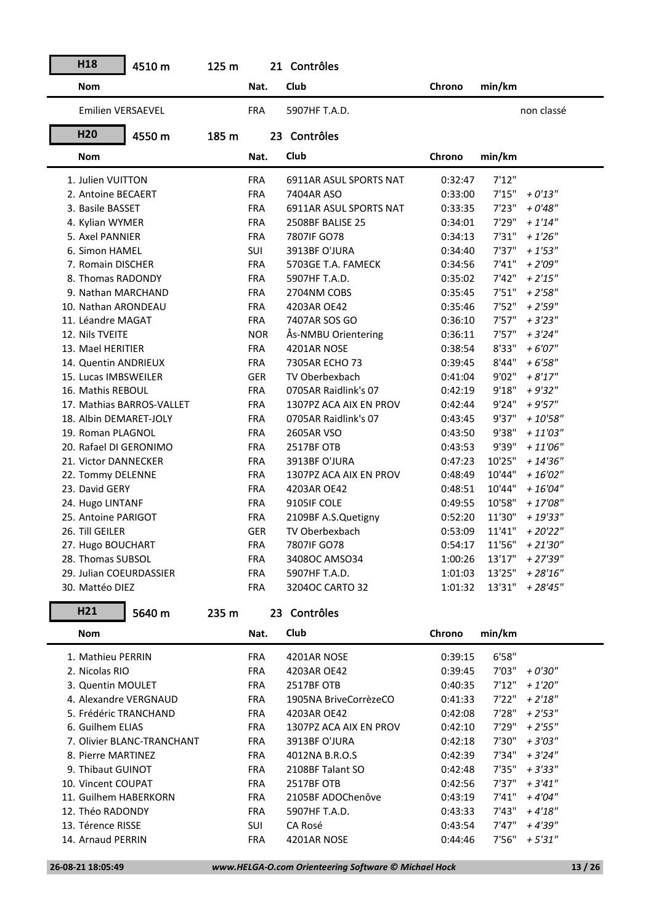| H <sub>18</sub>         | 4510 m                     | 125 m |            | 21 Contrôles           |         |        |                     |
|-------------------------|----------------------------|-------|------------|------------------------|---------|--------|---------------------|
| <b>Nom</b>              |                            |       | Nat.       | Club                   | Chrono  | min/km |                     |
| Emilien VERSAEVEL       |                            |       | <b>FRA</b> | 5907HF T.A.D.          |         |        | non classé          |
| H <sub>20</sub>         | 4550 m                     | 185 m |            | 23 Contrôles           |         |        |                     |
| <b>Nom</b>              |                            |       | Nat.       | Club                   | Chrono  | min/km |                     |
| 1. Julien VUITTON       |                            |       | <b>FRA</b> | 6911AR ASUL SPORTS NAT | 0:32:47 | 7'12"  |                     |
| 2. Antoine BECAERT      |                            |       | <b>FRA</b> | 7404AR ASO             | 0:33:00 | 7'15"  | $+0'13''$           |
| 3. Basile BASSET        |                            |       | <b>FRA</b> | 6911AR ASUL SPORTS NAT | 0:33:35 | 7'23"  | $+0'48''$           |
| 4. Kylian WYMER         |                            |       | <b>FRA</b> | 2508BF BALISE 25       | 0:34:01 | 7'29"  | $+1'14"$            |
| 5. Axel PANNIER         |                            |       | <b>FRA</b> | 7807IF GO78            | 0:34:13 | 7'31"  | $+1'26''$           |
| 6. Simon HAMEL          |                            |       | SUI        | 3913BF O'JURA          | 0:34:40 | 7'37"  | $+1'53''$           |
| 7. Romain DISCHER       |                            |       | <b>FRA</b> | 5703GE T.A. FAMECK     | 0:34:56 | 7'41"  | $+2'09''$           |
| 8. Thomas RADONDY       |                            |       | <b>FRA</b> | 5907HF T.A.D.          | 0:35:02 | 7'42"  | $+2'15''$           |
| 9. Nathan MARCHAND      |                            |       | <b>FRA</b> | 2704NM COBS            | 0:35:45 | 7'51"  | $+2'58''$           |
| 10. Nathan ARONDEAU     |                            |       | <b>FRA</b> | 4203AR OE42            | 0:35:46 | 7'52"  | $+2'59''$           |
| 11. Léandre MAGAT       |                            |       | <b>FRA</b> | 7407AR SOS GO          | 0:36:10 | 7'57"  | $+3'23''$           |
| 12. Nils TVEITE         |                            |       | <b>NOR</b> | Ås-NMBU Orientering    | 0:36:11 | 7'57"  | $+3'24"$            |
| 13. Mael HERITIER       |                            |       | <b>FRA</b> | 4201AR NOSE            | 0:38:54 | 8'33"  | $+6'07''$           |
| 14. Quentin ANDRIEUX    |                            |       | <b>FRA</b> | 7305AR ECHO 73         | 0:39:45 | 8'44"  | $+6'58"$            |
| 15. Lucas IMBSWEILER    |                            |       | <b>GER</b> | TV Oberbexbach         | 0:41:04 | 9'02"  | $+8'17''$           |
| 16. Mathis REBOUL       |                            |       | <b>FRA</b> | 0705AR Raidlink's 07   | 0:42:19 | 9'18"  | $+9'32"$            |
|                         | 17. Mathias BARROS-VALLET  |       | <b>FRA</b> | 1307PZ ACA AIX EN PROV | 0:42:44 | 9'24"  | $+9'57''$           |
| 18. Albin DEMARET-JOLY  |                            |       | <b>FRA</b> | 0705AR Raidlink's 07   | 0:43:45 | 9'37"  | $+10'58"$           |
| 19. Roman PLAGNOL       |                            |       | <b>FRA</b> | 2605AR VSO             | 0:43:50 | 9'38"  | $+ 11'03''$         |
| 20. Rafael DI GERONIMO  |                            |       | <b>FRA</b> | 2517BF OTB             | 0:43:53 | 9'39"  | $+11'06''$          |
| 21. Victor DANNECKER    |                            |       | <b>FRA</b> | 3913BF O'JURA          | 0:47:23 | 10'25" | $+ 14'36''$         |
| 22. Tommy DELENNE       |                            |       | <b>FRA</b> | 1307PZ ACA AIX EN PROV | 0:48:49 | 10'44" | $+16'02''$          |
| 23. David GERY          |                            |       | <b>FRA</b> | 4203AR OE42            | 0:48:51 | 10'44" | $+16'04"$           |
| 24. Hugo LINTANF        |                            |       | <b>FRA</b> | 9105IF COLE            | 0:49:55 | 10'58" | $+17'08''$          |
| 25. Antoine PARIGOT     |                            |       | <b>FRA</b> | 2109BF A.S.Quetigny    | 0:52:20 | 11'30" | $+19'33"$           |
| 26. Till GEILER         |                            |       | <b>GER</b> | TV Oberbexbach         | 0:53:09 | 11'41" | $+20'22"$           |
| 27. Hugo BOUCHART       |                            |       | <b>FRA</b> | 7807IF GO78            | 0:54:17 | 11'56" | $+21'30''$          |
| 28. Thomas SUBSOL       |                            |       | <b>FRA</b> | 3408OC AMSO34          | 1:00:26 |        | $13'17'' + 27'39''$ |
| 29. Julian COEURDASSIER |                            |       | <b>FRA</b> | 5907HF T.A.D.          | 1:01:03 |        | $13'25'' + 28'16''$ |
| 30. Mattéo DIEZ         |                            |       | <b>FRA</b> | 3204OC CARTO 32        | 1:01:32 |        | $13'31'' + 28'45''$ |
|                         |                            |       |            |                        |         |        |                     |
| H <sub>21</sub>         | 5640 m                     | 235 m |            | 23 Contrôles           |         |        |                     |
| <b>Nom</b>              |                            |       | Nat.       | Club                   | Chrono  | min/km |                     |
| 1. Mathieu PERRIN       |                            |       | <b>FRA</b> | 4201AR NOSE            | 0:39:15 | 6'58"  |                     |
| 2. Nicolas RIO          |                            |       | <b>FRA</b> | 4203AR OE42            | 0:39:45 |        | $7'03'' + 0'30''$   |
| 3. Quentin MOULET       |                            |       | <b>FRA</b> | 2517BF OTB             | 0:40:35 |        | $7'12" + 1'20"$     |
| 4. Alexandre VERGNAUD   |                            |       | <b>FRA</b> | 1905NA BriveCorrèzeCO  | 0:41:33 |        | $7'22'' + 2'18''$   |
| 5. Frédéric TRANCHAND   |                            |       | <b>FRA</b> | 4203AR OE42            | 0:42:08 | 7'28"  | $+2'53''$           |
| 6. Guilhem ELIAS        |                            |       | <b>FRA</b> | 1307PZ ACA AIX EN PROV | 0:42:10 | 7'29"  | $+2'55''$           |
|                         | 7. Olivier BLANC-TRANCHANT |       | <b>FRA</b> | 3913BF O'JURA          | 0:42:18 | 7'30"  | $+3'03''$           |
| 8. Pierre MARTINEZ      |                            |       | <b>FRA</b> | 4012NA B.R.O.S         | 0:42:39 | 7'34"  | $+3'24''$           |
| 9. Thibaut GUINOT       |                            |       | <b>FRA</b> | 2108BF Talant SO       | 0:42:48 | 7'35"  | $+3'33''$           |
| 10. Vincent COUPAT      |                            |       | <b>FRA</b> | 2517BF OTB             | 0:42:56 | 7'37"  | $+3'41''$           |
| 11. Guilhem HABERKORN   |                            |       | FRA        | 2105BF ADOChenôve      | 0:43:19 |        | $7'41'' + 4'04''$   |
| 12. Théo RADONDY        |                            |       | <b>FRA</b> | 5907HF T.A.D.          | 0:43:33 |        | $7'43'' + 4'18''$   |
| 13. Térence RISSE       |                            |       | SUI        | CA Rosé                | 0:43:54 |        | $7'47'' + 4'39''$   |
| 14. Arnaud PERRIN       |                            |       | <b>FRA</b> | 4201AR NOSE            | 0:44:46 |        | $7'56'' + 5'31''$   |
|                         |                            |       |            |                        |         |        |                     |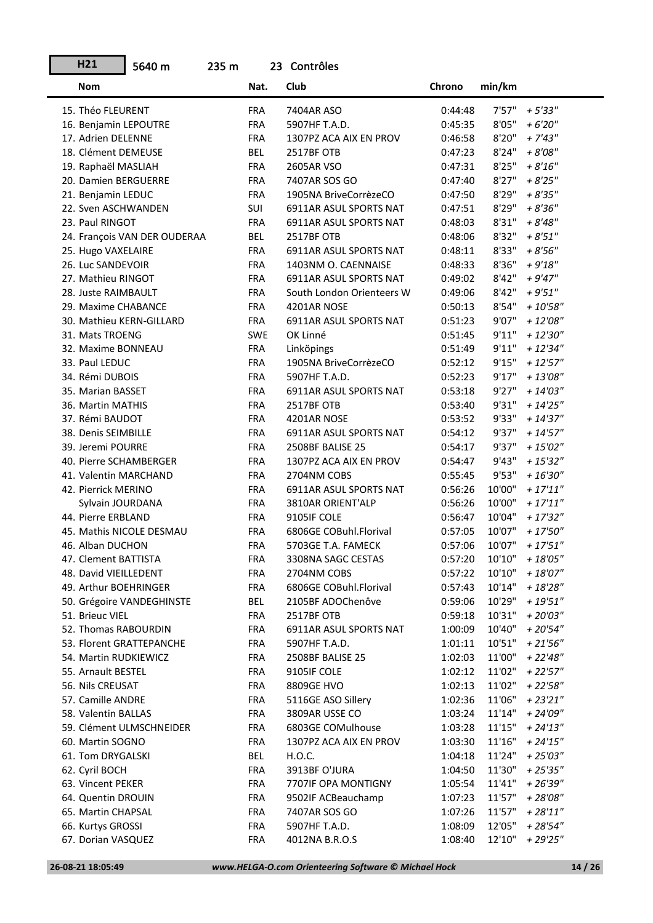| H21                      | 5640 m                       | 235 m |                          | 23 Contrôles              |                    |        |             |
|--------------------------|------------------------------|-------|--------------------------|---------------------------|--------------------|--------|-------------|
| <b>Nom</b>               |                              |       | Nat.                     | Club                      | Chrono             | min/km |             |
| 15. Théo FLEURENT        |                              |       | <b>FRA</b>               | 7404AR ASO                | 0:44:48            | 7'57"  | $+5'33''$   |
| 16. Benjamin LEPOUTRE    |                              |       | <b>FRA</b>               | 5907HF T.A.D.             | 0:45:35            | 8'05"  | $+6'20''$   |
| 17. Adrien DELENNE       |                              |       | <b>FRA</b>               | 1307PZ ACA AIX EN PROV    | 0:46:58            | 8'20"  | $+ 7'43''$  |
| 18. Clément DEMEUSE      |                              |       | BEL                      | 2517BF OTB                | 0:47:23            | 8'24"  | $+8'08"$    |
| 19. Raphaël MASLIAH      |                              |       | <b>FRA</b>               | 2605AR VSO                | 0:47:31            | 8'25"  | $+8'16''$   |
| 20. Damien BERGUERRE     |                              |       | <b>FRA</b>               | 7407AR SOS GO             | 0:47:40            | 8'27"  | $+8'25"$    |
| 21. Benjamin LEDUC       |                              |       | <b>FRA</b>               | 1905NA BriveCorrèzeCO     | 0:47:50            | 8'29"  | $+8'35"$    |
| 22. Sven ASCHWANDEN      |                              |       | SUI                      | 6911AR ASUL SPORTS NAT    | 0:47:51            | 8'29"  | $+8'36''$   |
| 23. Paul RINGOT          |                              |       | <b>FRA</b>               | 6911AR ASUL SPORTS NAT    | 0:48:03            | 8'31"  | $+8'48''$   |
|                          | 24. François VAN DER OUDERAA |       | BEL                      | 2517BF OTB                | 0:48:06            | 8'32"  | $+8'51"$    |
| 25. Hugo VAXELAIRE       |                              |       | <b>FRA</b>               | 6911AR ASUL SPORTS NAT    | 0:48:11            | 8'33"  | $+8'56''$   |
| 26. Luc SANDEVOIR        |                              |       | <b>FRA</b>               | 1403NM O. CAENNAISE       | 0:48:33            | 8'36"  | $+9'18''$   |
| 27. Mathieu RINGOT       |                              |       | <b>FRA</b>               | 6911AR ASUL SPORTS NAT    | 0:49:02            | 8'42"  | $+9'47''$   |
| 28. Juste RAIMBAULT      |                              |       | <b>FRA</b>               | South London Orienteers W | 0:49:06            | 8'42"  | $+9'51"$    |
| 29. Maxime CHABANCE      |                              |       | <b>FRA</b>               | 4201AR NOSE               | 0:50:13            | 8'54"  | $+10'58"$   |
| 30. Mathieu KERN-GILLARD |                              |       | <b>FRA</b>               | 6911AR ASUL SPORTS NAT    | 0:51:23            | 9'07"  | $+ 12'08''$ |
| 31. Mats TROENG          |                              |       | <b>SWE</b>               | OK Linné                  | 0:51:45            | 9'11"  | $+ 12'30''$ |
| 32. Maxime BONNEAU       |                              |       | <b>FRA</b>               | Linköpings                | 0:51:49            | 9'11"  | $+12'34"$   |
| 33. Paul LEDUC           |                              |       | <b>FRA</b>               | 1905NA BriveCorrèzeCO     | 0:52:12            | 9'15"  | $+12'57''$  |
| 34. Rémi DUBOIS          |                              |       | <b>FRA</b>               | 5907HF T.A.D.             | 0:52:23            | 9'17"  | $+13'08''$  |
| 35. Marian BASSET        |                              |       | <b>FRA</b>               | 6911AR ASUL SPORTS NAT    | 0:53:18            | 9'27"  | $+ 14'03''$ |
| 36. Martin MATHIS        |                              |       | <b>FRA</b>               | 2517BF OTB                | 0:53:40            | 9'31"  | $+ 14'25''$ |
| 37. Rémi BAUDOT          |                              |       | <b>FRA</b>               | 4201AR NOSE               | 0:53:52            | 9'33"  | $+ 14'37''$ |
| 38. Denis SEIMBILLE      |                              |       | <b>FRA</b>               | 6911AR ASUL SPORTS NAT    | 0:54:12            | 9'37"  | $+ 14'57''$ |
| 39. Jeremi POURRE        |                              |       | <b>FRA</b>               | 2508BF BALISE 25          | 0:54:17            | 9'37"  | $+15'02''$  |
| 40. Pierre SCHAMBERGER   |                              |       | <b>FRA</b>               | 1307PZ ACA AIX EN PROV    | 0:54:47            | 9'43"  | $+15'32''$  |
| 41. Valentin MARCHAND    |                              |       | <b>FRA</b>               | 2704NM COBS               | 0:55:45            | 9'53"  | $+16'30''$  |
| 42. Pierrick MERINO      |                              |       |                          | 6911AR ASUL SPORTS NAT    |                    | 10'00" | $+17'11''$  |
|                          |                              |       | <b>FRA</b><br><b>FRA</b> | 3810AR ORIENT'ALP         | 0:56:26<br>0:56:26 | 10'00" | $+17'11''$  |
| Sylvain JOURDANA         |                              |       |                          |                           |                    |        |             |
| 44. Pierre ERBLAND       |                              |       | <b>FRA</b>               | 9105IF COLE               | 0:56:47            | 10'04" | $+17'32''$  |
|                          | 45. Mathis NICOLE DESMAU     |       | <b>FRA</b>               | 6806GE COBuhl.Florival    | 0:57:05            | 10'07" | $+17'50''$  |
| 46. Alban DUCHON         |                              |       | <b>FRA</b>               | 5703GE T.A. FAMECK        | 0:57:06            | 10'07" | $+17'51''$  |
| 47. Clement BATTISTA     |                              |       | FRA                      | 3308NA SAGC CESTAS        | 0:57:20            | 10'10" | + 18'05"    |
| 48. David VIEILLEDENT    |                              |       | FRA                      | 2704NM COBS               | 0:57:22            | 10'10" | + 18'07"    |
| 49. Arthur BOEHRINGER    |                              |       | <b>FRA</b>               | 6806GE COBuhl.Florival    | 0:57:43            | 10'14" | $+18'28"$   |
|                          | 50. Grégoire VANDEGHINSTE    |       | <b>BEL</b>               | 2105BF ADOChenôve         | 0:59:06            | 10'29" | $+19'51"$   |
| 51. Brieuc VIEL          |                              |       | <b>FRA</b>               | 2517BF OTB                | 0:59:18            | 10'31" | $+20'03''$  |
| 52. Thomas RABOURDIN     |                              |       | FRA                      | 6911AR ASUL SPORTS NAT    | 1:00:09            | 10'40" | $+20'54"$   |
|                          | 53. Florent GRATTEPANCHE     |       | FRA                      | 5907HF T.A.D.             | 1:01:11            | 10'51" | $+21'56''$  |
| 54. Martin RUDKIEWICZ    |                              |       | FRA                      | 2508BF BALISE 25          | 1:02:03            | 11'00" | $+22'48''$  |
| 55. Arnault BESTEL       |                              |       | FRA                      | 9105IF COLE               | 1:02:12            | 11'02" | $+22'57''$  |
| 56. Nils CREUSAT         |                              |       | <b>FRA</b>               | 8809GE HVO                | 1:02:13            | 11'02" | + 22'58"    |
| 57. Camille ANDRE        |                              |       | <b>FRA</b>               | 5116GE ASO Sillery        | 1:02:36            | 11'06" | $+23'21''$  |
| 58. Valentin BALLAS      |                              |       | <b>FRA</b>               | 3809AR USSE CO            | 1:03:24            | 11'14" | + 24'09"    |
|                          | 59. Clément ULMSCHNEIDER     |       | <b>FRA</b>               | 6803GE COMulhouse         | 1:03:28            | 11'15" | $+ 24'13''$ |
| 60. Martin SOGNO         |                              |       | <b>FRA</b>               | 1307PZ ACA AIX EN PROV    | 1:03:30            | 11'16" | $+ 24'15''$ |
| 61. Tom DRYGALSKI        |                              |       | <b>BEL</b>               | H.O.C.                    | 1:04:18            | 11'24" | $+25'03''$  |
| 62. Cyril BOCH           |                              |       | <b>FRA</b>               | 3913BF O'JURA             | 1:04:50            | 11'30" | $+25'35''$  |
| 63. Vincent PEKER        |                              |       | <b>FRA</b>               | 7707IF OPA MONTIGNY       | 1:05:54            | 11'41" | + 26'39"    |
| 64. Quentin DROUIN       |                              |       | <b>FRA</b>               | 9502IF ACBeauchamp        | 1:07:23            | 11'57" | $+28'08"$   |
| 65. Martin CHAPSAL       |                              |       | FRA                      | 7407AR SOS GO             | 1:07:26            | 11'57" | $+28'11"$   |
| 66. Kurtys GROSSI        |                              |       | <b>FRA</b>               | 5907HF T.A.D.             | 1:08:09            | 12'05" | $+28'54"$   |
| 67. Dorian VASQUEZ       |                              |       | <b>FRA</b>               | 4012NA B.R.O.S            | 1:08:40            | 12'10" | $+29'25"$   |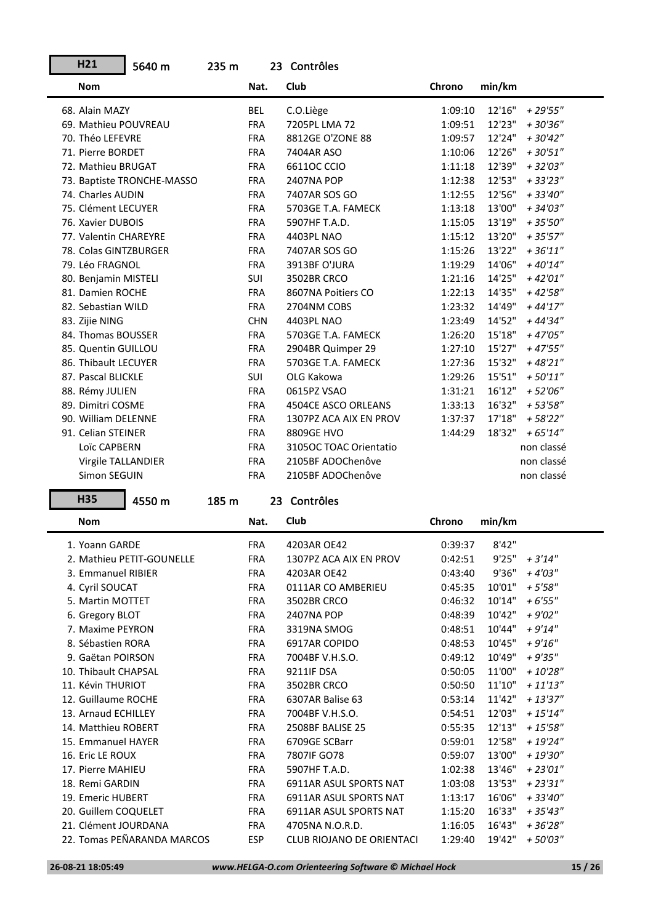| H21                                 | 5640 m                     | 235 m |            | 23 Contrôles                     |                    |                  |                        |
|-------------------------------------|----------------------------|-------|------------|----------------------------------|--------------------|------------------|------------------------|
| <b>Nom</b>                          |                            |       | Nat.       | Club                             | Chrono             | min/km           |                        |
| 68. Alain MAZY                      |                            |       | <b>BEL</b> | C.O.Liège                        | 1:09:10            | 12'16"           | $+29'55"$              |
| 69. Mathieu POUVREAU                |                            |       | <b>FRA</b> | 7205PL LMA 72                    | 1:09:51            | 12'23"           | $+30'36''$             |
| 70. Théo LEFEVRE                    |                            |       | <b>FRA</b> | 8812GE O'ZONE 88                 | 1:09:57            | 12'24"           | $+30'42"$              |
| 71. Pierre BORDET                   |                            |       | <b>FRA</b> | 7404AR ASO                       | 1:10:06            | 12'26"           | $+30'51"$              |
| 72. Mathieu BRUGAT                  |                            |       | <b>FRA</b> | 66110C CCIO                      | 1:11:18            | 12'39"           | $+32'03''$             |
|                                     | 73. Baptiste TRONCHE-MASSO |       | <b>FRA</b> | <b>2407NA POP</b>                | 1:12:38            | 12'53"           | $+33'23"$              |
| 74. Charles AUDIN                   |                            |       | <b>FRA</b> | 7407AR SOS GO                    | 1:12:55            | 12'56"           | $+33'40''$             |
| 75. Clément LECUYER                 |                            |       | <b>FRA</b> | 5703GE T.A. FAMECK               | 1:13:18            | 13'00"           | $+34'03''$             |
| 76. Xavier DUBOIS                   |                            |       | <b>FRA</b> | 5907HF T.A.D.                    | 1:15:05            | 13'19"           | $+35'50''$             |
| 77. Valentin CHAREYRE               |                            |       | <b>FRA</b> | 4403PL NAO                       | 1:15:12            | 13'20"           | $+35'57''$             |
| 78. Colas GINTZBURGER               |                            |       | <b>FRA</b> | 7407AR SOS GO                    | 1:15:26            | 13'22"           | $+36'11''$             |
| 79. Léo FRAGNOL                     |                            |       | <b>FRA</b> | 3913BF O'JURA                    | 1:19:29            | 14'06"           | $+40'14"$              |
| 80. Benjamin MISTELI                |                            |       | SUI        | 3502BR CRCO                      | 1:21:16            | 14'25"           | $+42'01''$             |
| 81. Damien ROCHE                    |                            |       | <b>FRA</b> | 8607NA Poitiers CO               | 1:22:13            | 14'35"           | $+42'58"$              |
| 82. Sebastian WILD                  |                            |       | <b>FRA</b> | 2704NM COBS                      | 1:23:32            | 14'49"           | $+44'17''$             |
| 83. Zijie NING                      |                            |       | <b>CHN</b> | 4403PL NAO                       | 1:23:49            | 14'52"           | + 44'34"               |
| 84. Thomas BOUSSER                  |                            |       | <b>FRA</b> | 5703GE T.A. FAMECK               | 1:26:20            | 15'18"           | $+47'05"$              |
| 85. Quentin GUILLOU                 |                            |       | <b>FRA</b> | 2904BR Quimper 29                | 1:27:10            | 15'27"           | $+47'55"$              |
| 86. Thibault LECUYER                |                            |       | <b>FRA</b> | 5703GE T.A. FAMECK               | 1:27:36            | 15'32"           | $+48'21"$              |
| 87. Pascal BLICKLE                  |                            |       | <b>SUI</b> | OLG Kakowa                       | 1:29:26            | 15'51"           | $+50'11"$              |
| 88. Rémy JULIEN                     |                            |       | <b>FRA</b> | 0615PZ VSAO                      | 1:31:21            | 16'12"           | $+52'06''$             |
| 89. Dimitri COSME                   |                            |       | <b>FRA</b> | 4504CE ASCO ORLEANS              | 1:33:13            | 16'32"           | $+53'58"$              |
| 90. William DELENNE                 |                            |       | <b>FRA</b> | 1307PZ ACA AIX EN PROV           | 1:37:37            | 17'18"           | $+58'22"$              |
| 91. Celian STEINER                  |                            |       | <b>FRA</b> | 8809GE HVO                       | 1:44:29            | 18'32"           | $+65'14"$              |
| Loïc CAPBERN                        |                            |       | <b>FRA</b> | 3105OC TOAC Orientatio           |                    |                  | non classé             |
| Virgile TALLANDIER                  |                            |       | <b>FRA</b> | 2105BF ADOChenôve                |                    |                  | non classé             |
| Simon SEGUIN                        |                            |       | <b>FRA</b> | 2105BF ADOChenôve                |                    |                  | non classé             |
| <b>H35</b>                          | 4550 m                     | 185 m |            | 23 Contrôles                     |                    |                  |                        |
| <b>Nom</b>                          |                            |       | Nat.       | Club                             | Chrono             | min/km           |                        |
| 1. Yoann GARDE                      |                            |       |            |                                  |                    | 8'42"            |                        |
|                                     |                            |       | <b>FRA</b> | 4203AR OE42                      | 0:39:37            |                  |                        |
| 3. Emmanuel RIBIER                  | 2. Mathieu PETIT-GOUNELLE  |       | <b>FRA</b> | 1307PZ ACA AIX EN PROV           | 0:42:51            | 9'25"            | $+3'14''$              |
|                                     |                            |       |            | 4203AR OE42                      |                    |                  |                        |
|                                     |                            |       | <b>FRA</b> | 0111AR CO AMBERIEU               | 0:43:40            | 9'36"            | $+4'03''$              |
| 4. Cyril SOUCAT                     |                            |       | FRA        |                                  | 0:45:35            | 10'01"           | $+5'58''$              |
| 5. Martin MOTTET                    |                            |       | FRA        | 3502BR CRCO                      | 0:46:32<br>0:48:39 | 10'14"<br>10'42" | $+6'55"$               |
| 6. Gregory BLOT<br>7. Maxime PEYRON |                            |       | FRA<br>FRA | <b>2407NA POP</b><br>3319NA SMOG | 0:48:51            | 10'44"           | $+9'02''$<br>$+9'14''$ |
| 8. Sébastien RORA                   |                            |       | <b>FRA</b> | 6917AR COPIDO                    | 0:48:53            | 10'45"           | $+9'16''$              |
| 9. Gaëtan POIRSON                   |                            |       | <b>FRA</b> | 7004BF V.H.S.O.                  | 0:49:12            | 10'49"           | $+9'35"$               |
| 10. Thibault CHAPSAL                |                            |       | <b>FRA</b> | 9211IF DSA                       | 0:50:05            | 11'00"           | $+10'28"$              |
| 11. Kévin THURIOT                   |                            |       | FRA        | 3502BR CRCO                      | 0:50:50            | 11'10"           | $+11'13''$             |
| 12. Guillaume ROCHE                 |                            |       | FRA        | 6307AR Balise 63                 | 0:53:14            | 11'42"           | $+13'37''$             |
| 13. Arnaud ECHILLEY                 |                            |       | FRA        | 7004BF V.H.S.O.                  | 0:54:51            | 12'03"           | $+15'14"$              |
| 14. Matthieu ROBERT                 |                            |       | FRA        | 2508BF BALISE 25                 | 0:55:35            | 12'13"           | $+15'58''$             |
| 15. Emmanuel HAYER                  |                            |       | FRA        | 6709GE SCBarr                    | 0:59:01            | 12'58"           | $+19'24"$              |
| 16. Eric LE ROUX                    |                            |       | FRA        | 7807IF GO78                      | 0:59:07            | 13'00"           | + 19'30"               |
| 17. Pierre MAHIEU                   |                            |       | <b>FRA</b> | 5907HF T.A.D.                    | 1:02:38            | 13'46"           | $+23'01''$             |
| 18. Remi GARDIN                     |                            |       | FRA        | 6911AR ASUL SPORTS NAT           | 1:03:08            | 13'53"           | $+23'31''$             |
| 19. Emeric HUBERT                   |                            |       | FRA        | 6911AR ASUL SPORTS NAT           | 1:13:17            | 16'06"           | $+33'40''$             |
| 20. Guillem COQUELET                |                            |       | FRA        | 6911AR ASUL SPORTS NAT           | 1:15:20            | 16'33"           | $+35'43''$             |
| 21. Clément JOURDANA                |                            |       | FRA        | 4705NA N.O.R.D.                  | 1:16:05            | 16'43"           | $+36'28"$              |
|                                     | 22. Tomas PEÑARANDA MARCOS |       | <b>ESP</b> | CLUB RIOJANO DE ORIENTACI        | 1:29:40            | 19'42"           | $+50'03''$             |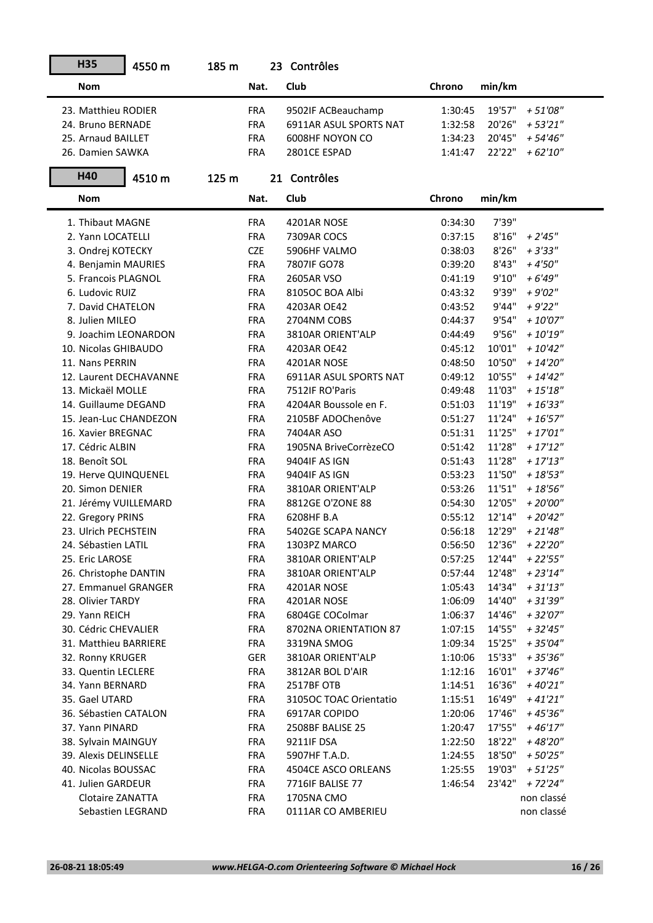| <b>H35</b>              | 4550 m | 185 m |            | 23 Contrôles           |         |        |             |
|-------------------------|--------|-------|------------|------------------------|---------|--------|-------------|
| <b>Nom</b>              |        |       | Nat.       | Club                   | Chrono  | min/km |             |
| 23. Matthieu RODIER     |        |       | <b>FRA</b> | 9502IF ACBeauchamp     | 1:30:45 | 19'57" | $+51'08"$   |
| 24. Bruno BERNADE       |        |       | <b>FRA</b> | 6911AR ASUL SPORTS NAT | 1:32:58 | 20'26" | $+53'21"$   |
| 25. Arnaud BAILLET      |        |       | <b>FRA</b> | 6008HF NOYON CO        | 1:34:23 | 20'45" | $+54'46''$  |
| 26. Damien SAWKA        |        |       | <b>FRA</b> | 2801CE ESPAD           | 1:41:47 | 22'22" | $+62'10''$  |
| H40                     | 4510 m | 125 m |            | 21 Contrôles           |         |        |             |
| <b>Nom</b>              |        |       | Nat.       | Club                   | Chrono  | min/km |             |
| 1. Thibaut MAGNE        |        |       | <b>FRA</b> | 4201AR NOSE            | 0:34:30 | 7'39"  |             |
| 2. Yann LOCATELLI       |        |       | <b>FRA</b> | 7309AR COCS            | 0:37:15 | 8'16"  | $+2'45''$   |
| 3. Ondrej KOTECKY       |        |       | <b>CZE</b> | 5906HF VALMO           | 0:38:03 | 8'26"  | $+3'33''$   |
| 4. Benjamin MAURIES     |        |       | <b>FRA</b> | 7807IF GO78            | 0:39:20 | 8'43"  | $+4'50''$   |
| 5. Francois PLAGNOL     |        |       | <b>FRA</b> | 2605AR VSO             | 0:41:19 | 9'10'' | $+6'49''$   |
| 6. Ludovic RUIZ         |        |       | <b>FRA</b> | 8105OC BOA Albi        | 0:43:32 | 9'39"  | $+9'02"$    |
| 7. David CHATELON       |        |       | <b>FRA</b> | 4203AR OE42            | 0:43:52 | 9'44"  | $+9'22"$    |
| 8. Julien MILEO         |        |       | <b>FRA</b> | 2704NM COBS            | 0:44:37 | 9'54"  | $+10'07''$  |
| 9. Joachim LEONARDON    |        |       | <b>FRA</b> | 3810AR ORIENT'ALP      | 0:44:49 | 9'56"  | $+10'19''$  |
| 10. Nicolas GHIBAUDO    |        |       | <b>FRA</b> | 4203AR OE42            | 0:45:12 | 10'01" | $+10'42"$   |
| 11. Nans PERRIN         |        |       | <b>FRA</b> | 4201AR NOSE            | 0:48:50 | 10'50" | $+ 14'20''$ |
| 12. Laurent DECHAVANNE  |        |       | <b>FRA</b> | 6911AR ASUL SPORTS NAT | 0:49:12 | 10'55" | $+ 14'42''$ |
| 13. Mickaël MOLLE       |        |       | <b>FRA</b> | 7512IF RO'Paris        | 0:49:48 | 11'03" | $+ 15'18''$ |
| 14. Guillaume DEGAND    |        |       | <b>FRA</b> | 4204AR Boussole en F.  | 0:51:03 | 11'19" | $+16'33"$   |
| 15. Jean-Luc CHANDEZON  |        |       | <b>FRA</b> | 2105BF ADOChenôve      | 0:51:27 | 11'24" | $+16'57''$  |
| 16. Xavier BREGNAC      |        |       | <b>FRA</b> | 7404AR ASO             | 0:51:31 | 11'25" | $+17'01''$  |
| 17. Cédric ALBIN        |        |       | <b>FRA</b> | 1905NA BriveCorrèzeCO  | 0:51:42 | 11'28" | $+17'12"$   |
| 18. Benoît SOL          |        |       | <b>FRA</b> | 9404IF AS IGN          | 0:51:43 | 11'28" | $+17'13''$  |
| 19. Herve QUINQUENEL    |        |       | <b>FRA</b> | 9404IF AS IGN          | 0:53:23 | 11'50" | $+18'53''$  |
| 20. Simon DENIER        |        |       | <b>FRA</b> | 3810AR ORIENT'ALP      | 0:53:26 | 11'51" | $+18'56''$  |
| 21. Jérémy VUILLEMARD   |        |       | <b>FRA</b> | 8812GE O'ZONE 88       | 0:54:30 | 12'05" | $+20'00''$  |
| 22. Gregory PRINS       |        |       | <b>FRA</b> | 6208HF B.A             | 0:55:12 | 12'14" | $+20'42"$   |
| 23. Ulrich PECHSTEIN    |        |       | <b>FRA</b> | 5402GE SCAPA NANCY     | 0:56:18 | 12'29" | $+21'48''$  |
| 24. Sébastien LATIL     |        |       | <b>FRA</b> | 1303PZ MARCO           | 0:56:50 | 12'36" | $+22'20''$  |
| 25. Eric LAROSE         |        |       | <b>FRA</b> | 3810AR ORIENT'ALP      | 0:57:25 | 12'44" | $+22'55''$  |
| 26. Christophe DANTIN   |        |       | <b>FRA</b> | 3810AR ORIENT'ALP      | 0:57:44 | 12'48" | $+23'14''$  |
| 27. Emmanuel GRANGER    |        |       | FRA        | 4201AR NOSE            | 1:05:43 | 14'34" | $+31'13''$  |
| 28. Olivier TARDY       |        |       | <b>FRA</b> | 4201AR NOSE            | 1:06:09 | 14'40" | $+31'39''$  |
| 29. Yann REICH          |        |       | FRA        | 6804GE COColmar        | 1:06:37 | 14'46" | $+32'07''$  |
| 30. Cédric CHEVALIER    |        |       | <b>FRA</b> | 8702NA ORIENTATION 87  | 1:07:15 | 14'55" | $+32'45''$  |
| 31. Matthieu BARRIERE   |        |       | FRA        | 3319NA SMOG            | 1:09:34 | 15'25" | $+35'04"$   |
| 32. Ronny KRUGER        |        |       | GER        | 3810AR ORIENT'ALP      | 1:10:06 | 15'33" | $+35'36''$  |
| 33. Quentin LECLERE     |        |       | <b>FRA</b> | 3812AR BOL D'AIR       | 1:12:16 | 16'01" | $+37'46''$  |
| 34. Yann BERNARD        |        |       | FRA        | 2517BF OTB             | 1:14:51 | 16'36" | $+40'21"$   |
| 35. Gael UTARD          |        |       | FRA        | 3105OC TOAC Orientatio | 1:15:51 | 16'49" | $+41'21''$  |
| 36. Sébastien CATALON   |        |       | <b>FRA</b> | 6917AR COPIDO          | 1:20:06 | 17'46" | $+45'36''$  |
| 37. Yann PINARD         |        |       | FRA        | 2508BF BALISE 25       | 1:20:47 | 17'55" | $+46'17"$   |
| 38. Sylvain MAINGUY     |        |       | FRA        | 9211IF DSA             | 1:22:50 | 18'22" | + 48'20"    |
| 39. Alexis DELINSELLE   |        |       | <b>FRA</b> | 5907HF T.A.D.          | 1:24:55 | 18'50" | $+50'25"$   |
| 40. Nicolas BOUSSAC     |        |       | <b>FRA</b> | 4504CE ASCO ORLEANS    | 1:25:55 | 19'03" | $+51'25"$   |
| 41. Julien GARDEUR      |        |       | FRA        | 7716IF BALISE 77       | 1:46:54 | 23'42" | + 72'24"    |
| <b>Clotaire ZANATTA</b> |        |       | FRA        | 1705NA CMO             |         |        | non classé  |
| Sebastien LEGRAND       |        |       | <b>FRA</b> | 0111AR CO AMBERIEU     |         |        | non classé  |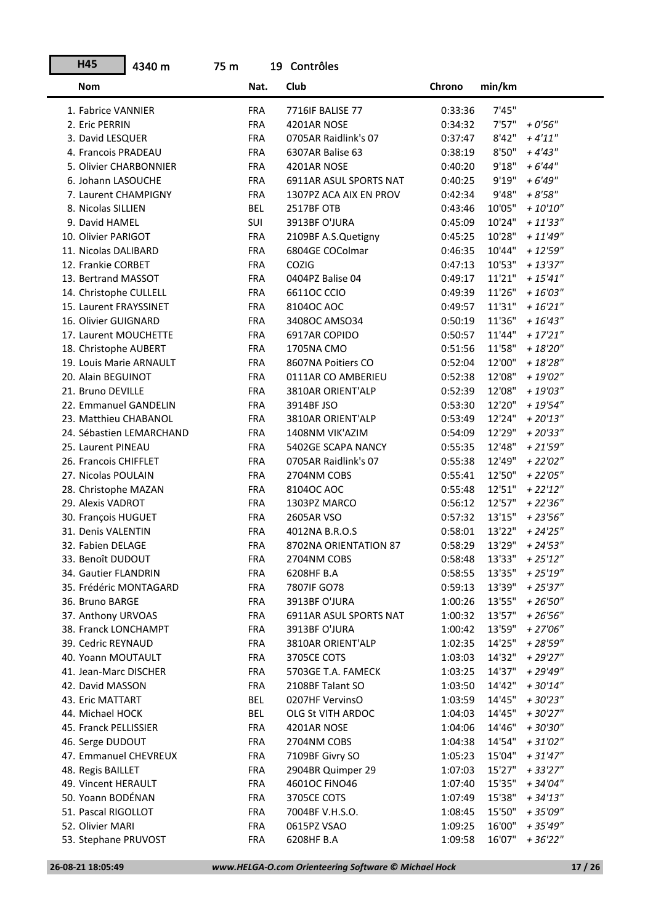| H45                     | 4340 m                   | 75 m |            | 19 Contrôles           |         |        |                     |
|-------------------------|--------------------------|------|------------|------------------------|---------|--------|---------------------|
| <b>Nom</b>              |                          |      | Nat.       | Club                   | Chrono  | min/km |                     |
| 1. Fabrice VANNIER      |                          |      | <b>FRA</b> | 7716IF BALISE 77       | 0:33:36 | 7'45'' |                     |
| 2. Eric PERRIN          |                          |      | <b>FRA</b> | 4201AR NOSE            | 0:34:32 | 7'57"  | $+0'56''$           |
| 3. David LESQUER        |                          |      | <b>FRA</b> | 0705AR Raidlink's 07   | 0:37:47 | 8'42"  | $+4'11''$           |
| 4. Francois PRADEAU     |                          |      | <b>FRA</b> | 6307AR Balise 63       | 0:38:19 | 8'50"  | $+4'43''$           |
| 5. Olivier CHARBONNIER  |                          |      | <b>FRA</b> | 4201AR NOSE            | 0:40:20 | 9'18"  | $+6'44''$           |
| 6. Johann LASOUCHE      |                          |      | <b>FRA</b> | 6911AR ASUL SPORTS NAT | 0:40:25 | 9'19"  | $+6'49''$           |
| 7. Laurent CHAMPIGNY    |                          |      | <b>FRA</b> | 1307PZ ACA AIX EN PROV | 0:42:34 | 9'48"  | $+8'58"$            |
| 8. Nicolas SILLIEN      |                          |      | <b>BEL</b> | 2517BF OTB             | 0:43:46 | 10'05" | $+10'10''$          |
| 9. David HAMEL          |                          |      | SUI        | 3913BF O'JURA          | 0:45:09 | 10'24" | $+11'33''$          |
| 10. Olivier PARIGOT     |                          |      | <b>FRA</b> | 2109BF A.S.Quetigny    | 0:45:25 | 10'28" | $+11'49''$          |
| 11. Nicolas DALIBARD    |                          |      | <b>FRA</b> | 6804GE COColmar        | 0:46:35 | 10'44" | $+12'59''$          |
| 12. Frankie CORBET      |                          |      | <b>FRA</b> | COZIG                  | 0:47:13 | 10'53" | $+13'37''$          |
| 13. Bertrand MASSOT     |                          |      | <b>FRA</b> | 0404PZ Balise 04       | 0:49:17 | 11'21" | $+15'41''$          |
| 14. Christophe CULLELL  |                          |      | <b>FRA</b> | 66110C CCIO            | 0:49:39 | 11'26" | $+16'03''$          |
| 15. Laurent FRAYSSINET  |                          |      | <b>FRA</b> | 81040C AOC             | 0:49:57 | 11'31" | $+16'21"$           |
| 16. Olivier GUIGNARD    |                          |      | <b>FRA</b> | 3408OC AMSO34          | 0:50:19 | 11'36" | $+16'43''$          |
| 17. Laurent MOUCHETTE   |                          |      | <b>FRA</b> | 6917AR COPIDO          | 0:50:57 | 11'44" | $+17'21''$          |
| 18. Christophe AUBERT   |                          |      | <b>FRA</b> | 1705NA CMO             | 0:51:56 | 11'58" | $+ 18'20''$         |
| 19. Louis Marie ARNAULT |                          |      | <b>FRA</b> | 8607NA Poitiers CO     | 0:52:04 | 12'00" | $+18'28"$           |
| 20. Alain BEGUINOT      |                          |      | <b>FRA</b> | 0111AR CO AMBERIEU     | 0:52:38 | 12'08" | $+19'02"$           |
| 21. Bruno DEVILLE       |                          |      | <b>FRA</b> | 3810AR ORIENT'ALP      | 0:52:39 | 12'08" | $+19'03''$          |
| 22. Emmanuel GANDELIN   |                          |      | <b>FRA</b> | 3914BF JSO             | 0:53:30 | 12'20" | $+19'54"$           |
| 23. Matthieu CHABANOL   |                          |      | <b>FRA</b> | 3810AR ORIENT'ALP      | 0:53:49 | 12'24" | $+20'13"$           |
|                         | 24. Sébastien LEMARCHAND |      | <b>FRA</b> | 1408NM VIK'AZIM        | 0:54:09 | 12'29" | $+20'33"$           |
| 25. Laurent PINEAU      |                          |      | <b>FRA</b> | 5402GE SCAPA NANCY     | 0:55:35 | 12'48" | $+21'59''$          |
| 26. Francois CHIFFLET   |                          |      | <b>FRA</b> | 0705AR Raidlink's 07   | 0:55:38 | 12'49" | $+22'02''$          |
| 27. Nicolas POULAIN     |                          |      | <b>FRA</b> | 2704NM COBS            | 0:55:41 | 12'50" | $+22'05''$          |
| 28. Christophe MAZAN    |                          |      | <b>FRA</b> | 81040C AOC             | 0:55:48 | 12'51" | $+22'12''$          |
| 29. Alexis VADROT       |                          |      | <b>FRA</b> | 1303PZ MARCO           | 0:56:12 | 12'57" | $+22'36''$          |
| 30. François HUGUET     |                          |      | <b>FRA</b> | 2605AR VSO             | 0:57:32 | 13'15" | $+23'56''$          |
| 31. Denis VALENTIN      |                          |      | <b>FRA</b> | 4012NA B.R.O.S         | 0:58:01 | 13'22" | $+ 24'25''$         |
| 32. Fabien DELAGE       |                          |      | <b>FRA</b> | 8702NA ORIENTATION 87  | 0:58:29 | 13'29" | $+ 24'53''$         |
| 33. Benoît DUDOUT       |                          |      | <b>FRA</b> | 2704NM COBS            | 0:58:48 |        | $13'33'' + 25'12''$ |
| 34. Gautier FLANDRIN    |                          |      | <b>FRA</b> | 6208HF B.A             | 0:58:55 | 13'35" | $+25'19''$          |
| 35. Frédéric MONTAGARD  |                          |      | FRA        | 7807IF GO78            | 0:59:13 | 13'39" | $+25'37''$          |
| 36. Bruno BARGE         |                          |      | FRA        | 3913BF O'JURA          | 1:00:26 | 13'55" | $+26'50''$          |
| 37. Anthony URVOAS      |                          |      | <b>FRA</b> | 6911AR ASUL SPORTS NAT | 1:00:32 | 13'57" | $+26'56''$          |
| 38. Franck LONCHAMPT    |                          |      | <b>FRA</b> | 3913BF O'JURA          | 1:00:42 | 13'59" | $+27'06''$          |
| 39. Cedric REYNAUD      |                          |      | FRA        | 3810AR ORIENT'ALP      | 1:02:35 | 14'25" | + 28'59"            |
| 40. Yoann MOUTAULT      |                          |      | FRA        | 3705CE COTS            | 1:03:03 | 14'32" | + 29'27"            |
| 41. Jean-Marc DISCHER   |                          |      | FRA        | 5703GE T.A. FAMECK     | 1:03:25 | 14'37" | + 29'49"            |
| 42. David MASSON        |                          |      | <b>FRA</b> | 2108BF Talant SO       | 1:03:50 | 14'42" | $+30'14"$           |
| 43. Eric MATTART        |                          |      | <b>BEL</b> | 0207HF VervinsO        | 1:03:59 | 14'45" | $+30'23"$           |
| 44. Michael HOCK        |                          |      | BEL        | OLG St VITH ARDOC      | 1:04:03 | 14'45" | + 30'27"            |
| 45. Franck PELLISSIER   |                          |      | <b>FRA</b> | 4201AR NOSE            | 1:04:06 | 14'46" | $+30'30''$          |
| 46. Serge DUDOUT        |                          |      | FRA        | 2704NM COBS            | 1:04:38 | 14'54" | $+31'02''$          |
| 47. Emmanuel CHEVREUX   |                          |      | FRA        | 7109BF Givry SO        | 1:05:23 | 15'04" | $+31'47''$          |
| 48. Regis BAILLET       |                          |      | FRA        | 2904BR Quimper 29      | 1:07:03 | 15'27" | $+33'27"$           |
| 49. Vincent HERAULT     |                          |      | FRA        | 46010C FINO46          | 1:07:40 | 15'35" | $+34'04"$           |
| 50. Yoann BODÉNAN       |                          |      | FRA        | 3705CE COTS            | 1:07:49 | 15'38" | $+34'13''$          |
| 51. Pascal RIGOLLOT     |                          |      | FRA        | 7004BF V.H.S.O.        | 1:08:45 | 15'50" | + 35'09"            |
| 52. Olivier MARI        |                          |      | <b>FRA</b> | 0615PZ VSAO            | 1:09:25 | 16'00" | + 35'49"            |
| 53. Stephane PRUVOST    |                          |      | FRA        | 6208HF B.A             | 1:09:58 | 16'07" | $+36'22"$           |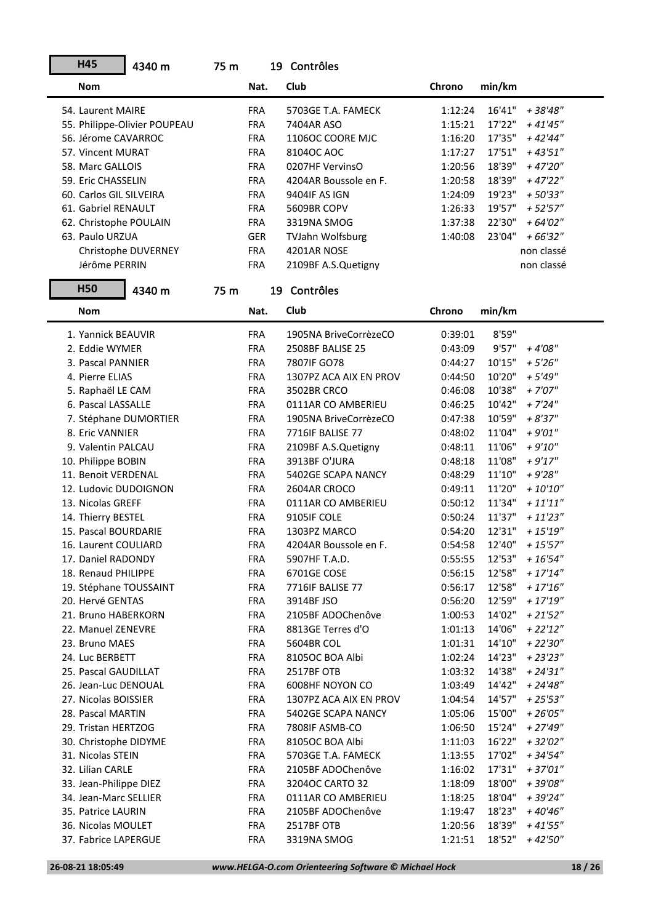| H45                     | 4340 m                       | 75 m |            | 19 Contrôles           |         |        |             |
|-------------------------|------------------------------|------|------------|------------------------|---------|--------|-------------|
| <b>Nom</b>              |                              |      | Nat.       | Club                   | Chrono  | min/km |             |
| 54. Laurent MAIRE       |                              |      | <b>FRA</b> | 5703GE T.A. FAMECK     | 1:12:24 | 16'41" | +38'48"     |
|                         | 55. Philippe-Olivier POUPEAU |      | <b>FRA</b> | 7404AR ASO             | 1:15:21 | 17'22" | $+41'45''$  |
| 56. Jérome CAVARROC     |                              |      | <b>FRA</b> | 1106OC COORE MJC       | 1:16:20 | 17'35" | $+42'44"$   |
| 57. Vincent MURAT       |                              |      | <b>FRA</b> | 8104OC AOC             | 1:17:27 | 17'51" | $+43'51"$   |
| 58. Marc GALLOIS        |                              |      | <b>FRA</b> | 0207HF VervinsO        | 1:20:56 | 18'39" | $+47'20''$  |
| 59. Eric CHASSELIN      |                              |      | <b>FRA</b> | 4204AR Boussole en F.  | 1:20:58 | 18'39" | $+47'22''$  |
| 60. Carlos GIL SILVEIRA |                              |      | <b>FRA</b> | 9404IF AS IGN          | 1:24:09 | 19'23" | $+50'33"$   |
| 61. Gabriel RENAULT     |                              |      | <b>FRA</b> | 5609BR COPV            | 1:26:33 | 19'57" | $+52'57''$  |
| 62. Christophe POULAIN  |                              |      | <b>FRA</b> | 3319NA SMOG            | 1:37:38 | 22'30" | $+64'02"$   |
| 63. Paulo URZUA         |                              |      | <b>GER</b> | TVJahn Wolfsburg       | 1:40:08 | 23'04" | $+66'32"$   |
|                         | Christophe DUVERNEY          |      | <b>FRA</b> | 4201AR NOSE            |         |        | non classé  |
| Jérôme PERRIN           |                              |      | <b>FRA</b> | 2109BF A.S.Quetigny    |         |        | non classé  |
| <b>H50</b>              | 4340 m                       | 75 m |            | 19 Contrôles           |         |        |             |
| <b>Nom</b>              |                              |      | Nat.       | Club                   | Chrono  | min/km |             |
| 1. Yannick BEAUVIR      |                              |      | <b>FRA</b> | 1905NA BriveCorrèzeCO  | 0:39:01 | 8'59"  |             |
| 2. Eddie WYMER          |                              |      | <b>FRA</b> | 2508BF BALISE 25       | 0:43:09 | 9'57"  | $+4'08''$   |
| 3. Pascal PANNIER       |                              |      | <b>FRA</b> | 7807IF GO78            | 0:44:27 | 10'15" | $+5'26''$   |
| 4. Pierre ELIAS         |                              |      | <b>FRA</b> | 1307PZ ACA AIX EN PROV | 0:44:50 | 10'20" | $+5'49''$   |
| 5. Raphaël LE CAM       |                              |      | <b>FRA</b> | 3502BR CRCO            | 0:46:08 | 10'38" | $+ 7'07''$  |
| 6. Pascal LASSALLE      |                              |      | <b>FRA</b> | 0111AR CO AMBERIEU     | 0:46:25 | 10'42" | $+ 7'24''$  |
| 7. Stéphane DUMORTIER   |                              |      | <b>FRA</b> | 1905NA BriveCorrèzeCO  | 0:47:38 | 10'59" | $+8'37"$    |
| 8. Eric VANNIER         |                              |      | <b>FRA</b> | 7716IF BALISE 77       | 0:48:02 | 11'04" | $+9'01''$   |
| 9. Valentin PALCAU      |                              |      | <b>FRA</b> | 2109BF A.S.Quetigny    | 0:48:11 | 11'06" | $+9'10''$   |
| 10. Philippe BOBIN      |                              |      | <b>FRA</b> | 3913BF O'JURA          | 0:48:18 | 11'08" | $+9'17''$   |
| 11. Benoit VERDENAL     |                              |      | <b>FRA</b> | 5402GE SCAPA NANCY     | 0:48:29 | 11'10" | $+9'28''$   |
| 12. Ludovic DUDOIGNON   |                              |      | <b>FRA</b> | 2604AR CROCO           | 0:49:11 | 11'20" | $+10'10''$  |
| 13. Nicolas GREFF       |                              |      | <b>FRA</b> | 0111AR CO AMBERIEU     | 0:50:12 | 11'34" | $+11'11''$  |
| 14. Thierry BESTEL      |                              |      | <b>FRA</b> | 9105IF COLE            | 0:50:24 | 11'37" | $+11'23''$  |
| 15. Pascal BOURDARIE    |                              |      | <b>FRA</b> | 1303PZ MARCO           | 0:54:20 | 12'31" | $+15'19''$  |
| 16. Laurent COULIARD    |                              |      | <b>FRA</b> | 4204AR Boussole en F.  | 0:54:58 | 12'40" | $+ 15'57''$ |
| 17. Daniel RADONDY      |                              |      | <b>FRA</b> | 5907HF T.A.D.          | 0:55:55 | 12'53" | $+16'54"$   |
| 18. Renaud PHILIPPE     |                              |      | <b>FRA</b> | 6701GE COSE            | 0:56:15 | 12'58" | $+17'14''$  |
| 19. Stéphane TOUSSAINT  |                              |      | <b>FRA</b> | 7716IF BALISE 77       | 0:56:17 | 12'58" | $+17'16''$  |
| 20. Hervé GENTAS        |                              |      | <b>FRA</b> | 3914BF JSO             | 0:56:20 | 12'59" | $+17'19''$  |
| 21. Bruno HABERKORN     |                              |      | <b>FRA</b> | 2105BF ADOChenôve      | 1:00:53 | 14'02" | $+21'52"$   |
| 22. Manuel ZENEVRE      |                              |      | <b>FRA</b> | 8813GE Terres d'O      | 1:01:13 | 14'06" | $+22'12"$   |
| 23. Bruno MAES          |                              |      | <b>FRA</b> | 5604BR COL             | 1:01:31 | 14'10" | $+22'30''$  |
| 24. Luc BERBETT         |                              |      | <b>FRA</b> | 8105OC BOA Albi        | 1:02:24 | 14'23" | $+23'23"$   |
| 25. Pascal GAUDILLAT    |                              |      | <b>FRA</b> | 2517BF OTB             | 1:03:32 | 14'38" | $+ 24'31''$ |
| 26. Jean-Luc DENOUAL    |                              |      | <b>FRA</b> | 6008HF NOYON CO        | 1:03:49 | 14'42" | $+ 24'48''$ |
| 27. Nicolas BOISSIER    |                              |      | <b>FRA</b> | 1307PZ ACA AIX EN PROV | 1:04:54 | 14'57" | $+25'53''$  |
| 28. Pascal MARTIN       |                              |      | <b>FRA</b> | 5402GE SCAPA NANCY     | 1:05:06 | 15'00" | $+26'05"$   |
| 29. Tristan HERTZOG     |                              |      | <b>FRA</b> | 7808IF ASMB-CO         | 1:06:50 | 15'24" | $+27'49''$  |
| 30. Christophe DIDYME   |                              |      | <b>FRA</b> | 8105OC BOA Albi        | 1:11:03 | 16'22" | $+32'02"$   |
| 31. Nicolas STEIN       |                              |      | <b>FRA</b> | 5703GE T.A. FAMECK     | 1:13:55 | 17'02" | $+34'54"$   |
| 32. Lilian CARLE        |                              |      | <b>FRA</b> | 2105BF ADOChenôve      | 1:16:02 | 17'31" | $+37'01''$  |
| 33. Jean-Philippe DIEZ  |                              |      | <b>FRA</b> | 3204OC CARTO 32        | 1:18:09 | 18'00" | $+39'08"$   |
| 34. Jean-Marc SELLIER   |                              |      | <b>FRA</b> | 0111AR CO AMBERIEU     | 1:18:25 | 18'04" | + 39'24"    |
| 35. Patrice LAURIN      |                              |      | <b>FRA</b> | 2105BF ADOChenôve      | 1:19:47 | 18'23" | $+40'46"$   |
| 36. Nicolas MOULET      |                              |      | <b>FRA</b> | 2517BF OTB             | 1:20:56 | 18'39" | + 41'55"    |
| 37. Fabrice LAPERGUE    |                              |      | <b>FRA</b> | 3319NA SMOG            | 1:21:51 | 18'52" | + 42'50"    |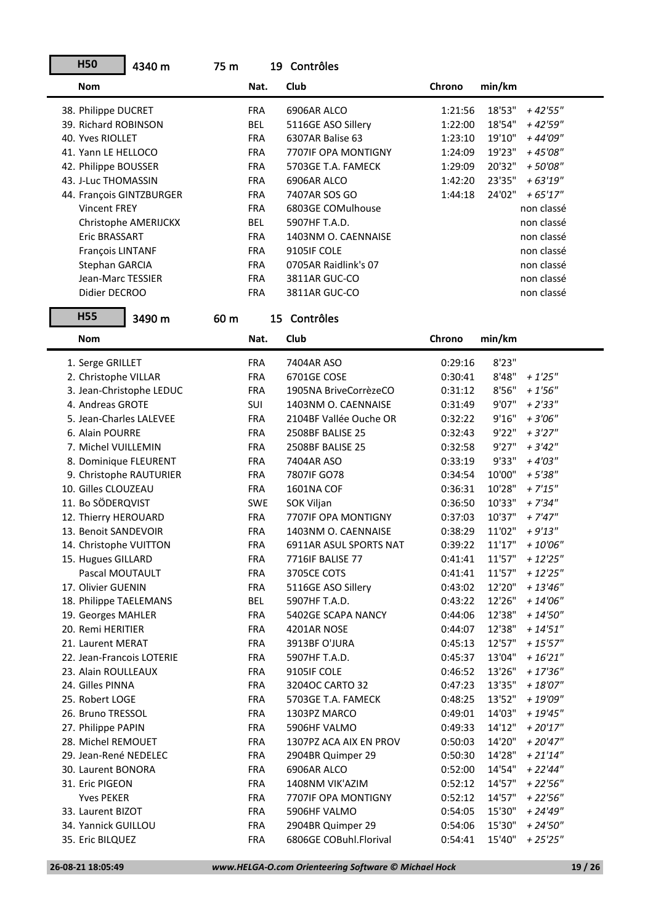| <b>H50</b>                | 4340 m                   | 75 m |            | 19 Contrôles           |         |                       |
|---------------------------|--------------------------|------|------------|------------------------|---------|-----------------------|
| <b>Nom</b>                |                          |      | Nat.       | Club                   | Chrono  | min/km                |
| 38. Philippe DUCRET       |                          |      | <b>FRA</b> | 6906AR ALCO            | 1:21:56 | 18'53"<br>$+42'55"$   |
| 39. Richard ROBINSON      |                          |      | <b>BEL</b> | 5116GE ASO Sillery     | 1:22:00 | 18'54"<br>+ 42'59"    |
| 40. Yves RIOLLET          |                          |      | <b>FRA</b> | 6307AR Balise 63       | 1:23:10 | 19'10"<br>+ 44'09"    |
| 41. Yann LE HELLOCO       |                          |      | <b>FRA</b> | 7707IF OPA MONTIGNY    | 1:24:09 | 19'23"<br>$+45'08''$  |
| 42. Philippe BOUSSER      |                          |      | <b>FRA</b> | 5703GE T.A. FAMECK     | 1:29:09 | 20'32"<br>$+50'08"$   |
| 43. J-Luc THOMASSIN       |                          |      | <b>FRA</b> | 6906AR ALCO            | 1:42:20 | 23'35"<br>$+63'19''$  |
| 44. François GINTZBURGER  |                          |      | <b>FRA</b> | 7407AR SOS GO          | 1:44:18 | 24'02"<br>$+65'17''$  |
| <b>Vincent FREY</b>       |                          |      | <b>FRA</b> | 6803GE COMulhouse      |         | non classé            |
|                           | Christophe AMERIJCKX     |      | <b>BEL</b> | 5907HF T.A.D.          |         | non classé            |
| Eric BRASSART             |                          |      | <b>FRA</b> | 1403NM O. CAENNAISE    |         | non classé            |
| François LINTANF          |                          |      | <b>FRA</b> | 9105IF COLE            |         | non classé            |
| Stephan GARCIA            |                          |      | <b>FRA</b> | 0705AR Raidlink's 07   |         | non classé            |
| Jean-Marc TESSIER         |                          |      | <b>FRA</b> | 3811AR GUC-CO          |         | non classé            |
| Didier DECROO             |                          |      | <b>FRA</b> | 3811AR GUC-CO          |         | non classé            |
| <b>H55</b>                | 3490 m                   | 60 m |            | 15 Contrôles           |         |                       |
| <b>Nom</b>                |                          |      | Nat.       | Club                   | Chrono  | min/km                |
| 1. Serge GRILLET          |                          |      | <b>FRA</b> | 7404AR ASO             | 0:29:16 | 8'23"                 |
| 2. Christophe VILLAR      |                          |      | <b>FRA</b> | 6701GE COSE            | 0:30:41 | 8'48"<br>$+1'25''$    |
|                           | 3. Jean-Christophe LEDUC |      | <b>FRA</b> | 1905NA BriveCorrèzeCO  | 0:31:12 | 8'56"<br>$+1'56''$    |
| 4. Andreas GROTE          |                          |      | SUI        | 1403NM O. CAENNAISE    | 0:31:49 | 9'07"<br>$+2'33''$    |
| 5. Jean-Charles LALEVEE   |                          |      | <b>FRA</b> | 2104BF Vallée Ouche OR | 0:32:22 | 9'16"<br>$+3'06''$    |
| 6. Alain POURRE           |                          |      | <b>FRA</b> | 2508BF BALISE 25       | 0:32:43 | 9'22"<br>$+3'27''$    |
| 7. Michel VUILLEMIN       |                          |      | <b>FRA</b> | 2508BF BALISE 25       | 0:32:58 | 9'27"<br>$+3'42''$    |
| 8. Dominique FLEURENT     |                          |      | <b>FRA</b> | 7404AR ASO             | 0:33:19 | 9'33"<br>$+4'03''$    |
| 9. Christophe RAUTURIER   |                          |      | <b>FRA</b> | 7807IF GO78            | 0:34:54 | 10'00"<br>$+5'38''$   |
| 10. Gilles CLOUZEAU       |                          |      | <b>FRA</b> | 1601NA COF             | 0:36:31 | 10'28"<br>$+ 7'15''$  |
| 11. Bo SÖDERQVIST         |                          |      | SWE        | SOK Viljan             | 0:36:50 | 10'33"<br>$+7'34''$   |
| 12. Thierry HEROUARD      |                          |      | <b>FRA</b> | 7707IF OPA MONTIGNY    | 0:37:03 | 10'37"<br>$+7'47''$   |
| 13. Benoit SANDEVOIR      |                          |      | <b>FRA</b> | 1403NM O. CAENNAISE    | 0:38:29 | 11'02"<br>$+9'13''$   |
| 14. Christophe VUITTON    |                          |      | <b>FRA</b> | 6911AR ASUL SPORTS NAT | 0:39:22 | 11'17"<br>$+10'06"$   |
| 15. Hugues GILLARD        |                          |      | <b>FRA</b> | 7716IF BALISE 77       | 0:41:41 | 11'57"<br>$+12'25''$  |
| Pascal MOUTAULT           |                          |      | <b>FRA</b> | 3705CE COTS            | 0:41:41 | 11'57"<br>$+12'25''$  |
| 17. Olivier GUENIN        |                          |      | FRA        | 5116GE ASO Sillery     | 0:43:02 | 12'20"<br>$+13'46''$  |
| 18. Philippe TAELEMANS    |                          |      | BEL        | 5907HF T.A.D.          | 0:43:22 | 12'26"<br>$+ 14'06''$ |
| 19. Georges MAHLER        |                          |      | <b>FRA</b> | 5402GE SCAPA NANCY     | 0:44:06 | 12'38"<br>$+ 14'50''$ |
| 20. Remi HERITIER         |                          |      | <b>FRA</b> | 4201AR NOSE            | 0:44:07 | 12'38"<br>$+ 14'51''$ |
| 21. Laurent MERAT         |                          |      | <b>FRA</b> | 3913BF O'JURA          | 0:45:13 | 12'57"<br>$+15'57''$  |
| 22. Jean-Francois LOTERIE |                          |      | <b>FRA</b> | 5907HF T.A.D.          | 0:45:37 | 13'04"<br>$+16'21''$  |
| 23. Alain ROULLEAUX       |                          |      | <b>FRA</b> | 9105IF COLE            | 0:46:52 | 13'26"<br>$+17'36''$  |
| 24. Gilles PINNA          |                          |      | FRA        | 32040C CARTO 32        | 0:47:23 | 13'35"<br>$+18'07''$  |
| 25. Robert LOGE           |                          |      | FRA        | 5703GE T.A. FAMECK     | 0:48:25 | 13'52"<br>+ 19'09"    |
| 26. Bruno TRESSOL         |                          |      | <b>FRA</b> | 1303PZ MARCO           | 0:49:01 | 14'03"<br>+ 19'45"    |
| 27. Philippe PAPIN        |                          |      | <b>FRA</b> | 5906HF VALMO           | 0:49:33 | 14'12"<br>$+20'17"$   |
| 28. Michel REMOUET        |                          |      | <b>FRA</b> | 1307PZ ACA AIX EN PROV | 0:50:03 | 14'20"<br>$+20'47''$  |
| 29. Jean-René NEDELEC     |                          |      | FRA        | 2904BR Quimper 29      | 0:50:30 | 14'28"<br>$+21'14"$   |
| 30. Laurent BONORA        |                          |      | FRA        | 6906AR ALCO            | 0:52:00 | 14'54"<br>$+22'44''$  |
| 31. Eric PIGEON           |                          |      | FRA        | 1408NM VIK'AZIM        | 0:52:12 | 14'57"<br>$+22'56''$  |
| <b>Yves PEKER</b>         |                          |      | FRA        | 7707IF OPA MONTIGNY    | 0:52:12 | 14'57"<br>$+22'56''$  |
| 33. Laurent BIZOT         |                          |      | FRA        | 5906HF VALMO           | 0:54:05 | 15'30"<br>+ 24'49"    |
| 34. Yannick GUILLOU       |                          |      | <b>FRA</b> | 2904BR Quimper 29      | 0:54:06 | 15'30"<br>$+ 24'50''$ |
| 35. Eric BILQUEZ          |                          |      | <b>FRA</b> | 6806GE COBuhl.Florival | 0:54:41 | 15'40"<br>$+25'25''$  |
|                           |                          |      |            |                        |         |                       |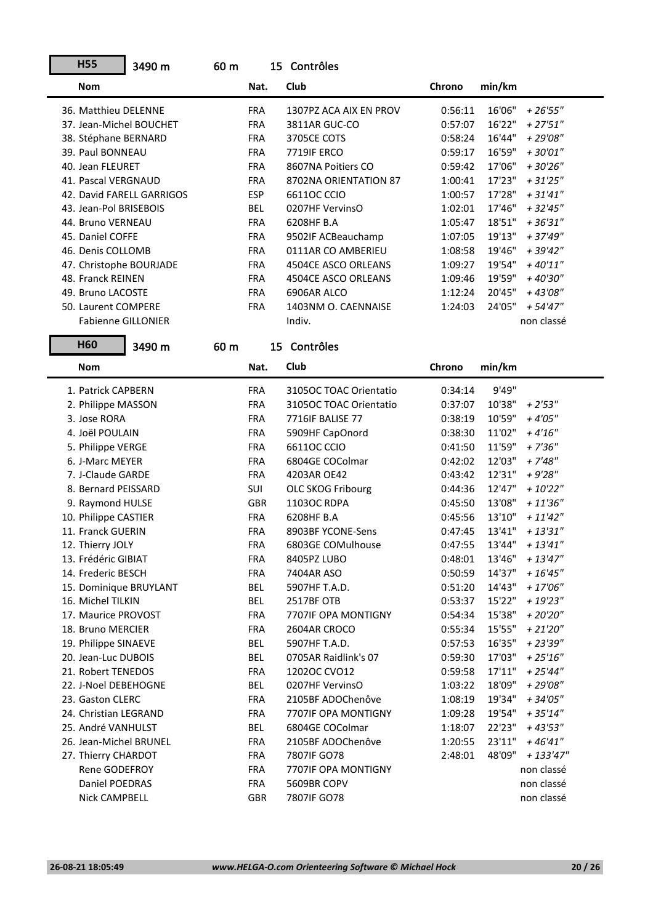| <b>H55</b>                | 3490 m<br>60 m |            | 15 Contrôles             |         |        |                 |
|---------------------------|----------------|------------|--------------------------|---------|--------|-----------------|
| <b>Nom</b>                |                | Nat.       | Club                     | Chrono  | min/km |                 |
| 36. Matthieu DELENNE      |                | <b>FRA</b> | 1307PZ ACA AIX EN PROV   | 0:56:11 | 16'06" | $+26'55"$       |
| 37. Jean-Michel BOUCHET   |                | <b>FRA</b> | 3811AR GUC-CO            | 0:57:07 | 16'22" | $+27'51''$      |
| 38. Stéphane BERNARD      |                | <b>FRA</b> | 3705CE COTS              | 0:58:24 | 16'44" | $+29'08''$      |
| 39. Paul BONNEAU          |                | <b>FRA</b> | 7719IF ERCO              | 0:59:17 | 16'59" | $+30'01"$       |
| 40. Jean FLEURET          |                | <b>FRA</b> | 8607NA Poitiers CO       | 0:59:42 | 17'06" | $+30'26''$      |
| 41. Pascal VERGNAUD       |                | <b>FRA</b> | 8702NA ORIENTATION 87    | 1:00:41 | 17'23" | $+31'25''$      |
| 42. David FARELL GARRIGOS |                | <b>ESP</b> | 66110C CCIO              | 1:00:57 | 17'28" | $+31'41''$      |
| 43. Jean-Pol BRISEBOIS    |                | <b>BEL</b> | 0207HF VervinsO          | 1:02:01 | 17'46" | $+32'45''$      |
| 44. Bruno VERNEAU         |                | <b>FRA</b> | 6208HF B.A               | 1:05:47 | 18'51" | $+$ 36'31" $\,$ |
| 45. Daniel COFFE          |                | <b>FRA</b> | 9502IF ACBeauchamp       | 1:07:05 | 19'13" | + 37'49"        |
| 46. Denis COLLOMB         |                | <b>FRA</b> | 0111AR CO AMBERIEU       | 1:08:58 | 19'46" | $+39'42''$      |
| 47. Christophe BOURJADE   |                | <b>FRA</b> | 4504CE ASCO ORLEANS      | 1:09:27 | 19'54" | $+40'11"$       |
| 48. Franck REINEN         |                | <b>FRA</b> | 4504CE ASCO ORLEANS      | 1:09:46 | 19'59" | +40'30"         |
| 49. Bruno LACOSTE         |                | <b>FRA</b> | 6906AR ALCO              | 1:12:24 | 20'45" | +43'08"         |
| 50. Laurent COMPERE       |                | <b>FRA</b> | 1403NM O. CAENNAISE      | 1:24:03 | 24'05" | + 54'47"        |
| <b>Fabienne GILLONIER</b> |                |            | Indiv.                   |         |        | non classé      |
| H60                       | 3490 m<br>60 m |            | 15 Contrôles             |         |        |                 |
| <b>Nom</b>                |                | Nat.       | Club                     | Chrono  | min/km |                 |
| 1. Patrick CAPBERN        |                | <b>FRA</b> | 3105OC TOAC Orientatio   | 0:34:14 | 9'49"  |                 |
| 2. Philippe MASSON        |                | <b>FRA</b> | 3105OC TOAC Orientatio   | 0:37:07 | 10'38" | $+2'53''$       |
| 3. Jose RORA              |                | <b>FRA</b> | 7716IF BALISE 77         | 0:38:19 | 10'59" | $+4'05''$       |
| 4. Joël POULAIN           |                | <b>FRA</b> | 5909HF CapOnord          | 0:38:30 | 11'02" | $+4'16''$       |
| 5. Philippe VERGE         |                | <b>FRA</b> | 66110C CCIO              | 0:41:50 | 11'59" | $+7'36''$       |
| 6. J-Marc MEYER           |                | <b>FRA</b> | 6804GE COColmar          | 0:42:02 | 12'03" | $+7'48''$       |
| 7. J-Claude GARDE         |                | <b>FRA</b> | 4203AR OE42              | 0:43:42 | 12'31" | $+9'28''$       |
| 8. Bernard PEISSARD       |                | SUI        | <b>OLC SKOG Fribourg</b> | 0:44:36 | 12'47" | $+10'22"$       |
| 9. Raymond HULSE          |                | <b>GBR</b> | 11030C RDPA              | 0:45:50 | 13'08" | $+11'36''$      |
| 10. Philippe CASTIER      |                | <b>FRA</b> | 6208HF B.A               | 0:45:56 | 13'10" | $+11'42''$      |
| 11. Franck GUERIN         |                | <b>FRA</b> | 8903BF YCONE-Sens        | 0:47:45 | 13'41" | $+13'31''$      |
| 12. Thierry JOLY          |                | <b>FRA</b> | 6803GE COMulhouse        | 0:47:55 | 13'44" | $+ 13'41''$     |
| 13. Frédéric GIBIAT       |                | <b>FRA</b> | 8405PZ LUBO              | 0:48:01 | 13'46" | $+13'47''$      |
| 14. Frederic BESCH        |                | <b>FRA</b> | 7404AR ASO               | 0:50:59 | 14'37" | $+16'45''$      |
| 15. Dominique BRUYLANT    |                | <b>BEL</b> | 5907HF T.A.D.            | 0:51:20 | 14'43" | $+17'06''$      |
| 16. Michel TILKIN         |                | BEL        | 2517BF OTB               | 0:53:37 | 15'22" | $+19'23"$       |
| 17. Maurice PROVOST       |                | <b>FRA</b> | 7707IF OPA MONTIGNY      | 0:54:34 | 15'38" | + 20'20"        |
| 18. Bruno MERCIER         |                | <b>FRA</b> | 2604AR CROCO             | 0:55:34 | 15'55" | $+21'20''$      |
| 19. Philippe SINAEVE      |                | <b>BEL</b> | 5907HF T.A.D.            | 0:57:53 | 16'35" | + 23'39"        |
| 20. Jean-Luc DUBOIS       |                | <b>BEL</b> | 0705AR Raidlink's 07     | 0:59:30 | 17'03" | $+25'16''$      |
| 21. Robert TENEDOS        |                | <b>FRA</b> | 12020C CVO12             | 0:59:58 | 17'11" | $+25'44''$      |
| 22. J-Noel DEBEHOGNE      |                | <b>BEL</b> | 0207HF VervinsO          | 1:03:22 | 18'09" | $+29'08''$      |
| 23. Gaston CLERC          |                | <b>FRA</b> | 2105BF ADOChenôve        | 1:08:19 | 19'34" | $+34'05''$      |
| 24. Christian LEGRAND     |                | FRA        | 7707IF OPA MONTIGNY      | 1:09:28 | 19'54" | + 35'14"        |
| 25. André VANHULST        |                | <b>BEL</b> | 6804GE COColmar          | 1:18:07 | 22'23" | + 43'53"        |
| 26. Jean-Michel BRUNEL    |                | <b>FRA</b> | 2105BF ADOChenôve        | 1:20:55 | 23'11" | $+46'41''$      |
| 27. Thierry CHARDOT       |                | <b>FRA</b> | 7807IF GO78              | 2:48:01 | 48'09" | + 133'47"       |
| Rene GODEFROY             |                | FRA        | 7707IF OPA MONTIGNY      |         |        | non classé      |
| Daniel POEDRAS            |                | FRA        | 5609BR COPV              |         |        | non classé      |
| Nick CAMPBELL             |                | GBR        | 7807IF GO78              |         |        | non classé      |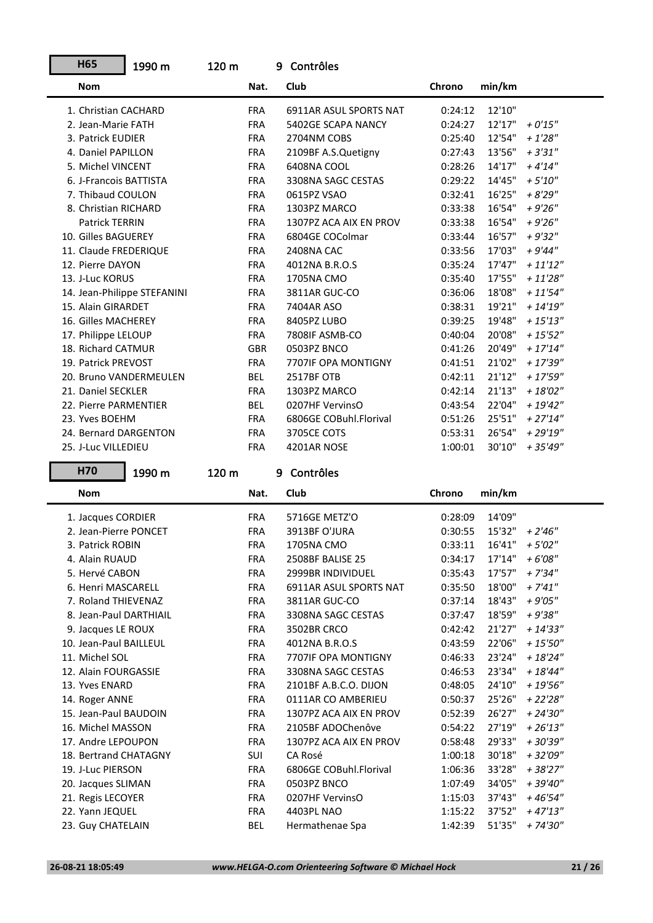| <b>H65</b>                           | 1990 m                      | 120 m |                          | 9 | Contrôles                     |                    |                  |                        |
|--------------------------------------|-----------------------------|-------|--------------------------|---|-------------------------------|--------------------|------------------|------------------------|
| <b>Nom</b>                           |                             |       | Nat.                     |   | Club                          | Chrono             | min/km           |                        |
| 1. Christian CACHARD                 |                             |       | <b>FRA</b>               |   | 6911AR ASUL SPORTS NAT        | 0:24:12            | 12'10"           |                        |
| 2. Jean-Marie FATH                   |                             |       | <b>FRA</b>               |   | 5402GE SCAPA NANCY            | 0:24:27            | 12'17"           | $+0'15"$               |
| 3. Patrick EUDIER                    |                             |       | <b>FRA</b>               |   | 2704NM COBS                   | 0:25:40            | 12'54"           | $+1'28''$              |
| 4. Daniel PAPILLON                   |                             |       | <b>FRA</b>               |   | 2109BF A.S.Quetigny           | 0:27:43            | 13'56"           | $+3'31''$              |
| 5. Michel VINCENT                    |                             |       | <b>FRA</b>               |   | 6408NA COOL                   | 0:28:26            | 14'17"           | $+4'14''$              |
| 6. J-Francois BATTISTA               |                             |       | <b>FRA</b>               |   | 3308NA SAGC CESTAS            | 0:29:22            | 14'45"           | $+5'10''$              |
| 7. Thibaud COULON                    |                             |       | <b>FRA</b>               |   | 0615PZ VSAO                   | 0:32:41            | 16'25"           | $+8'29''$              |
| 8. Christian RICHARD                 |                             |       | <b>FRA</b>               |   | 1303PZ MARCO                  | 0:33:38            | 16'54"           | $+9'26''$              |
| Patrick TERRIN                       |                             |       | <b>FRA</b>               |   | 1307PZ ACA AIX EN PROV        | 0:33:38            | 16'54"           | $+9'26''$              |
| 10. Gilles BAGUEREY                  |                             |       | <b>FRA</b>               |   | 6804GE COColmar               | 0:33:44            | 16'57"           | $+9'32"$               |
| 11. Claude FREDERIQUE                |                             |       | <b>FRA</b>               |   | 2408NA CAC                    | 0:33:56            | 17'03"           | $+9'44''$              |
| 12. Pierre DAYON                     |                             |       | <b>FRA</b>               |   | 4012NA B.R.O.S                | 0:35:24            | 17'47"           | $+$ 11'12" $\,$        |
| 13. J-Luc KORUS                      |                             |       | <b>FRA</b>               |   | 1705NA CMO                    | 0:35:40            | 17'55"           | $+ 11'28''$            |
|                                      | 14. Jean-Philippe STEFANINI |       | <b>FRA</b>               |   | 3811AR GUC-CO                 | 0:36:06            | 18'08"           | $+ 11'54''$            |
| 15. Alain GIRARDET                   |                             |       | <b>FRA</b>               |   | 7404AR ASO                    | 0:38:31            | 19'21"           | $+ 14'19''$            |
| 16. Gilles MACHEREY                  |                             |       | <b>FRA</b>               |   | 8405PZ LUBO                   | 0:39:25            | 19'48"           | $+ 15'13''$            |
| 17. Philippe LELOUP                  |                             |       | <b>FRA</b>               |   | 7808IF ASMB-CO                | 0:40:04            | 20'08"           | $+ 15'52''$            |
| 18. Richard CATMUR                   |                             |       | <b>GBR</b>               |   | 0503PZ BNCO                   | 0:41:26            | 20'49"           | $+17'14''$             |
| 19. Patrick PREVOST                  |                             |       | <b>FRA</b>               |   | 7707IF OPA MONTIGNY           | 0:41:51            | 21'02"           | $+17'39''$             |
| 20. Bruno VANDERMEULEN               |                             |       | <b>BEL</b>               |   | 2517BF OTB                    | 0:42:11            | 21'12"           | $+17'59''$             |
| 21. Daniel SECKLER                   |                             |       | <b>FRA</b>               |   | 1303PZ MARCO                  | 0:42:14            | 21'13"           | $+ 18'02''$            |
| 22. Pierre PARMENTIER                |                             |       | <b>BEL</b>               |   | 0207HF VervinsO               | 0:43:54            | 22'04"           | $+19'42''$             |
| 23. Yves BOEHM                       |                             |       | <b>FRA</b>               |   | 6806GE COBuhl.Florival        | 0:51:26            | 25'51"           | $+27'14''$             |
| 24. Bernard DARGENTON                |                             |       | <b>FRA</b>               |   | 3705CE COTS                   | 0:53:31            | 26'54"           | $+29'19''$             |
|                                      |                             |       |                          |   |                               |                    |                  |                        |
| 25. J-Luc VILLEDIEU                  |                             |       | <b>FRA</b>               |   | 4201AR NOSE                   | 1:00:01            | 30'10"           | $+35'49''$             |
| H70                                  | 1990 m                      | 120 m |                          |   | 9 Contrôles                   |                    |                  |                        |
| <b>Nom</b>                           |                             |       | Nat.                     |   | Club                          | Chrono             | min/km           |                        |
| 1. Jacques CORDIER                   |                             |       | <b>FRA</b>               |   | 5716GE METZ'O                 | 0:28:09            | 14'09"           |                        |
| 2. Jean-Pierre PONCET                |                             |       | <b>FRA</b>               |   | 3913BF O'JURA                 | 0:30:55            | 15'32"           | $+2'46''$              |
| 3. Patrick ROBIN                     |                             |       | <b>FRA</b>               |   | 1705NA CMO                    | 0:33:11            | 16'41"           | $+5'02''$              |
| 4. Alain RUAUD                       |                             |       | <b>FRA</b>               |   | 2508BF BALISE 25              | 0:34:17            | 17'14"           | $+6'08''$              |
| 5. Hervé CABON                       |                             |       | <b>FRA</b>               |   | 2999BR INDIVIDUEL             | 0:35:43            | 17'57"           | $+7'34''$              |
| 6. Henri MASCARELL                   |                             |       | <b>FRA</b>               |   | 6911AR ASUL SPORTS NAT        | 0:35:50            | 18'00"           | $+ 7'41''$             |
| 7. Roland THIEVENAZ                  |                             |       | <b>FRA</b>               |   | 3811AR GUC-CO                 | 0:37:14            | 18'43"           | $+9'05''$              |
| 8. Jean-Paul DARTHIAIL               |                             |       | <b>FRA</b>               |   | 3308NA SAGC CESTAS            | 0:37:47            | 18'59"           | $+9'38"$               |
| 9. Jacques LE ROUX                   |                             |       | <b>FRA</b>               |   | 3502BR CRCO                   | 0:42:42            | 21'27"           | $+ 14'33''$            |
| 10. Jean-Paul BAILLEUL               |                             |       | <b>FRA</b>               |   | 4012NA B.R.O.S                | 0:43:59            | 22'06"           | $+15'50''$             |
| 11. Michel SOL                       |                             |       | <b>FRA</b>               |   | 7707IF OPA MONTIGNY           | 0:46:33            | 23'24"           | $+18'24"$              |
| 12. Alain FOURGASSIE                 |                             |       | <b>FRA</b>               |   | 3308NA SAGC CESTAS            | 0:46:53            | 23'34"           | $+ 18'44''$            |
| 13. Yves ENARD                       |                             |       | <b>FRA</b>               |   | 2101BF A.B.C.O. DIJON         | 0:48:05            | 24'10"           | $+ 19'56''$            |
| 14. Roger ANNE                       |                             |       | <b>FRA</b>               |   | 0111AR CO AMBERIEU            | 0:50:37            | 25'26"           | $+22'28''$             |
| 15. Jean-Paul BAUDOIN                |                             |       | <b>FRA</b>               |   | 1307PZ ACA AIX EN PROV        | 0:52:39            | 26'27"           | $+ 24'30''$            |
| 16. Michel MASSON                    |                             |       | <b>FRA</b>               |   | 2105BF ADOChenôve             | 0:54:22            | 27'19"           | $+26'13''$             |
| 17. Andre LEPOUPON                   |                             |       | <b>FRA</b>               |   | 1307PZ ACA AIX EN PROV        | 0:58:48            | 29'33"           | + 30'39"               |
| 18. Bertrand CHATAGNY                |                             |       | SUI                      |   | CA Rosé                       | 1:00:18            | 30'18"           | + 32'09"               |
| 19. J-Luc PIERSON                    |                             |       | <b>FRA</b>               |   | 6806GE COBuhl.Florival        | 1:06:36            | 33'28"           | $+38'27"$              |
| 20. Jacques SLIMAN                   |                             |       | <b>FRA</b>               |   | 0503PZ BNCO                   | 1:07:49            | 34'05"           | + 39'40"               |
| 21. Regis LECOYER                    |                             |       | <b>FRA</b>               |   | 0207HF VervinsO               | 1:15:03            | 37'43"           | + 46'54"               |
| 22. Yann JEQUEL<br>23. Guy CHATELAIN |                             |       | <b>FRA</b><br><b>BEL</b> |   | 4403PL NAO<br>Hermathenae Spa | 1:15:22<br>1:42:39 | 37'52"<br>51'35" | $+47'13''$<br>+ 74'30" |

ź,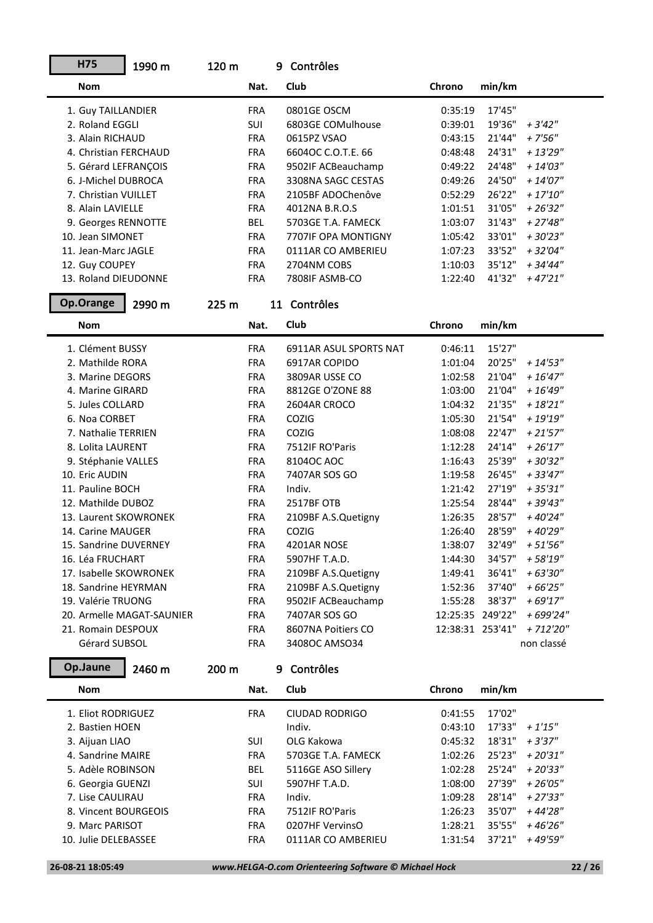| H75                    | 1990 m                    | 120 m |            | 9 Contrôles            |                  |        |             |
|------------------------|---------------------------|-------|------------|------------------------|------------------|--------|-------------|
| <b>Nom</b>             |                           |       | Nat.       | Club                   | Chrono           | min/km |             |
| 1. Guy TAILLANDIER     |                           |       | <b>FRA</b> | 0801GE OSCM            | 0:35:19          | 17'45" |             |
| 2. Roland EGGLI        |                           |       | SUI        | 6803GE COMulhouse      | 0:39:01          | 19'36" | $+3'42''$   |
| 3. Alain RICHAUD       |                           |       | <b>FRA</b> | 0615PZ VSAO            | 0:43:15          | 21'44" | $+7'56''$   |
| 4. Christian FERCHAUD  |                           |       | <b>FRA</b> | 6604OC C.O.T.E. 66     | 0:48:48          | 24'31" | $+ 13'29''$ |
| 5. Gérard LEFRANÇOIS   |                           |       | <b>FRA</b> | 9502IF ACBeauchamp     | 0:49:22          | 24'48" | $+ 14'03''$ |
| 6. J-Michel DUBROCA    |                           |       | <b>FRA</b> | 3308NA SAGC CESTAS     | 0:49:26          | 24'50" | $+ 14'07''$ |
| 7. Christian VUILLET   |                           |       | <b>FRA</b> | 2105BF ADOChenôve      | 0:52:29          | 26'22" | $+17'10''$  |
| 8. Alain LAVIELLE      |                           |       | <b>FRA</b> | 4012NA B.R.O.S         | 1:01:51          | 31'05" | $+26'32"$   |
| 9. Georges RENNOTTE    |                           |       | <b>BEL</b> | 5703GE T.A. FAMECK     | 1:03:07          | 31'43" | $+27'48''$  |
| 10. Jean SIMONET       |                           |       | <b>FRA</b> | 7707IF OPA MONTIGNY    | 1:05:42          | 33'01" | $+30'23"$   |
| 11. Jean-Marc JAGLE    |                           |       | <b>FRA</b> | 0111AR CO AMBERIEU     | 1:07:23          | 33'52" | $+32'04"$   |
| 12. Guy COUPEY         |                           |       | <b>FRA</b> | 2704NM COBS            | 1:10:03          | 35'12" | $+34'44''$  |
| 13. Roland DIEUDONNE   |                           |       | <b>FRA</b> | 7808IF ASMB-CO         | 1:22:40          | 41'32" | $+47'21"$   |
| Op.Orange              | 2990 m                    | 225 m |            | 11 Contrôles           |                  |        |             |
| <b>Nom</b>             |                           |       | Nat.       | Club                   | Chrono           | min/km |             |
| 1. Clément BUSSY       |                           |       | <b>FRA</b> | 6911AR ASUL SPORTS NAT | 0:46:11          | 15'27" |             |
| 2. Mathilde RORA       |                           |       | <b>FRA</b> | 6917AR COPIDO          | 1:01:04          | 20'25" | $+ 14'53''$ |
| 3. Marine DEGORS       |                           |       | <b>FRA</b> | 3809AR USSE CO         | 1:02:58          | 21'04" | $+16'47''$  |
| 4. Marine GIRARD       |                           |       | <b>FRA</b> | 8812GE O'ZONE 88       | 1:03:00          | 21'04" | $+ 16'49''$ |
| 5. Jules COLLARD       |                           |       | <b>FRA</b> | 2604AR CROCO           | 1:04:32          | 21'35" | $+18'21"$   |
| 6. Noa CORBET          |                           |       | <b>FRA</b> | COZIG                  | 1:05:30          | 21'54" | $+19'19''$  |
| 7. Nathalie TERRIEN    |                           |       | <b>FRA</b> | COZIG                  | 1:08:08          | 22'47" | $+21'57''$  |
| 8. Lolita LAURENT      |                           |       | <b>FRA</b> | 7512IF RO'Paris        | 1:12:28          | 24'14" | $+26'17''$  |
| 9. Stéphanie VALLES    |                           |       | <b>FRA</b> | 8104OC AOC             | 1:16:43          | 25'39" | $+30'32"$   |
| 10. Eric AUDIN         |                           |       | <b>FRA</b> | 7407AR SOS GO          | 1:19:58          | 26'45" | $+33'47''$  |
| 11. Pauline BOCH       |                           |       | <b>FRA</b> | Indiv.                 | 1:21:42          | 27'19" | $+35'31''$  |
| 12. Mathilde DUBOZ     |                           |       | <b>FRA</b> | 2517BF OTB             | 1:25:54          | 28'44" | + 39'43"    |
| 13. Laurent SKOWRONEK  |                           |       | <b>FRA</b> | 2109BF A.S.Quetigny    | 1:26:35          | 28'57" | $+40'24"$   |
| 14. Carine MAUGER      |                           |       | <b>FRA</b> | COZIG                  | 1:26:40          | 28'59" | +40'29"     |
| 15. Sandrine DUVERNEY  |                           |       | <b>FRA</b> | 4201AR NOSE            | 1:38:07          | 32'49" | $+51'56''$  |
| 16. Léa FRUCHART       |                           |       | <b>FRA</b> | 5907HF T.A.D.          | 1:44:30          | 34'57" | $+58'19''$  |
| 17. Isabelle SKOWRONEK |                           |       | <b>FRA</b> | 2109BF A.S.Quetigny    | 1:49:41          | 36'41" | $+63'30''$  |
| 18. Sandrine HEYRMAN   |                           |       | <b>FRA</b> | 2109BF A.S.Quetigny    | 1:52:36          | 37'40" | $+66'25"$   |
| 19. Valérie TRUONG     |                           |       | <b>FRA</b> | 9502IF ACBeauchamp     | 1:55:28          | 38'37" | $+69'17"$   |
|                        | 20. Armelle MAGAT-SAUNIER |       | <b>FRA</b> | 7407AR SOS GO          | 12:25:35 249'22" |        | + 699'24"   |
| 21. Romain DESPOUX     |                           |       | <b>FRA</b> | 8607NA Poitiers CO     | 12:38:31 253'41" |        | + 712'20"   |
| Gérard SUBSOL          |                           |       | <b>FRA</b> | 3408OC AMSO34          |                  |        | non classé  |
| Op.Jaune               | 2460 m                    | 200 m |            | 9 Contrôles            |                  |        |             |
| <b>Nom</b>             |                           |       | Nat.       | Club                   | Chrono           | min/km |             |
| 1. Eliot RODRIGUEZ     |                           |       | <b>FRA</b> | CIUDAD RODRIGO         | 0:41:55          | 17'02" |             |
| 2. Bastien HOEN        |                           |       |            | Indiv.                 | 0:43:10          | 17'33" | $+1'15''$   |
| 3. Aijuan LIAO         |                           |       | SUI        | OLG Kakowa             | 0:45:32          | 18'31" | $+3'37''$   |
| 4. Sandrine MAIRE      |                           |       | <b>FRA</b> | 5703GE T.A. FAMECK     | 1:02:26          | 25'23" | $+20'31"$   |
| 5. Adèle ROBINSON      |                           |       | <b>BEL</b> | 5116GE ASO Sillery     | 1:02:28          | 25'24" | $+20'33"$   |
| 6. Georgia GUENZI      |                           |       | <b>SUI</b> | 5907HF T.A.D.          | 1:08:00          | 27'39" | $+26'05"$   |
| 7. Lise CAULIRAU       |                           |       | <b>FRA</b> | Indiv.                 | 1:09:28          | 28'14" | $+27'33''$  |
| 8. Vincent BOURGEOIS   |                           |       | <b>FRA</b> | 7512IF RO'Paris        | 1:26:23          | 35'07" | $+44'28"$   |
| 9. Marc PARISOT        |                           |       | <b>FRA</b> | 0207HF VervinsO        | 1:28:21          | 35'55" | $+46'26"$   |
| 10. Julie DELEBASSEE   |                           |       | <b>FRA</b> | 0111AR CO AMBERIEU     | 1:31:54          | 37'21" | + 49'59"    |
|                        |                           |       |            |                        |                  |        |             |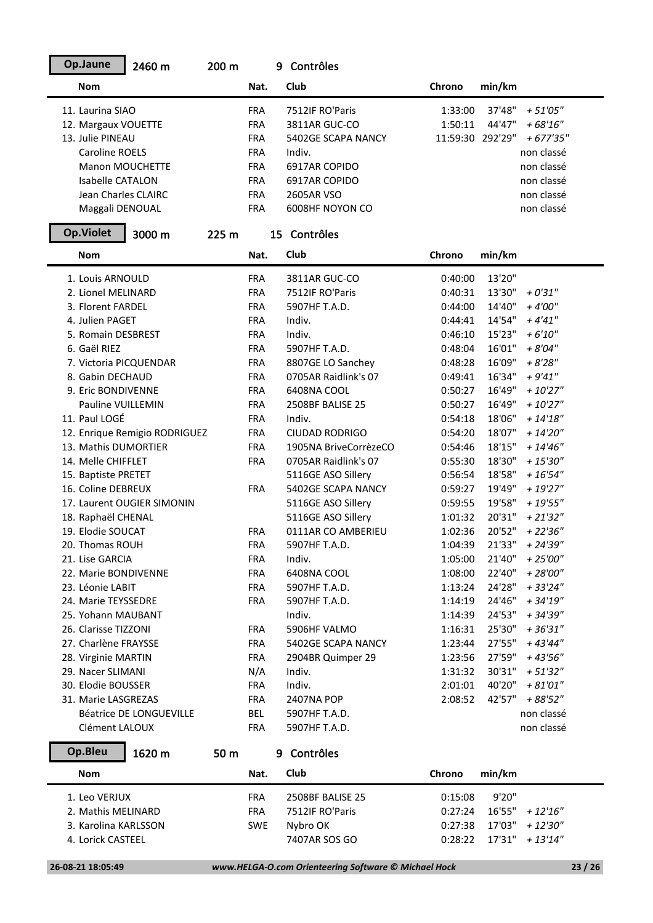| Op.Jaune                                  | 2460 m                        | 200 m |            | 9 Contrôles             |                    |                  |                        |
|-------------------------------------------|-------------------------------|-------|------------|-------------------------|--------------------|------------------|------------------------|
| <b>Nom</b>                                |                               |       | Nat.       | Club                    | Chrono             | min/km           |                        |
| 11. Laurina SIAO                          |                               |       | <b>FRA</b> | 7512IF RO'Paris         | 1:33:00            | 37'48"           | $+51'05''$             |
| 12. Margaux VOUETTE                       |                               |       | <b>FRA</b> | 3811AR GUC-CO           | 1:50:11            | 44'47"           | $+68'16''$             |
| 13. Julie PINEAU                          |                               |       | <b>FRA</b> | 5402GE SCAPA NANCY      | 11:59:30 292'29"   |                  | $+ 677'35''$           |
| <b>Caroline ROELS</b>                     |                               |       | <b>FRA</b> | Indiv.                  |                    |                  | non classé             |
| Manon MOUCHETTE                           |                               |       | <b>FRA</b> | 6917AR COPIDO           |                    |                  | non classé             |
| Isabelle CATALON                          |                               |       | <b>FRA</b> | 6917AR COPIDO           |                    |                  | non classé             |
| Jean Charles CLAIRC                       |                               |       | <b>FRA</b> | 2605AR VSO              |                    |                  | non classé             |
| Maggali DENOUAL                           |                               |       | <b>FRA</b> | 6008HF NOYON CO         |                    |                  | non classé             |
| <b>Op.Violet</b>                          | 3000 m                        | 225 m |            | 15 Contrôles            |                    |                  |                        |
| <b>Nom</b>                                |                               |       | Nat.       | Club                    | Chrono             | min/km           |                        |
| 1. Louis ARNOULD                          |                               |       | <b>FRA</b> | 3811AR GUC-CO           | 0:40:00            | 13'20"           |                        |
| 2. Lionel MELINARD                        |                               |       | <b>FRA</b> | 7512IF RO'Paris         | 0:40:31            | 13'30"           | $+0'31"$               |
| 3. Florent FARDEL                         |                               |       | <b>FRA</b> | 5907HF T.A.D.           | 0:44:00            | 14'40"           | $+4'00''$              |
| 4. Julien PAGET                           |                               |       | <b>FRA</b> | Indiv.                  | 0:44:41            | 14'54"           | $+4'41''$              |
| 5. Romain DESBREST                        |                               |       | <b>FRA</b> | Indiv.                  | 0:46:10            | 15'23"           | $+6'10''$              |
| 6. Gaël RIEZ                              |                               |       | <b>FRA</b> | 5907HF T.A.D.           | 0:48:04            | 16'01"           | $+8'04"$               |
| 7. Victoria PICQUENDAR                    |                               |       | <b>FRA</b> | 8807GE LO Sanchey       | 0:48:28            | 16'09"           | $+8'28"$               |
| 8. Gabin DECHAUD                          |                               |       | <b>FRA</b> | 0705AR Raidlink's 07    | 0:49:41            | 16'34"           | $+9'41''$              |
| 9. Eric BONDIVENNE                        |                               |       | <b>FRA</b> | 6408NA COOL             | 0:50:27            | 16'49"           | $+10'27"$              |
| Pauline VUILLEMIN                         |                               |       | <b>FRA</b> | 2508BF BALISE 25        | 0:50:27            | 16'49"           | $+10'27''$             |
| 11. Paul LOGÉ                             |                               |       | <b>FRA</b> | Indiv.                  | 0:54:18            | 18'06"           | $+ 14'18''$            |
|                                           | 12. Enrique Remigio RODRIGUEZ |       | <b>FRA</b> | <b>CIUDAD RODRIGO</b>   | 0:54:20            | 18'07"           | $+ 14'20''$            |
| 13. Mathis DUMORTIER                      |                               |       | <b>FRA</b> | 1905NA BriveCorrèzeCO   | 0:54:46            | 18'15"           | $+ 14'46''$            |
| 14. Melle CHIFFLET                        |                               |       | <b>FRA</b> | 0705AR Raidlink's 07    | 0:55:30            | 18'30"           | $+15'30''$             |
| 15. Baptiste PRETET                       |                               |       |            | 5116GE ASO Sillery      | 0:56:54            | 18'58"           | $+ 16'54''$            |
| 16. Coline DEBREUX                        |                               |       | <b>FRA</b> | 5402GE SCAPA NANCY      | 0:59:27            | 19'49"           | $+19'27''$             |
|                                           | 17. Laurent OUGIER SIMONIN    |       |            | 5116GE ASO Sillery      | 0:59:55            | 19'58"           | $+19'55"$              |
| 18. Raphaël CHENAL                        |                               |       |            | 5116GE ASO Sillery      | 1:01:32            | 20'31"           | $+21'32''$             |
| 19. Elodie SOUCAT                         |                               |       | <b>FRA</b> | 0111AR CO AMBERIEU      | 1:02:36            | 20'52"           | $+22'36''$             |
| 20. Thomas ROUH                           |                               |       | <b>FRA</b> | 5907HF T.A.D.           | 1:04:39            | 21'33"           | $+ 24'39''$            |
| 21. Lise GARCIA                           |                               |       | <b>FRA</b> | Indiv.                  | 1:05:00            | 21'40"           | $+25'00''$             |
| 22. Marie BONDIVENNE                      |                               |       | <b>FRA</b> | 6408NA COOL             | 1:08:00            | 22'40"           | $+28'00''$             |
| 23. Léonie LABIT                          |                               |       | <b>FRA</b> | 5907HF T.A.D.           | 1:13:24            | 24'28"           | $+33'24"$              |
| 24. Marie TEYSSEDRE<br>25. Yohann MAUBANT |                               |       | <b>FRA</b> | 5907HF T.A.D.<br>Indiv. | 1:14:19            | 24'46"<br>24'53" | $+34'19''$<br>+ 34'39" |
| 26. Clarisse TIZZONI                      |                               |       | <b>FRA</b> | 5906HF VALMO            | 1:14:39<br>1:16:31 | 25'30"           | $+36'31''$             |
| 27. Charlène FRAYSSE                      |                               |       | <b>FRA</b> | 5402GE SCAPA NANCY      | 1:23:44            | 27'55"           | $+43'44"$              |
| 28. Virginie MARTIN                       |                               |       | <b>FRA</b> | 2904BR Quimper 29       | 1:23:56            | 27'59"           | + 43'56"               |
| 29. Nacer SLIMANI                         |                               |       | N/A        | Indiv.                  | 1:31:32            | 30'31"           | $+51'32"$              |
| 30. Elodie BOUSSER                        |                               |       | <b>FRA</b> | Indiv.                  | 2:01:01            | 40'20"           | $+81'01''$             |
| 31. Marie LASGREZAS                       |                               |       | <b>FRA</b> | 2407NA POP              | 2:08:52            | 42'57"           | + 88'52"               |
|                                           | Béatrice DE LONGUEVILLE       |       | <b>BEL</b> | 5907HF T.A.D.           |                    |                  | non classé             |
| Clément LALOUX                            |                               |       | <b>FRA</b> | 5907HF T.A.D.           |                    |                  | non classé             |
| Op.Bleu                                   |                               |       |            | 9 Contrôles             |                    |                  |                        |
|                                           | 1620 m                        | 50 m  |            |                         |                    |                  |                        |
| <b>Nom</b>                                |                               |       | Nat.       | Club                    | Chrono             | min/km           |                        |
| 1. Leo VERJUX                             |                               |       | <b>FRA</b> | 2508BF BALISE 25        | 0:15:08            | 9'20"            |                        |
| 2. Mathis MELINARD                        |                               |       | <b>FRA</b> | 7512IF RO'Paris         | 0:27:24            | 16'55"           | + 12'16"               |
| 3. Karolina KARLSSON                      |                               |       | <b>SWE</b> | Nybro OK                | 0:27:38            | 17'03"           | + 12'30"               |
| 4. Lorick CASTEEL                         |                               |       |            | 7407AR SOS GO           | 0:28:22            | 17'31"           | + 13'14"               |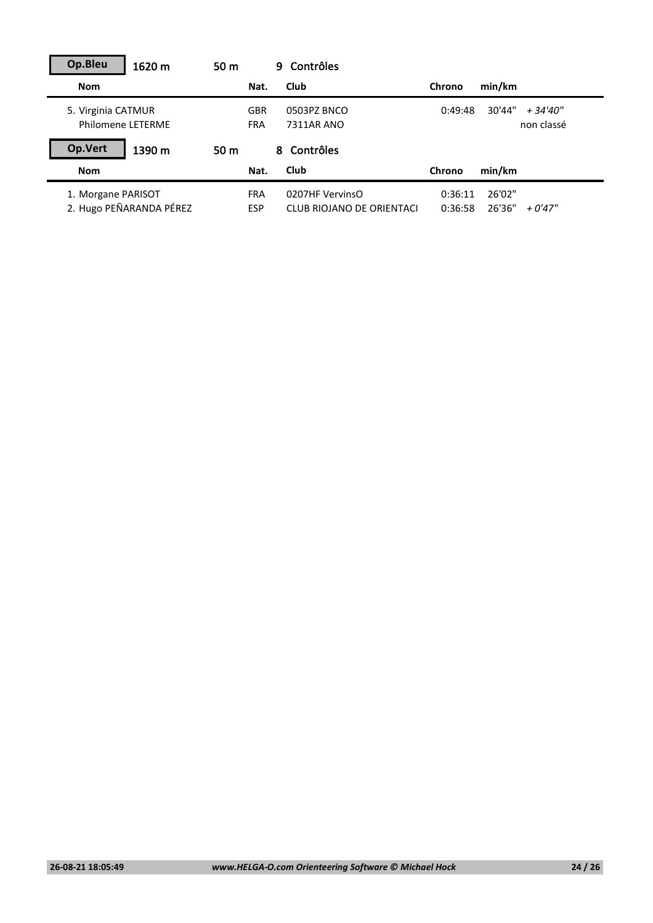| Op.Bleu<br>1620 m                       | 50 <sub>m</sub> | 9.                       | Contrôles                 |         |                                  |
|-----------------------------------------|-----------------|--------------------------|---------------------------|---------|----------------------------------|
| <b>Nom</b>                              |                 | Nat.                     | Club                      | Chrono  | min/km                           |
| 5. Virginia CATMUR<br>Philomene LETERME |                 | <b>GBR</b><br><b>FRA</b> | 0503PZ BNCO<br>7311AR ANO | 0:49:48 | 30'44"<br>+ 34'40"<br>non classé |
| Op.Vert<br>1390 m                       | 50 <sub>m</sub> | 8.                       | Contrôles                 |         |                                  |
| <b>Nom</b>                              |                 | Nat.                     | Club                      | Chrono  | min/km                           |
| 1. Morgane PARISOT                      |                 | <b>FRA</b>               | 0207HF VervinsO           | 0:36:11 | 26'02"                           |
| 2. Hugo PEÑARANDA PÉREZ                 | <b>ESP</b>      |                          | CLUB RIOJANO DE ORIENTACI | 0:36:58 | 26'36"<br>$+0'47''$              |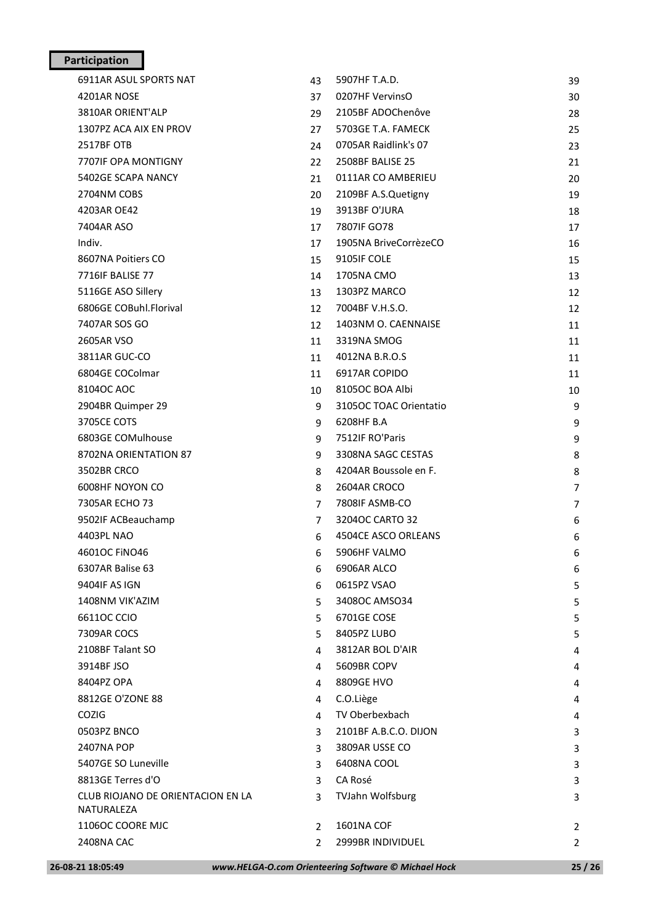## **Participation**

| 26-08-21 18:05:49                 |                | www.HELGA-O.com Orienteering Software © Michael Hock | 25/26          |
|-----------------------------------|----------------|------------------------------------------------------|----------------|
| 2408NA CAC                        | $\overline{2}$ | 2999BR INDIVIDUEL                                    | $\overline{2}$ |
| 1106OC COORE MJC                  | $\overline{2}$ | <b>1601NA COF</b>                                    | 2              |
| NATURALEZA                        |                |                                                      |                |
| CLUB RIOJANO DE ORIENTACION EN LA | $\overline{3}$ | TVJahn Wolfsburg                                     | 3              |
| 8813GE Terres d'O                 | 3              | CA Rosé                                              | 3              |
| 5407GE SO Luneville               | 3              | 6408NA COOL                                          | 3              |
| 2407NA POP                        | 3              | 3809AR USSE CO                                       | 3              |
| 0503PZ BNCO                       | 3              | 2101BF A.B.C.O. DIJON                                | 3              |
| <b>COZIG</b>                      | 4              | TV Oberbexbach                                       | 4              |
| 8812GE O'ZONE 88                  | 4              | C.O.Liège                                            | 4              |
| 8404PZ OPA                        | 4              | 8809GE HVO                                           | 4              |
| 3914BF JSO                        | 4              | 5609BR COPV                                          | 4              |
| 2108BF Talant SO                  | 4              | 3812AR BOL D'AIR                                     | 4              |
| 7309AR COCS                       | 5              | 8405PZ LUBO                                          | 5              |
| 66110C CCIO                       | 5.             | 6701GE COSE                                          | 5              |
| 1408NM VIK'AZIM                   | 5.             | 3408OC AMSO34                                        | 5              |
| 9404IF AS IGN                     | 6              | 0615PZ VSAO                                          | 5              |
| 6307AR Balise 63                  | 6              | 6906AR ALCO                                          | 6              |
| 46010C FINO46                     | 6              | 5906HF VALMO                                         | 6              |
| 4403PL NAO                        | 6              | 4504CE ASCO ORLEANS                                  | 6              |
| 9502IF ACBeauchamp                | $\overline{7}$ | 32040C CARTO 32                                      | 6              |
| 7305AR ECHO 73                    | $\overline{7}$ | 7808IF ASMB-CO                                       | $\overline{7}$ |
| 6008HF NOYON CO                   | 8              | 2604AR CROCO                                         | $\overline{7}$ |
| 3502BR CRCO                       | 8              | 4204AR Boussole en F.                                | 8              |
| 8702NA ORIENTATION 87             | 9              | 3308NA SAGC CESTAS                                   | 8              |
| 6803GE COMulhouse                 | 9              | 7512IF RO'Paris                                      | 9              |
| 3705CE COTS                       | 9              | 6208HF B.A                                           | 9              |
| 2904BR Quimper 29                 | 9              | 3105OC TOAC Orientatio                               | 9              |
| 8104OC AOC                        | 10             | 8105OC BOA Albi                                      | 10             |
| 6804GE COColmar                   | 11             | 6917AR COPIDO                                        | 11             |
| 3811AR GUC-CO                     | 11             | 4012NA B.R.O.S                                       | 11             |
| 2605AR VSO                        | 11             | 3319NA SMOG                                          | 11             |
| 7407AR SOS GO                     | 12             | 1403NM O. CAENNAISE                                  | 11             |
| 6806GE COBuhl.Florival            | 12             | 7004BF V.H.S.O.                                      | 12             |
| 5116GE ASO Sillery                | 13             | 1303PZ MARCO                                         | 12             |
| 7716IF BALISE 77                  | 14             | 1705NA CMO                                           | 13             |
| 8607NA Poitiers CO                | 15             | 9105IF COLE                                          | 15             |
| Indiv.                            | 17             | 1905NA BriveCorrèzeCO                                | 16             |
| 7404AR ASO                        | 17             | 7807IF GO78                                          | 17             |
| 4203AR OE42                       | 19             | 3913BF O'JURA                                        | 18             |
| 2704NM COBS                       | 20             | 2109BF A.S.Quetigny                                  | 19             |
| 5402GE SCAPA NANCY                | 21             | 0111AR CO AMBERIEU                                   | 20             |
| 7707IF OPA MONTIGNY               | 22             | 2508BF BALISE 25                                     | 21             |
| <b>2517BF OTB</b>                 | 24             | 0705AR Raidlink's 07                                 | 23             |
| 1307PZ ACA AIX EN PROV            | 27             | 5703GE T.A. FAMECK                                   | 25             |
| 3810AR ORIENT'ALP                 | 37<br>29       | 2105BF ADOChenôve                                    | 30<br>28       |
| 4201AR NOSE                       | 43             | 0207HF VervinsO                                      | 39             |
| 6911AR ASUL SPORTS NAT            |                | 5907HF T.A.D.                                        |                |